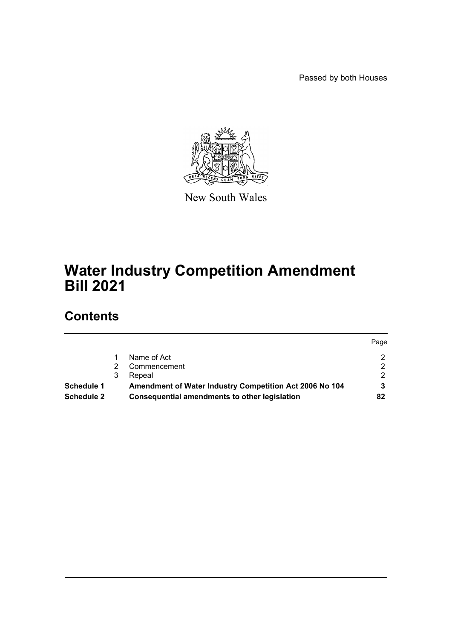Passed by both Houses



New South Wales

# **Water Industry Competition Amendment Bill 2021**

# **Contents**

|            |   |                                                         | Page |
|------------|---|---------------------------------------------------------|------|
|            |   | Name of Act                                             | ◠    |
|            |   | Commencement                                            |      |
|            | 3 | Repeal                                                  |      |
| Schedule 1 |   | Amendment of Water Industry Competition Act 2006 No 104 |      |
| Schedule 2 |   | Consequential amendments to other legislation           | 82   |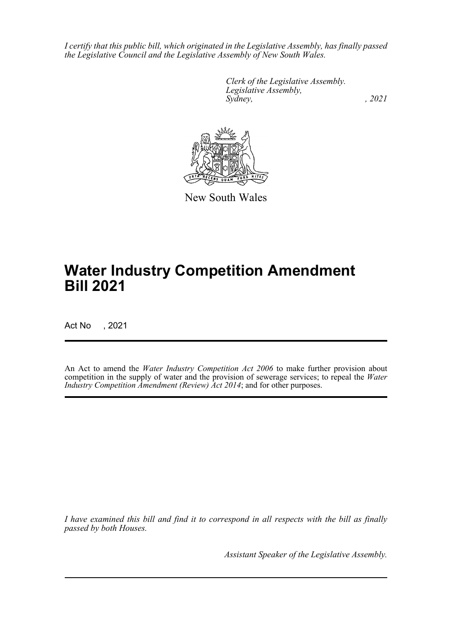*I certify that this public bill, which originated in the Legislative Assembly, has finally passed the Legislative Council and the Legislative Assembly of New South Wales.*

> *Clerk of the Legislative Assembly. Legislative Assembly, Sydney, , 2021*



New South Wales

# **Water Industry Competition Amendment Bill 2021**

Act No , 2021

An Act to amend the *Water Industry Competition Act 2006* to make further provision about competition in the supply of water and the provision of sewerage services; to repeal the *Water Industry Competition Amendment (Review) Act 2014*; and for other purposes.

*I have examined this bill and find it to correspond in all respects with the bill as finally passed by both Houses.*

*Assistant Speaker of the Legislative Assembly.*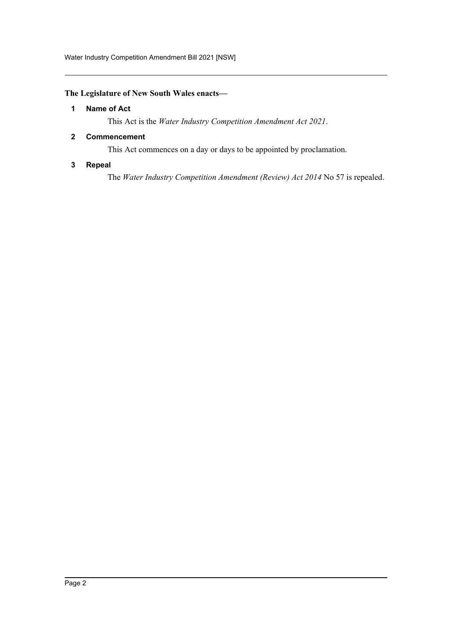Water Industry Competition Amendment Bill 2021 [NSW]

## <span id="page-2-0"></span>**The Legislature of New South Wales enacts—**

#### **1 Name of Act**

This Act is the *Water Industry Competition Amendment Act 2021*.

## <span id="page-2-1"></span>**2 Commencement**

This Act commences on a day or days to be appointed by proclamation.

## <span id="page-2-2"></span>**3 Repeal**

The *Water Industry Competition Amendment (Review) Act 2014* No 57 is repealed.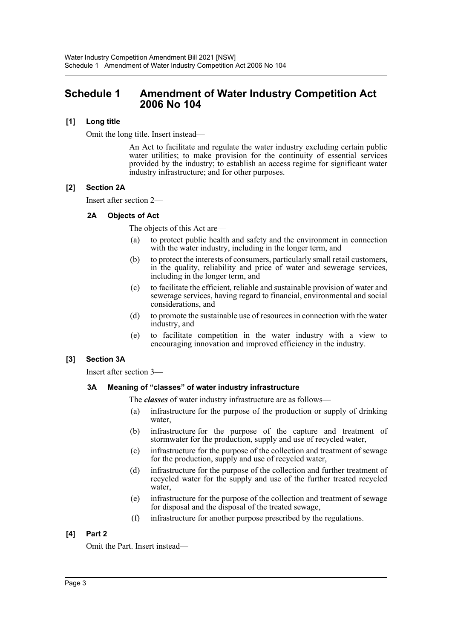## <span id="page-3-0"></span>**Schedule 1 Amendment of Water Industry Competition Act 2006 No 104**

## **[1] Long title**

Omit the long title. Insert instead—

An Act to facilitate and regulate the water industry excluding certain public water utilities; to make provision for the continuity of essential services provided by the industry; to establish an access regime for significant water industry infrastructure; and for other purposes.

## **[2] Section 2A**

Insert after section 2—

## **2A Objects of Act**

The objects of this Act are—

- (a) to protect public health and safety and the environment in connection with the water industry, including in the longer term, and
- (b) to protect the interests of consumers, particularly small retail customers, in the quality, reliability and price of water and sewerage services, including in the longer term, and
- (c) to facilitate the efficient, reliable and sustainable provision of water and sewerage services, having regard to financial, environmental and social considerations, and
- (d) to promote the sustainable use of resources in connection with the water industry, and
- (e) to facilitate competition in the water industry with a view to encouraging innovation and improved efficiency in the industry.

## **[3] Section 3A**

Insert after section 3—

## **3A Meaning of "classes" of water industry infrastructure**

The *classes* of water industry infrastructure are as follows—

- (a) infrastructure for the purpose of the production or supply of drinking water,
- (b) infrastructure for the purpose of the capture and treatment of stormwater for the production, supply and use of recycled water,
- (c) infrastructure for the purpose of the collection and treatment of sewage for the production, supply and use of recycled water,
- (d) infrastructure for the purpose of the collection and further treatment of recycled water for the supply and use of the further treated recycled water,
- (e) infrastructure for the purpose of the collection and treatment of sewage for disposal and the disposal of the treated sewage,
- (f) infrastructure for another purpose prescribed by the regulations.

## **[4] Part 2**

Omit the Part. Insert instead—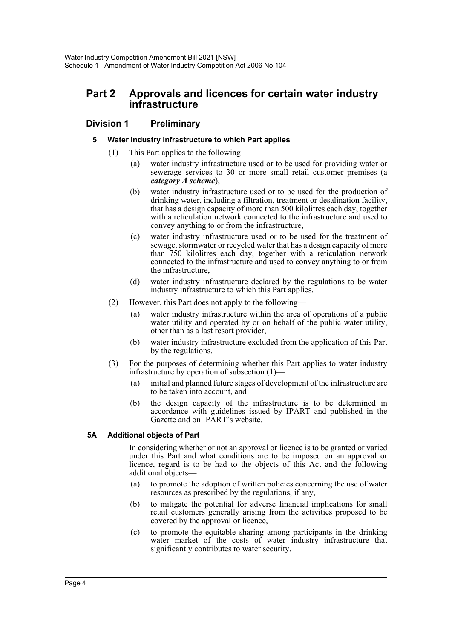# **Part 2 Approvals and licences for certain water industry infrastructure**

## **Division 1 Preliminary**

### **5 Water industry infrastructure to which Part applies**

- (1) This Part applies to the following—
	- (a) water industry infrastructure used or to be used for providing water or sewerage services to 30 or more small retail customer premises (a *category A scheme*),
	- (b) water industry infrastructure used or to be used for the production of drinking water, including a filtration, treatment or desalination facility, that has a design capacity of more than 500 kilolitres each day, together with a reticulation network connected to the infrastructure and used to convey anything to or from the infrastructure,
	- (c) water industry infrastructure used or to be used for the treatment of sewage, stormwater or recycled water that has a design capacity of more than 750 kilolitres each day, together with a reticulation network connected to the infrastructure and used to convey anything to or from the infrastructure,
	- (d) water industry infrastructure declared by the regulations to be water industry infrastructure to which this Part applies.
- (2) However, this Part does not apply to the following—
	- (a) water industry infrastructure within the area of operations of a public water utility and operated by or on behalf of the public water utility, other than as a last resort provider,
	- (b) water industry infrastructure excluded from the application of this Part by the regulations.
- (3) For the purposes of determining whether this Part applies to water industry infrastructure by operation of subsection (1)—
	- (a) initial and planned future stages of development of the infrastructure are to be taken into account, and
	- (b) the design capacity of the infrastructure is to be determined in accordance with guidelines issued by IPART and published in the Gazette and on IPART's website.

## **5A Additional objects of Part**

In considering whether or not an approval or licence is to be granted or varied under this Part and what conditions are to be imposed on an approval or licence, regard is to be had to the objects of this Act and the following additional objects—

- (a) to promote the adoption of written policies concerning the use of water resources as prescribed by the regulations, if any,
- (b) to mitigate the potential for adverse financial implications for small retail customers generally arising from the activities proposed to be covered by the approval or licence,
- (c) to promote the equitable sharing among participants in the drinking water market of the costs of water industry infrastructure that significantly contributes to water security.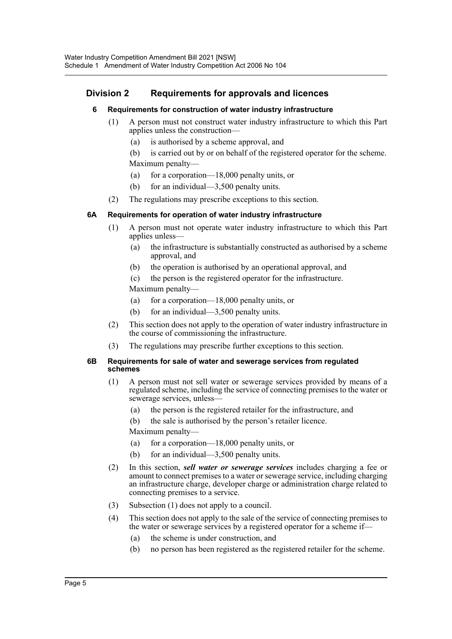## **Division 2 Requirements for approvals and licences**

## **6 Requirements for construction of water industry infrastructure**

- (1) A person must not construct water industry infrastructure to which this Part applies unless the construction—
	- (a) is authorised by a scheme approval, and

(b) is carried out by or on behalf of the registered operator for the scheme. Maximum penalty—

- (a) for a corporation—18,000 penalty units, or
- (b) for an individual—3,500 penalty units.
- (2) The regulations may prescribe exceptions to this section.

### **6A Requirements for operation of water industry infrastructure**

- (1) A person must not operate water industry infrastructure to which this Part applies unless—
	- (a) the infrastructure is substantially constructed as authorised by a scheme approval, and
	- (b) the operation is authorised by an operational approval, and
	- (c) the person is the registered operator for the infrastructure.

Maximum penalty—

- (a) for a corporation—18,000 penalty units, or
- (b) for an individual—3,500 penalty units.
- (2) This section does not apply to the operation of water industry infrastructure in the course of commissioning the infrastructure.
- (3) The regulations may prescribe further exceptions to this section.

#### **6B Requirements for sale of water and sewerage services from regulated schemes**

- (1) A person must not sell water or sewerage services provided by means of a regulated scheme, including the service of connecting premises to the water or sewerage services, unless—
	- (a) the person is the registered retailer for the infrastructure, and
	- (b) the sale is authorised by the person's retailer licence.

Maximum penalty—

- (a) for a corporation—18,000 penalty units, or
- (b) for an individual—3,500 penalty units.
- (2) In this section, *sell water or sewerage services* includes charging a fee or amount to connect premises to a water or sewerage service, including charging an infrastructure charge, developer charge or administration charge related to connecting premises to a service.
- (3) Subsection (1) does not apply to a council.
- (4) This section does not apply to the sale of the service of connecting premises to the water or sewerage services by a registered operator for a scheme if—
	- (a) the scheme is under construction, and
	- (b) no person has been registered as the registered retailer for the scheme.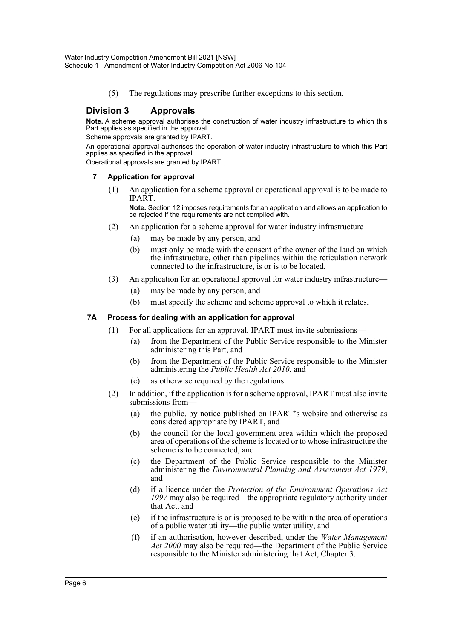(5) The regulations may prescribe further exceptions to this section.

## **Division 3 Approvals**

**Note.** A scheme approval authorises the construction of water industry infrastructure to which this Part applies as specified in the approval.

Scheme approvals are granted by IPART.

An operational approval authorises the operation of water industry infrastructure to which this Part applies as specified in the approval.

Operational approvals are granted by IPART.

#### **7 Application for approval**

(1) An application for a scheme approval or operational approval is to be made to IPART.

**Note.** Section 12 imposes requirements for an application and allows an application to be rejected if the requirements are not complied with.

- (2) An application for a scheme approval for water industry infrastructure—
	- (a) may be made by any person, and
	- (b) must only be made with the consent of the owner of the land on which the infrastructure, other than pipelines within the reticulation network connected to the infrastructure, is or is to be located.
- (3) An application for an operational approval for water industry infrastructure—
	- (a) may be made by any person, and
	- (b) must specify the scheme and scheme approval to which it relates.

#### **7A Process for dealing with an application for approval**

- (1) For all applications for an approval, IPART must invite submissions—
	- (a) from the Department of the Public Service responsible to the Minister administering this Part, and
	- (b) from the Department of the Public Service responsible to the Minister administering the *Public Health Act 2010*, and
	- (c) as otherwise required by the regulations.
- (2) In addition, if the application is for a scheme approval, IPART must also invite submissions from—
	- (a) the public, by notice published on IPART's website and otherwise as considered appropriate by IPART, and
	- (b) the council for the local government area within which the proposed area of operations of the scheme is located or to whose infrastructure the scheme is to be connected, and
	- (c) the Department of the Public Service responsible to the Minister administering the *Environmental Planning and Assessment Act 1979*, and
	- (d) if a licence under the *Protection of the Environment Operations Act 1997* may also be required—the appropriate regulatory authority under that Act, and
	- (e) if the infrastructure is or is proposed to be within the area of operations of a public water utility—the public water utility, and
	- (f) if an authorisation, however described, under the *Water Management Act 2000* may also be required—the Department of the Public Service responsible to the Minister administering that Act, Chapter 3.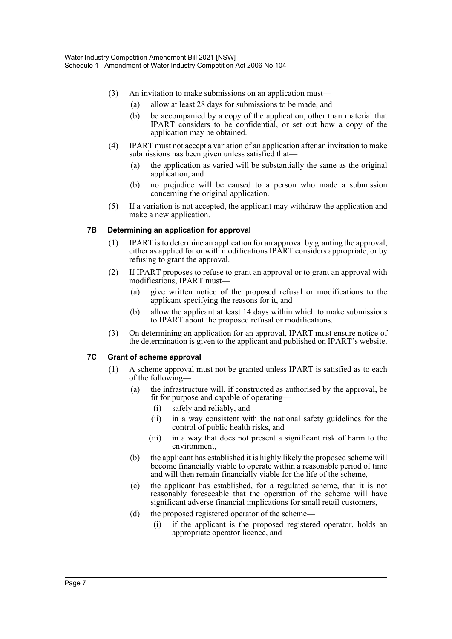- (3) An invitation to make submissions on an application must—
	- (a) allow at least 28 days for submissions to be made, and
	- (b) be accompanied by a copy of the application, other than material that IPART considers to be confidential, or set out how a copy of the application may be obtained.
- (4) IPART must not accept a variation of an application after an invitation to make submissions has been given unless satisfied that—
	- (a) the application as varied will be substantially the same as the original application, and
	- (b) no prejudice will be caused to a person who made a submission concerning the original application.
- (5) If a variation is not accepted, the applicant may withdraw the application and make a new application.

#### **7B Determining an application for approval**

- (1) IPART is to determine an application for an approval by granting the approval, either as applied for or with modifications IPART considers appropriate, or by refusing to grant the approval.
- (2) If IPART proposes to refuse to grant an approval or to grant an approval with modifications, IPART must—
	- (a) give written notice of the proposed refusal or modifications to the applicant specifying the reasons for it, and
	- (b) allow the applicant at least 14 days within which to make submissions to IPART about the proposed refusal or modifications.
- (3) On determining an application for an approval, IPART must ensure notice of the determination is given to the applicant and published on IPART's website.

#### **7C Grant of scheme approval**

- (1) A scheme approval must not be granted unless IPART is satisfied as to each of the following—
	- (a) the infrastructure will, if constructed as authorised by the approval, be fit for purpose and capable of operating—
		- (i) safely and reliably, and
		- (ii) in a way consistent with the national safety guidelines for the control of public health risks, and
		- (iii) in a way that does not present a significant risk of harm to the environment,
	- (b) the applicant has established it is highly likely the proposed scheme will become financially viable to operate within a reasonable period of time and will then remain financially viable for the life of the scheme,
	- (c) the applicant has established, for a regulated scheme, that it is not reasonably foreseeable that the operation of the scheme will have significant adverse financial implications for small retail customers,
	- (d) the proposed registered operator of the scheme—
		- (i) if the applicant is the proposed registered operator, holds an appropriate operator licence, and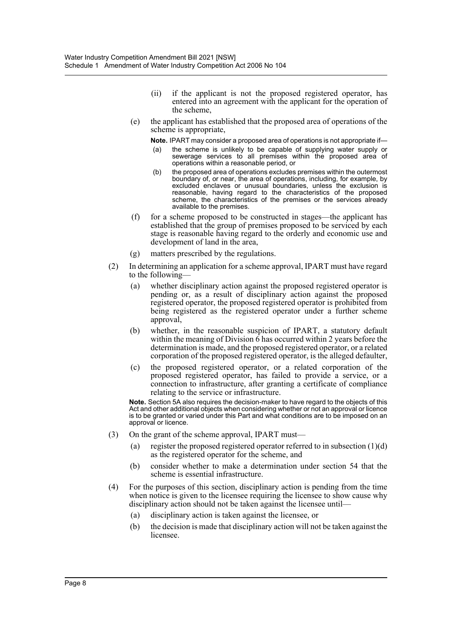- (ii) if the applicant is not the proposed registered operator, has entered into an agreement with the applicant for the operation of the scheme,
- (e) the applicant has established that the proposed area of operations of the scheme is appropriate,

**Note.** IPART may consider a proposed area of operations is not appropriate if—

- (a) the scheme is unlikely to be capable of supplying water supply or sewerage services to all premises within the proposed area of operations within a reasonable period, or
- (b) the proposed area of operations excludes premises within the outermost boundary of, or near, the area of operations, including, for example, by excluded enclaves or unusual boundaries, unless the exclusion is reasonable, having regard to the characteristics of the proposed scheme, the characteristics of the premises or the services already available to the premises.
- (f) for a scheme proposed to be constructed in stages—the applicant has established that the group of premises proposed to be serviced by each stage is reasonable having regard to the orderly and economic use and development of land in the area,
- (g) matters prescribed by the regulations.
- (2) In determining an application for a scheme approval, IPART must have regard to the following—
	- (a) whether disciplinary action against the proposed registered operator is pending or, as a result of disciplinary action against the proposed registered operator, the proposed registered operator is prohibited from being registered as the registered operator under a further scheme approval,
	- (b) whether, in the reasonable suspicion of IPART, a statutory default within the meaning of Division  $\vec{6}$  has occurred within 2 years before the determination is made, and the proposed registered operator, or a related corporation of the proposed registered operator, is the alleged defaulter,
	- (c) the proposed registered operator, or a related corporation of the proposed registered operator, has failed to provide a service, or a connection to infrastructure, after granting a certificate of compliance relating to the service or infrastructure.

**Note.** Section 5A also requires the decision-maker to have regard to the objects of this Act and other additional objects when considering whether or not an approval or licence is to be granted or varied under this Part and what conditions are to be imposed on an approval or licence.

- (3) On the grant of the scheme approval, IPART must—
	- (a) register the proposed registered operator referred to in subsection (1)(d) as the registered operator for the scheme, and
	- (b) consider whether to make a determination under section 54 that the scheme is essential infrastructure.
- (4) For the purposes of this section, disciplinary action is pending from the time when notice is given to the licensee requiring the licensee to show cause why disciplinary action should not be taken against the licensee until—
	- (a) disciplinary action is taken against the licensee, or
	- (b) the decision is made that disciplinary action will not be taken against the licensee.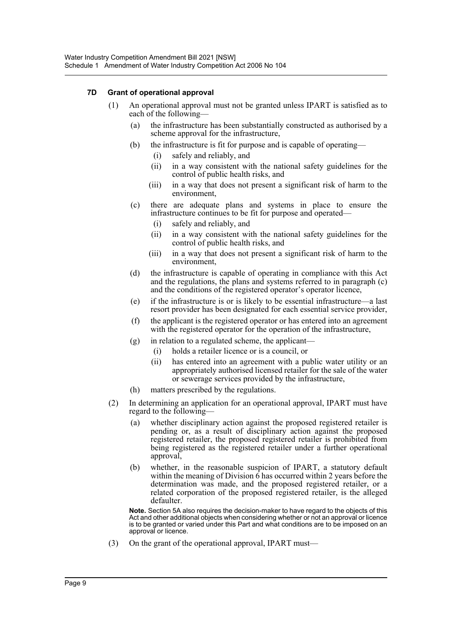### **7D Grant of operational approval**

- (1) An operational approval must not be granted unless IPART is satisfied as to each of the following—
	- (a) the infrastructure has been substantially constructed as authorised by a scheme approval for the infrastructure,
	- (b) the infrastructure is fit for purpose and is capable of operating—
		- (i) safely and reliably, and
		- (ii) in a way consistent with the national safety guidelines for the control of public health risks, and
		- (iii) in a way that does not present a significant risk of harm to the environment,
	- (c) there are adequate plans and systems in place to ensure the infrastructure continues to be fit for purpose and operated—
		- (i) safely and reliably, and
		- (ii) in a way consistent with the national safety guidelines for the control of public health risks, and
		- (iii) in a way that does not present a significant risk of harm to the environment,
	- (d) the infrastructure is capable of operating in compliance with this Act and the regulations, the plans and systems referred to in paragraph (c) and the conditions of the registered operator's operator licence,
	- (e) if the infrastructure is or is likely to be essential infrastructure—a last resort provider has been designated for each essential service provider,
	- (f) the applicant is the registered operator or has entered into an agreement with the registered operator for the operation of the infrastructure,
	- (g) in relation to a regulated scheme, the applicant—
		- (i) holds a retailer licence or is a council, or
		- (ii) has entered into an agreement with a public water utility or an appropriately authorised licensed retailer for the sale of the water or sewerage services provided by the infrastructure,
	- (h) matters prescribed by the regulations.
- (2) In determining an application for an operational approval, IPART must have regard to the following—
	- (a) whether disciplinary action against the proposed registered retailer is pending or, as a result of disciplinary action against the proposed registered retailer, the proposed registered retailer is prohibited from being registered as the registered retailer under a further operational approval,
	- (b) whether, in the reasonable suspicion of IPART, a statutory default within the meaning of Division 6 has occurred within 2 years before the determination was made, and the proposed registered retailer, or a related corporation of the proposed registered retailer, is the alleged defaulter.

**Note.** Section 5A also requires the decision-maker to have regard to the objects of this Act and other additional objects when considering whether or not an approval or licence is to be granted or varied under this Part and what conditions are to be imposed on an approval or licence.

(3) On the grant of the operational approval, IPART must—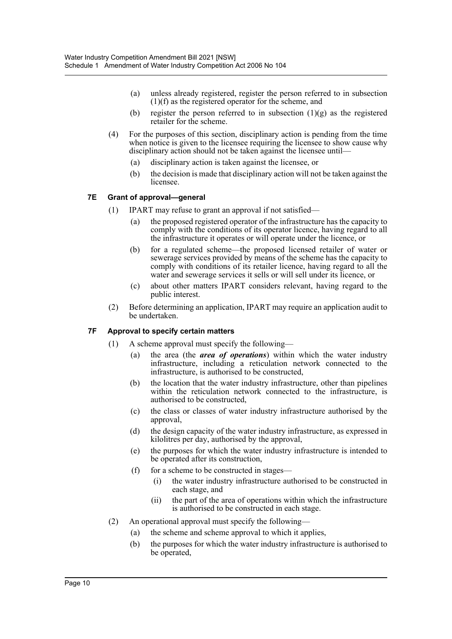- (a) unless already registered, register the person referred to in subsection (1)(f) as the registered operator for the scheme, and
- (b) register the person referred to in subsection  $(1)(g)$  as the registered retailer for the scheme.
- (4) For the purposes of this section, disciplinary action is pending from the time when notice is given to the licensee requiring the licensee to show cause why disciplinary action should not be taken against the licensee until—
	- (a) disciplinary action is taken against the licensee, or
	- (b) the decision is made that disciplinary action will not be taken against the licensee.

### **7E Grant of approval—general**

- (1) IPART may refuse to grant an approval if not satisfied—
	- (a) the proposed registered operator of the infrastructure has the capacity to comply with the conditions of its operator licence, having regard to all the infrastructure it operates or will operate under the licence, or
	- (b) for a regulated scheme—the proposed licensed retailer of water or sewerage services provided by means of the scheme has the capacity to comply with conditions of its retailer licence, having regard to all the water and sewerage services it sells or will sell under its licence, or
	- (c) about other matters IPART considers relevant, having regard to the public interest.
- (2) Before determining an application, IPART may require an application audit to be undertaken.

#### **7F Approval to specify certain matters**

- (1) A scheme approval must specify the following—
	- (a) the area (the *area of operations*) within which the water industry infrastructure, including a reticulation network connected to the infrastructure, is authorised to be constructed,
	- (b) the location that the water industry infrastructure, other than pipelines within the reticulation network connected to the infrastructure, is authorised to be constructed,
	- (c) the class or classes of water industry infrastructure authorised by the approval,
	- (d) the design capacity of the water industry infrastructure, as expressed in kilolitres per day, authorised by the approval,
	- (e) the purposes for which the water industry infrastructure is intended to be operated after its construction,
	- (f) for a scheme to be constructed in stages—
		- (i) the water industry infrastructure authorised to be constructed in each stage, and
		- (ii) the part of the area of operations within which the infrastructure is authorised to be constructed in each stage.
- (2) An operational approval must specify the following—
	- (a) the scheme and scheme approval to which it applies,
	- (b) the purposes for which the water industry infrastructure is authorised to be operated,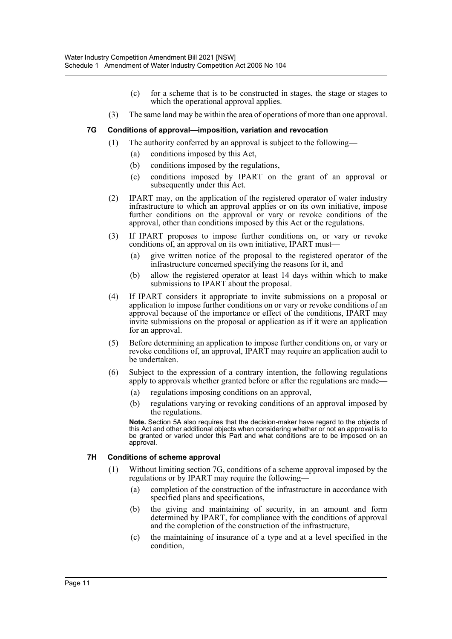- (c) for a scheme that is to be constructed in stages, the stage or stages to which the operational approval applies.
- (3) The same land may be within the area of operations of more than one approval.

#### **7G Conditions of approval—imposition, variation and revocation**

- (1) The authority conferred by an approval is subject to the following—
	- (a) conditions imposed by this Act,
	- (b) conditions imposed by the regulations,
	- (c) conditions imposed by IPART on the grant of an approval or subsequently under this Act.
- (2) IPART may, on the application of the registered operator of water industry infrastructure to which an approval applies or on its own initiative, impose further conditions on the approval or vary or revoke conditions of the approval, other than conditions imposed by this Act or the regulations.
- (3) If IPART proposes to impose further conditions on, or vary or revoke conditions of, an approval on its own initiative, IPART must—
	- (a) give written notice of the proposal to the registered operator of the infrastructure concerned specifying the reasons for it, and
	- (b) allow the registered operator at least 14 days within which to make submissions to IPART about the proposal.
- (4) If IPART considers it appropriate to invite submissions on a proposal or application to impose further conditions on or vary or revoke conditions of an approval because of the importance or effect of the conditions, IPART may invite submissions on the proposal or application as if it were an application for an approval.
- (5) Before determining an application to impose further conditions on, or vary or revoke conditions of, an approval, IPART may require an application audit to be undertaken.
- (6) Subject to the expression of a contrary intention, the following regulations apply to approvals whether granted before or after the regulations are made—
	- (a) regulations imposing conditions on an approval,
	- (b) regulations varying or revoking conditions of an approval imposed by the regulations.

**Note.** Section 5A also requires that the decision-maker have regard to the objects of this Act and other additional objects when considering whether or not an approval is to be granted or varied under this Part and what conditions are to be imposed on an approval.

## **7H Conditions of scheme approval**

- (1) Without limiting section 7G, conditions of a scheme approval imposed by the regulations or by IPART may require the following—
	- (a) completion of the construction of the infrastructure in accordance with specified plans and specifications,
	- (b) the giving and maintaining of security, in an amount and form determined by IPART, for compliance with the conditions of approval and the completion of the construction of the infrastructure,
	- (c) the maintaining of insurance of a type and at a level specified in the condition,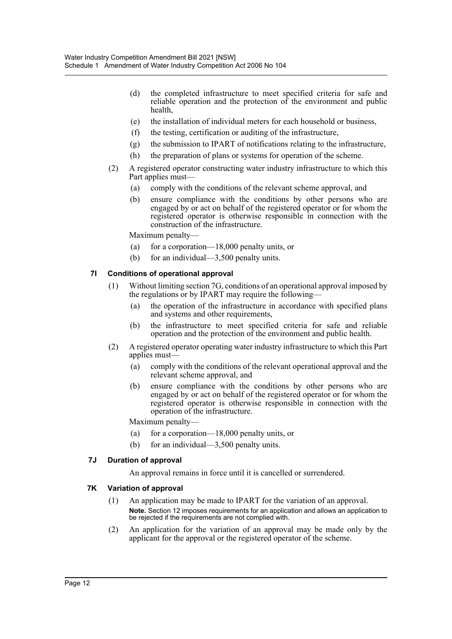- (d) the completed infrastructure to meet specified criteria for safe and reliable operation and the protection of the environment and public health,
- (e) the installation of individual meters for each household or business,
- (f) the testing, certification or auditing of the infrastructure,
- (g) the submission to IPART of notifications relating to the infrastructure,
- (h) the preparation of plans or systems for operation of the scheme.
- (2) A registered operator constructing water industry infrastructure to which this Part applies must—
	- (a) comply with the conditions of the relevant scheme approval, and
	- (b) ensure compliance with the conditions by other persons who are engaged by or act on behalf of the registered operator or for whom the registered operator is otherwise responsible in connection with the construction of the infrastructure.

Maximum penalty—

- (a) for a corporation—18,000 penalty units, or
- (b) for an individual—3,500 penalty units.

### **7I Conditions of operational approval**

- (1) Without limiting section 7G, conditions of an operational approval imposed by the regulations or by IPART may require the following—
	- (a) the operation of the infrastructure in accordance with specified plans and systems and other requirements,
	- (b) the infrastructure to meet specified criteria for safe and reliable operation and the protection of the environment and public health.
- (2) A registered operator operating water industry infrastructure to which this Part applies must—
	- (a) comply with the conditions of the relevant operational approval and the relevant scheme approval, and
	- (b) ensure compliance with the conditions by other persons who are engaged by or act on behalf of the registered operator or for whom the registered operator is otherwise responsible in connection with the operation of the infrastructure.

Maximum penalty—

- (a) for a corporation—18,000 penalty units, or
- (b) for an individual—3,500 penalty units.

#### **7J Duration of approval**

An approval remains in force until it is cancelled or surrendered.

#### **7K Variation of approval**

- (1) An application may be made to IPART for the variation of an approval. **Note.** Section 12 imposes requirements for an application and allows an application to be rejected if the requirements are not complied with.
- (2) An application for the variation of an approval may be made only by the applicant for the approval or the registered operator of the scheme.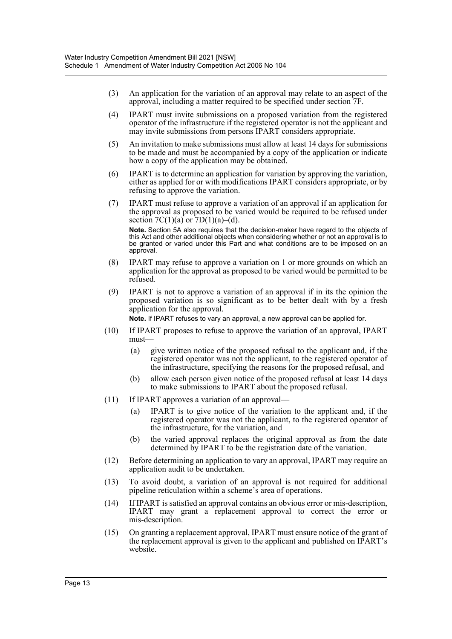- (3) An application for the variation of an approval may relate to an aspect of the approval, including a matter required to be specified under section 7F.
- (4) IPART must invite submissions on a proposed variation from the registered operator of the infrastructure if the registered operator is not the applicant and may invite submissions from persons IPART considers appropriate.
- (5) An invitation to make submissions must allow at least 14 days for submissions to be made and must be accompanied by a copy of the application or indicate how a copy of the application may be obtained.
- (6) IPART is to determine an application for variation by approving the variation, either as applied for or with modifications IPART considers appropriate, or by refusing to approve the variation.
- (7) IPART must refuse to approve a variation of an approval if an application for the approval as proposed to be varied would be required to be refused under section  $7C(1)(a)$  or  $7D(1)(a)$ –(d). **Note.** Section 5A also requires that the decision-maker have regard to the objects of

this Act and other additional objects when considering whether or not an approval is to be granted or varied under this Part and what conditions are to be imposed on an approval.

- (8) IPART may refuse to approve a variation on 1 or more grounds on which an application for the approval as proposed to be varied would be permitted to be refused.
- (9) IPART is not to approve a variation of an approval if in its the opinion the proposed variation is so significant as to be better dealt with by a fresh application for the approval.

**Note.** If IPART refuses to vary an approval, a new approval can be applied for.

- (10) If IPART proposes to refuse to approve the variation of an approval, IPART must—
	- (a) give written notice of the proposed refusal to the applicant and, if the registered operator was not the applicant, to the registered operator of the infrastructure, specifying the reasons for the proposed refusal, and
	- (b) allow each person given notice of the proposed refusal at least 14 days to make submissions to IPART about the proposed refusal.
- (11) If IPART approves a variation of an approval—
	- (a) IPART is to give notice of the variation to the applicant and, if the registered operator was not the applicant, to the registered operator of the infrastructure, for the variation, and
	- (b) the varied approval replaces the original approval as from the date determined by IPART to be the registration date of the variation.
- (12) Before determining an application to vary an approval, IPART may require an application audit to be undertaken.
- (13) To avoid doubt, a variation of an approval is not required for additional pipeline reticulation within a scheme's area of operations.
- (14) If IPART is satisfied an approval contains an obvious error or mis-description, IPART may grant a replacement approval to correct the error or mis-description.
- (15) On granting a replacement approval, IPART must ensure notice of the grant of the replacement approval is given to the applicant and published on IPART's website.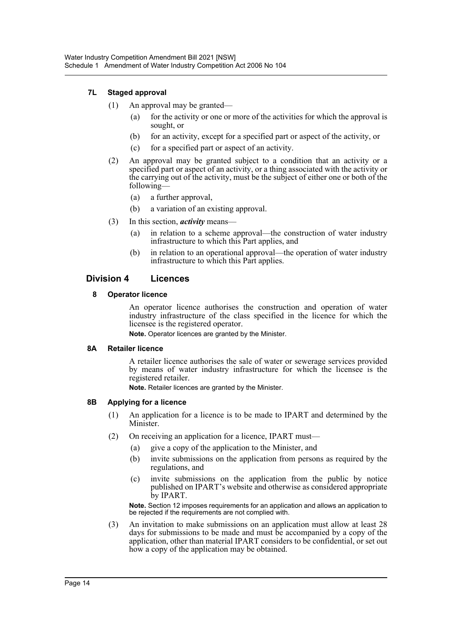## **7L Staged approval**

- (1) An approval may be granted—
	- (a) for the activity or one or more of the activities for which the approval is sought, or
	- (b) for an activity, except for a specified part or aspect of the activity, or
	- (c) for a specified part or aspect of an activity.
- (2) An approval may be granted subject to a condition that an activity or a specified part or aspect of an activity, or a thing associated with the activity or the carrying out of the activity, must be the subject of either one or both of the following—
	- (a) a further approval,
	- (b) a variation of an existing approval.
- (3) In this section, *activity* means—
	- (a) in relation to a scheme approval—the construction of water industry infrastructure to which this Part applies, and
	- (b) in relation to an operational approval—the operation of water industry infrastructure to which this Part applies.

## **Division 4 Licences**

#### **8 Operator licence**

An operator licence authorises the construction and operation of water industry infrastructure of the class specified in the licence for which the licensee is the registered operator.

**Note.** Operator licences are granted by the Minister.

#### **8A Retailer licence**

A retailer licence authorises the sale of water or sewerage services provided by means of water industry infrastructure for which the licensee is the registered retailer.

**Note.** Retailer licences are granted by the Minister.

#### **8B Applying for a licence**

- (1) An application for a licence is to be made to IPART and determined by the Minister.
- (2) On receiving an application for a licence, IPART must—
	- (a) give a copy of the application to the Minister, and
	- (b) invite submissions on the application from persons as required by the regulations, and
	- (c) invite submissions on the application from the public by notice published on IPART's website and otherwise as considered appropriate by IPART.

**Note.** Section 12 imposes requirements for an application and allows an application to be rejected if the requirements are not complied with.

(3) An invitation to make submissions on an application must allow at least 28 days for submissions to be made and must be accompanied by a copy of the application, other than material IPART considers to be confidential, or set out how a copy of the application may be obtained.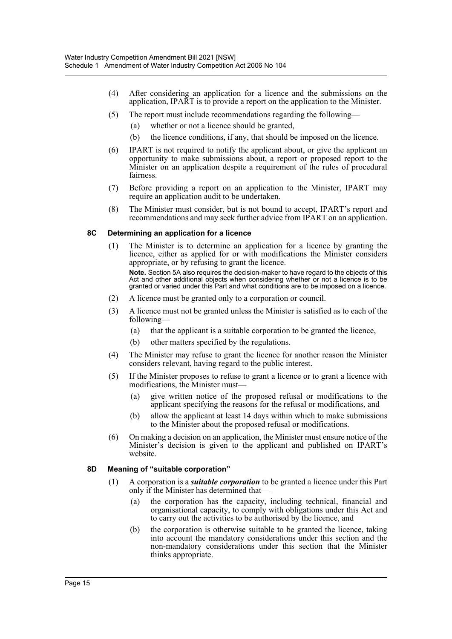- (4) After considering an application for a licence and the submissions on the application, IPART is to provide a report on the application to the Minister.
- (5) The report must include recommendations regarding the following—
	- (a) whether or not a licence should be granted,
	- (b) the licence conditions, if any, that should be imposed on the licence.
- (6) IPART is not required to notify the applicant about, or give the applicant an opportunity to make submissions about, a report or proposed report to the Minister on an application despite a requirement of the rules of procedural fairness.
- (7) Before providing a report on an application to the Minister, IPART may require an application audit to be undertaken.
- (8) The Minister must consider, but is not bound to accept, IPART's report and recommendations and may seek further advice from IPART on an application.

#### **8C Determining an application for a licence**

(1) The Minister is to determine an application for a licence by granting the licence, either as applied for or with modifications the Minister considers appropriate, or by refusing to grant the licence.

**Note.** Section 5A also requires the decision-maker to have regard to the objects of this Act and other additional objects when considering whether or not a licence is to be granted or varied under this Part and what conditions are to be imposed on a licence.

- (2) A licence must be granted only to a corporation or council.
- (3) A licence must not be granted unless the Minister is satisfied as to each of the following—
	- (a) that the applicant is a suitable corporation to be granted the licence,
	- (b) other matters specified by the regulations.
- (4) The Minister may refuse to grant the licence for another reason the Minister considers relevant, having regard to the public interest.
- (5) If the Minister proposes to refuse to grant a licence or to grant a licence with modifications, the Minister must—
	- (a) give written notice of the proposed refusal or modifications to the applicant specifying the reasons for the refusal or modifications, and
	- (b) allow the applicant at least 14 days within which to make submissions to the Minister about the proposed refusal or modifications.
- (6) On making a decision on an application, the Minister must ensure notice of the Minister's decision is given to the applicant and published on IPART's website.

#### **8D Meaning of "suitable corporation"**

- (1) A corporation is a *suitable corporation* to be granted a licence under this Part only if the Minister has determined that—
	- (a) the corporation has the capacity, including technical, financial and organisational capacity, to comply with obligations under this Act and to carry out the activities to be authorised by the licence, and
	- (b) the corporation is otherwise suitable to be granted the licence, taking into account the mandatory considerations under this section and the non-mandatory considerations under this section that the Minister thinks appropriate.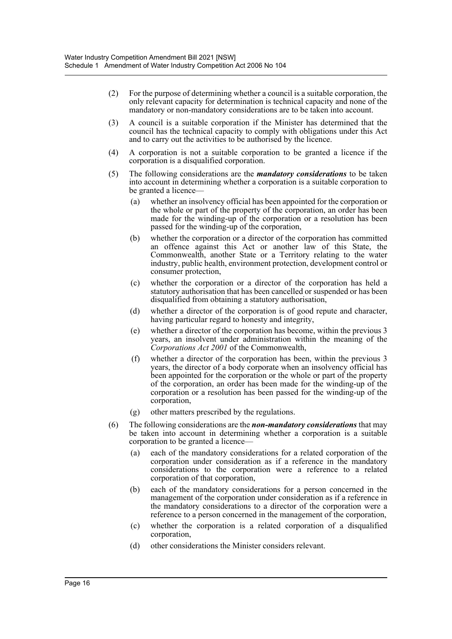- (2) For the purpose of determining whether a council is a suitable corporation, the only relevant capacity for determination is technical capacity and none of the mandatory or non-mandatory considerations are to be taken into account.
- (3) A council is a suitable corporation if the Minister has determined that the council has the technical capacity to comply with obligations under this Act and to carry out the activities to be authorised by the licence.
- (4) A corporation is not a suitable corporation to be granted a licence if the corporation is a disqualified corporation.
- (5) The following considerations are the *mandatory considerations* to be taken into account in determining whether a corporation is a suitable corporation to be granted a licence-
	- (a) whether an insolvency official has been appointed for the corporation or the whole or part of the property of the corporation, an order has been made for the winding-up of the corporation or a resolution has been passed for the winding-up of the corporation,
	- (b) whether the corporation or a director of the corporation has committed an offence against this Act or another law of this State, the Commonwealth, another State or a Territory relating to the water industry, public health, environment protection, development control or consumer protection,
	- (c) whether the corporation or a director of the corporation has held a statutory authorisation that has been cancelled or suspended or has been disqualified from obtaining a statutory authorisation,
	- (d) whether a director of the corporation is of good repute and character, having particular regard to honesty and integrity,
	- (e) whether a director of the corporation has become, within the previous 3 years, an insolvent under administration within the meaning of the *Corporations Act 2001* of the Commonwealth,
	- (f) whether a director of the corporation has been, within the previous 3 years, the director of a body corporate when an insolvency official has been appointed for the corporation or the whole or part of the property of the corporation, an order has been made for the winding-up of the corporation or a resolution has been passed for the winding-up of the corporation,
	- (g) other matters prescribed by the regulations.
- (6) The following considerations are the *non-mandatory considerations* that may be taken into account in determining whether a corporation is a suitable corporation to be granted a licence—
	- (a) each of the mandatory considerations for a related corporation of the corporation under consideration as if a reference in the mandatory considerations to the corporation were a reference to a related corporation of that corporation,
	- (b) each of the mandatory considerations for a person concerned in the management of the corporation under consideration as if a reference in the mandatory considerations to a director of the corporation were a reference to a person concerned in the management of the corporation,
	- (c) whether the corporation is a related corporation of a disqualified corporation,
	- (d) other considerations the Minister considers relevant.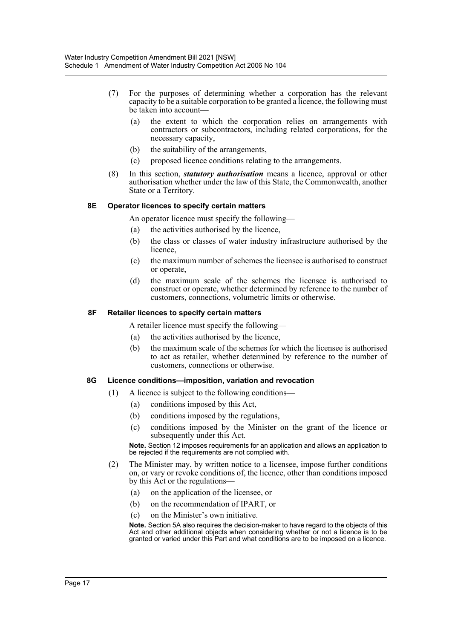- (7) For the purposes of determining whether a corporation has the relevant capacity to be a suitable corporation to be granted a licence, the following must be taken into account-
	- (a) the extent to which the corporation relies on arrangements with contractors or subcontractors, including related corporations, for the necessary capacity,
	- (b) the suitability of the arrangements,
	- (c) proposed licence conditions relating to the arrangements.
- (8) In this section, *statutory authorisation* means a licence, approval or other authorisation whether under the law of this State, the Commonwealth, another State or a Territory.

#### **8E Operator licences to specify certain matters**

An operator licence must specify the following—

- (a) the activities authorised by the licence,
- (b) the class or classes of water industry infrastructure authorised by the licence,
- (c) the maximum number of schemes the licensee is authorised to construct or operate,
- (d) the maximum scale of the schemes the licensee is authorised to construct or operate, whether determined by reference to the number of customers, connections, volumetric limits or otherwise.

#### **8F Retailer licences to specify certain matters**

A retailer licence must specify the following—

- (a) the activities authorised by the licence,
- (b) the maximum scale of the schemes for which the licensee is authorised to act as retailer, whether determined by reference to the number of customers, connections or otherwise.

#### **8G Licence conditions—imposition, variation and revocation**

- (1) A licence is subject to the following conditions—
	- (a) conditions imposed by this Act,
	- (b) conditions imposed by the regulations,
	- (c) conditions imposed by the Minister on the grant of the licence or subsequently under this Act.

**Note.** Section 12 imposes requirements for an application and allows an application to be rejected if the requirements are not complied with.

- (2) The Minister may, by written notice to a licensee, impose further conditions on, or vary or revoke conditions of, the licence, other than conditions imposed by this Act or the regulations—
	- (a) on the application of the licensee, or
	- (b) on the recommendation of IPART, or
	- (c) on the Minister's own initiative.

**Note.** Section 5A also requires the decision-maker to have regard to the objects of this Act and other additional objects when considering whether or not a licence is to be granted or varied under this Part and what conditions are to be imposed on a licence.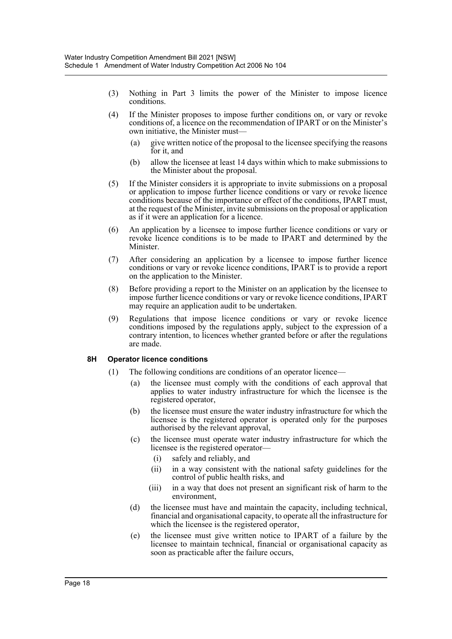- (3) Nothing in Part 3 limits the power of the Minister to impose licence conditions.
- (4) If the Minister proposes to impose further conditions on, or vary or revoke conditions of, a licence on the recommendation of IPART or on the Minister's own initiative, the Minister must—
	- (a) give written notice of the proposal to the licensee specifying the reasons for it, and
	- (b) allow the licensee at least 14 days within which to make submissions to the Minister about the proposal.
- (5) If the Minister considers it is appropriate to invite submissions on a proposal or application to impose further licence conditions or vary or revoke licence conditions because of the importance or effect of the conditions, IPART must, at the request of the Minister, invite submissions on the proposal or application as if it were an application for a licence.
- (6) An application by a licensee to impose further licence conditions or vary or revoke licence conditions is to be made to IPART and determined by the Minister.
- (7) After considering an application by a licensee to impose further licence conditions or vary or revoke licence conditions, IPART is to provide a report on the application to the Minister.
- (8) Before providing a report to the Minister on an application by the licensee to impose further licence conditions or vary or revoke licence conditions, IPART may require an application audit to be undertaken.
- (9) Regulations that impose licence conditions or vary or revoke licence conditions imposed by the regulations apply, subject to the expression of a contrary intention, to licences whether granted before or after the regulations are made.

#### **8H Operator licence conditions**

- (1) The following conditions are conditions of an operator licence—
	- (a) the licensee must comply with the conditions of each approval that applies to water industry infrastructure for which the licensee is the registered operator,
	- (b) the licensee must ensure the water industry infrastructure for which the licensee is the registered operator is operated only for the purposes authorised by the relevant approval,
	- (c) the licensee must operate water industry infrastructure for which the licensee is the registered operator—
		- (i) safely and reliably, and
		- (ii) in a way consistent with the national safety guidelines for the control of public health risks, and
		- (iii) in a way that does not present an significant risk of harm to the environment,
	- (d) the licensee must have and maintain the capacity, including technical, financial and organisational capacity, to operate all the infrastructure for which the licensee is the registered operator,
	- (e) the licensee must give written notice to IPART of a failure by the licensee to maintain technical, financial or organisational capacity as soon as practicable after the failure occurs,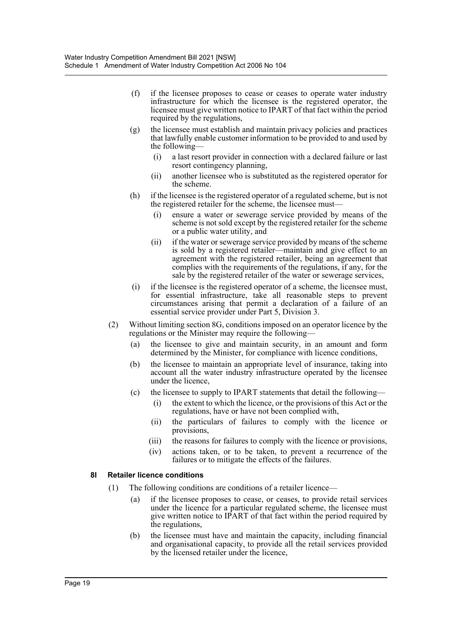- (f) if the licensee proposes to cease or ceases to operate water industry infrastructure for which the licensee is the registered operator, the licensee must give written notice to IPART of that fact within the period required by the regulations,
- (g) the licensee must establish and maintain privacy policies and practices that lawfully enable customer information to be provided to and used by the following—
	- (i) a last resort provider in connection with a declared failure or last resort contingency planning,
	- (ii) another licensee who is substituted as the registered operator for the scheme.
- (h) if the licensee is the registered operator of a regulated scheme, but is not the registered retailer for the scheme, the licensee must—
	- (i) ensure a water or sewerage service provided by means of the scheme is not sold except by the registered retailer for the scheme or a public water utility, and
	- (ii) if the water or sewerage service provided by means of the scheme is sold by a registered retailer—maintain and give effect to an agreement with the registered retailer, being an agreement that complies with the requirements of the regulations, if any, for the sale by the registered retailer of the water or sewerage services,
- (i) if the licensee is the registered operator of a scheme, the licensee must, for essential infrastructure, take all reasonable steps to prevent circumstances arising that permit a declaration of a failure of an essential service provider under Part 5, Division 3.
- (2) Without limiting section 8G, conditions imposed on an operator licence by the regulations or the Minister may require the following—
	- (a) the licensee to give and maintain security, in an amount and form determined by the Minister, for compliance with licence conditions,
	- (b) the licensee to maintain an appropriate level of insurance, taking into account all the water industry infrastructure operated by the licensee under the licence,
	- (c) the licensee to supply to IPART statements that detail the following—
		- (i) the extent to which the licence, or the provisions of this Act or the regulations, have or have not been complied with,
		- (ii) the particulars of failures to comply with the licence or provisions,
		- (iii) the reasons for failures to comply with the licence or provisions,
		- (iv) actions taken, or to be taken, to prevent a recurrence of the failures or to mitigate the effects of the failures.

## **8I Retailer licence conditions**

- (1) The following conditions are conditions of a retailer licence—
	- (a) if the licensee proposes to cease, or ceases, to provide retail services under the licence for a particular regulated scheme, the licensee must give written notice to IPART of that fact within the period required by the regulations,
	- (b) the licensee must have and maintain the capacity, including financial and organisational capacity, to provide all the retail services provided by the licensed retailer under the licence,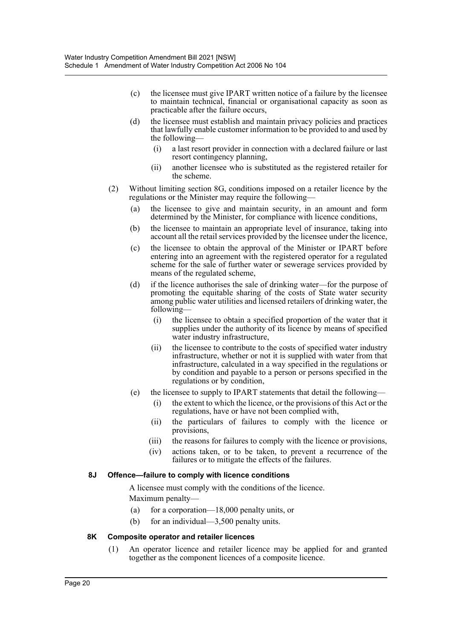- (c) the licensee must give IPART written notice of a failure by the licensee to maintain technical, financial or organisational capacity as soon as practicable after the failure occurs,
- (d) the licensee must establish and maintain privacy policies and practices that lawfully enable customer information to be provided to and used by the following—
	- (i) a last resort provider in connection with a declared failure or last resort contingency planning,
	- (ii) another licensee who is substituted as the registered retailer for the scheme.
- (2) Without limiting section 8G, conditions imposed on a retailer licence by the regulations or the Minister may require the following—
	- (a) the licensee to give and maintain security, in an amount and form determined by the Minister, for compliance with licence conditions,
	- (b) the licensee to maintain an appropriate level of insurance, taking into account all the retail services provided by the licensee under the licence,
	- (c) the licensee to obtain the approval of the Minister or IPART before entering into an agreement with the registered operator for a regulated scheme for the sale of further water or sewerage services provided by means of the regulated scheme,
	- (d) if the licence authorises the sale of drinking water—for the purpose of promoting the equitable sharing of the costs of State water security among public water utilities and licensed retailers of drinking water, the following—
		- (i) the licensee to obtain a specified proportion of the water that it supplies under the authority of its licence by means of specified water industry infrastructure,
		- (ii) the licensee to contribute to the costs of specified water industry infrastructure, whether or not it is supplied with water from that infrastructure, calculated in a way specified in the regulations or by condition and payable to a person or persons specified in the regulations or by condition,
	- (e) the licensee to supply to IPART statements that detail the following—
		- (i) the extent to which the licence, or the provisions of this Act or the regulations, have or have not been complied with,
		- (ii) the particulars of failures to comply with the licence or provisions,
		- (iii) the reasons for failures to comply with the licence or provisions,
		- (iv) actions taken, or to be taken, to prevent a recurrence of the failures or to mitigate the effects of the failures.

#### **8J Offence—failure to comply with licence conditions**

A licensee must comply with the conditions of the licence. Maximum penalty—

- (a) for a corporation—18,000 penalty units, or
- (b) for an individual—3,500 penalty units.

#### **8K Composite operator and retailer licences**

(1) An operator licence and retailer licence may be applied for and granted together as the component licences of a composite licence.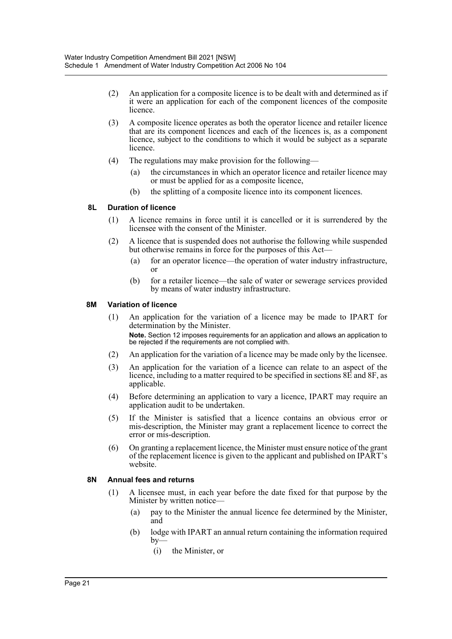- (2) An application for a composite licence is to be dealt with and determined as if it were an application for each of the component licences of the composite licence.
- (3) A composite licence operates as both the operator licence and retailer licence that are its component licences and each of the licences is, as a component licence, subject to the conditions to which it would be subject as a separate licence.
- (4) The regulations may make provision for the following—
	- (a) the circumstances in which an operator licence and retailer licence may or must be applied for as a composite licence,
	- (b) the splitting of a composite licence into its component licences.

#### **8L Duration of licence**

- (1) A licence remains in force until it is cancelled or it is surrendered by the licensee with the consent of the Minister.
- (2) A licence that is suspended does not authorise the following while suspended but otherwise remains in force for the purposes of this Act—
	- (a) for an operator licence—the operation of water industry infrastructure, or
	- (b) for a retailer licence—the sale of water or sewerage services provided by means of water industry infrastructure.

#### **8M Variation of licence**

- (1) An application for the variation of a licence may be made to IPART for determination by the Minister. **Note.** Section 12 imposes requirements for an application and allows an application to be rejected if the requirements are not complied with.
- (2) An application for the variation of a licence may be made only by the licensee.
- (3) An application for the variation of a licence can relate to an aspect of the licence, including to a matter required to be specified in sections 8E and 8F, as applicable.
- (4) Before determining an application to vary a licence, IPART may require an application audit to be undertaken.
- (5) If the Minister is satisfied that a licence contains an obvious error or mis-description, the Minister may grant a replacement licence to correct the error or mis-description.
- (6) On granting a replacement licence, the Minister must ensure notice of the grant of the replacement licence is given to the applicant and published on IPART's website.

#### **8N Annual fees and returns**

- (1) A licensee must, in each year before the date fixed for that purpose by the Minister by written notice—
	- (a) pay to the Minister the annual licence fee determined by the Minister, and
	- (b) lodge with IPART an annual return containing the information required  $by-$ 
		- (i) the Minister, or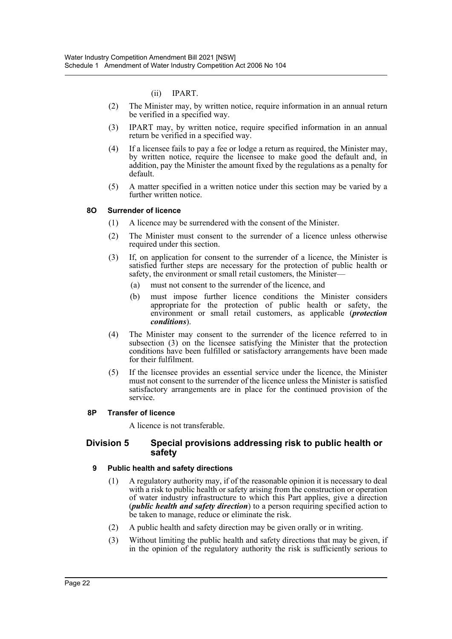(ii) IPART.

- (2) The Minister may, by written notice, require information in an annual return be verified in a specified way.
- (3) IPART may, by written notice, require specified information in an annual return be verified in a specified way.
- (4) If a licensee fails to pay a fee or lodge a return as required, the Minister may, by written notice, require the licensee to make good the default and, in addition, pay the Minister the amount fixed by the regulations as a penalty for default.
- (5) A matter specified in a written notice under this section may be varied by a further written notice.

### **8O Surrender of licence**

- (1) A licence may be surrendered with the consent of the Minister.
- (2) The Minister must consent to the surrender of a licence unless otherwise required under this section.
- (3) If, on application for consent to the surrender of a licence, the Minister is satisfied further steps are necessary for the protection of public health or safety, the environment or small retail customers, the Minister—
	- (a) must not consent to the surrender of the licence, and
	- (b) must impose further licence conditions the Minister considers appropriate for the protection of public health or safety, the environment or small retail customers, as applicable (*protection conditions*).
- (4) The Minister may consent to the surrender of the licence referred to in subsection (3) on the licensee satisfying the Minister that the protection conditions have been fulfilled or satisfactory arrangements have been made for their fulfilment.
- (5) If the licensee provides an essential service under the licence, the Minister must not consent to the surrender of the licence unless the Minister is satisfied satisfactory arrangements are in place for the continued provision of the service.

#### **8P Transfer of licence**

A licence is not transferable.

### **Division 5 Special provisions addressing risk to public health or safety**

#### **9 Public health and safety directions**

- (1) A regulatory authority may, if of the reasonable opinion it is necessary to deal with a risk to public health or safety arising from the construction or operation of water industry infrastructure to which this Part applies, give a direction (*public health and safety direction*) to a person requiring specified action to be taken to manage, reduce or eliminate the risk.
- (2) A public health and safety direction may be given orally or in writing.
- (3) Without limiting the public health and safety directions that may be given, if in the opinion of the regulatory authority the risk is sufficiently serious to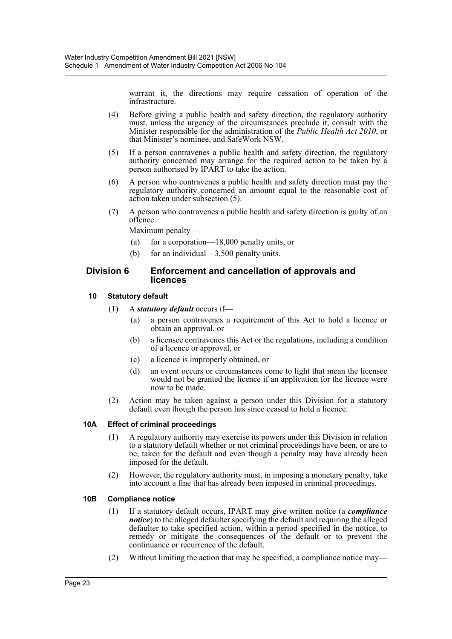warrant it, the directions may require cessation of operation of the infrastructure.

- (4) Before giving a public health and safety direction, the regulatory authority must, unless the urgency of the circumstances preclude it, consult with the Minister responsible for the administration of the *Public Health Act 2010*, or that Minister's nominee, and SafeWork NSW.
- (5) If a person contravenes a public health and safety direction, the regulatory authority concerned may arrange for the required action to be taken by a person authorised by IPART to take the action.
- (6) A person who contravenes a public health and safety direction must pay the regulatory authority concerned an amount equal to the reasonable cost of action taken under subsection (5).
- (7) A person who contravenes a public health and safety direction is guilty of an offence.

Maximum penalty—

- (a) for a corporation—18,000 penalty units, or
- (b) for an individual—3,500 penalty units.

## **Division 6 Enforcement and cancellation of approvals and licences**

### **10 Statutory default**

- (1) A *statutory default* occurs if—
	- (a) a person contravenes a requirement of this Act to hold a licence or obtain an approval, or
	- (b) a licensee contravenes this Act or the regulations, including a condition of a licence or approval, or
	- (c) a licence is improperly obtained, or
	- (d) an event occurs or circumstances come to light that mean the licensee would not be granted the licence if an application for the licence were now to be made.
- (2) Action may be taken against a person under this Division for a statutory default even though the person has since ceased to hold a licence.

## **10A Effect of criminal proceedings**

- (1) A regulatory authority may exercise its powers under this Division in relation to a statutory default whether or not criminal proceedings have been, or are to be, taken for the default and even though a penalty may have already been imposed for the default.
- (2) However, the regulatory authority must, in imposing a monetary penalty, take into account a fine that has already been imposed in criminal proceedings.

#### **10B Compliance notice**

- (1) If a statutory default occurs, IPART may give written notice (a *compliance notice*) to the alleged defaulter specifying the default and requiring the alleged defaulter to take specified action, within a period specified in the notice, to remedy or mitigate the consequences of the default or to prevent the continuance or recurrence of the default.
- (2) Without limiting the action that may be specified, a compliance notice may—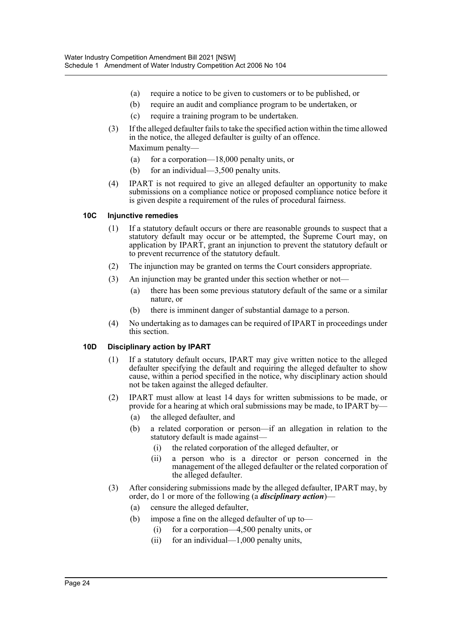- (a) require a notice to be given to customers or to be published, or
- (b) require an audit and compliance program to be undertaken, or
- (c) require a training program to be undertaken.
- (3) If the alleged defaulter fails to take the specified action within the time allowed in the notice, the alleged defaulter is guilty of an offence. Maximum penalty—
	- (a) for a corporation—18,000 penalty units, or
	- (b) for an individual—3,500 penalty units.
- (4) IPART is not required to give an alleged defaulter an opportunity to make submissions on a compliance notice or proposed compliance notice before it is given despite a requirement of the rules of procedural fairness.

### **10C Injunctive remedies**

- (1) If a statutory default occurs or there are reasonable grounds to suspect that a statutory default may occur or be attempted, the Supreme Court may, on application by IPART, grant an injunction to prevent the statutory default or to prevent recurrence of the statutory default.
- (2) The injunction may be granted on terms the Court considers appropriate.
- (3) An injunction may be granted under this section whether or not—
	- (a) there has been some previous statutory default of the same or a similar nature, or
	- (b) there is imminent danger of substantial damage to a person.
- (4) No undertaking as to damages can be required of IPART in proceedings under this section.

#### **10D Disciplinary action by IPART**

- (1) If a statutory default occurs, IPART may give written notice to the alleged defaulter specifying the default and requiring the alleged defaulter to show cause, within a period specified in the notice, why disciplinary action should not be taken against the alleged defaulter.
- (2) IPART must allow at least 14 days for written submissions to be made, or provide for a hearing at which oral submissions may be made, to IPART by—
	- (a) the alleged defaulter, and
	- (b) a related corporation or person—if an allegation in relation to the statutory default is made against—
		- (i) the related corporation of the alleged defaulter, or
		- (ii) a person who is a director or person concerned in the management of the alleged defaulter or the related corporation of the alleged defaulter.
- (3) After considering submissions made by the alleged defaulter, IPART may, by order, do 1 or more of the following (a *disciplinary action*)—
	- (a) censure the alleged defaulter,
	- (b) impose a fine on the alleged defaulter of up to—
		- (i) for a corporation—4,500 penalty units, or
		- (ii) for an individual—1,000 penalty units,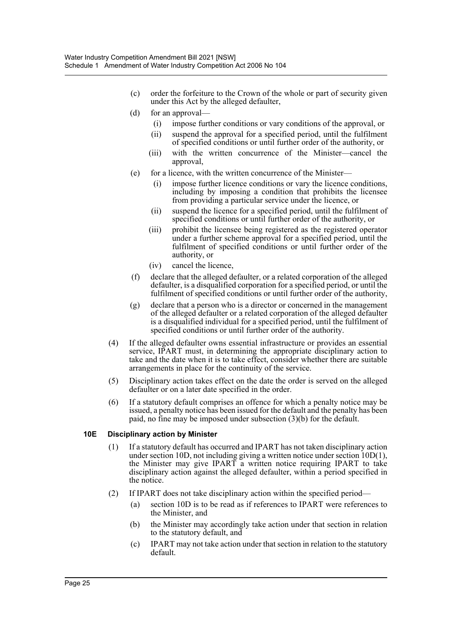- (c) order the forfeiture to the Crown of the whole or part of security given under this Act by the alleged defaulter,
- (d) for an approval—
	- (i) impose further conditions or vary conditions of the approval, or
	- (ii) suspend the approval for a specified period, until the fulfilment of specified conditions or until further order of the authority, or
	- (iii) with the written concurrence of the Minister—cancel the approval,
- (e) for a licence, with the written concurrence of the Minister—
	- (i) impose further licence conditions or vary the licence conditions, including by imposing a condition that prohibits the licensee from providing a particular service under the licence, or
	- (ii) suspend the licence for a specified period, until the fulfilment of specified conditions or until further order of the authority, or
	- (iii) prohibit the licensee being registered as the registered operator under a further scheme approval for a specified period, until the fulfilment of specified conditions or until further order of the authority, or
	- (iv) cancel the licence,
- (f) declare that the alleged defaulter, or a related corporation of the alleged defaulter, is a disqualified corporation for a specified period, or until the fulfilment of specified conditions or until further order of the authority,
- (g) declare that a person who is a director or concerned in the management of the alleged defaulter or a related corporation of the alleged defaulter is a disqualified individual for a specified period, until the fulfilment of specified conditions or until further order of the authority.
- (4) If the alleged defaulter owns essential infrastructure or provides an essential service, IPART must, in determining the appropriate disciplinary action to take and the date when it is to take effect, consider whether there are suitable arrangements in place for the continuity of the service.
- (5) Disciplinary action takes effect on the date the order is served on the alleged defaulter or on a later date specified in the order.
- (6) If a statutory default comprises an offence for which a penalty notice may be issued, a penalty notice has been issued for the default and the penalty has been paid, no fine may be imposed under subsection (3)(b) for the default.

## **10E Disciplinary action by Minister**

- (1) If a statutory default has occurred and IPART has not taken disciplinary action under section 10D, not including giving a written notice under section 10D(1), the Minister may give IPART a written notice requiring IPART to take disciplinary action against the alleged defaulter, within a period specified in the notice.
- (2) If IPART does not take disciplinary action within the specified period—
	- (a) section 10D is to be read as if references to IPART were references to the Minister, and
	- (b) the Minister may accordingly take action under that section in relation to the statutory default, and
	- (c) IPART may not take action under that section in relation to the statutory default.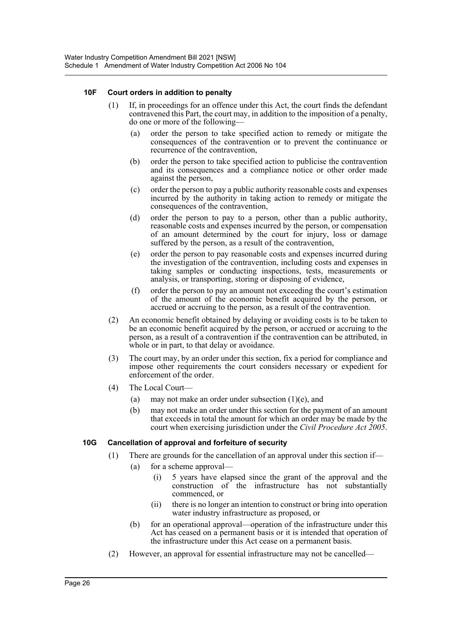#### **10F Court orders in addition to penalty**

- (1) If, in proceedings for an offence under this Act, the court finds the defendant contravened this Part, the court may, in addition to the imposition of a penalty, do one or more of the following—
	- (a) order the person to take specified action to remedy or mitigate the consequences of the contravention or to prevent the continuance or recurrence of the contravention,
	- (b) order the person to take specified action to publicise the contravention and its consequences and a compliance notice or other order made against the person,
	- (c) order the person to pay a public authority reasonable costs and expenses incurred by the authority in taking action to remedy or mitigate the consequences of the contravention,
	- (d) order the person to pay to a person, other than a public authority, reasonable costs and expenses incurred by the person, or compensation of an amount determined by the court for injury, loss or damage suffered by the person, as a result of the contravention,
	- (e) order the person to pay reasonable costs and expenses incurred during the investigation of the contravention, including costs and expenses in taking samples or conducting inspections, tests, measurements or analysis, or transporting, storing or disposing of evidence,
	- (f) order the person to pay an amount not exceeding the court's estimation of the amount of the economic benefit acquired by the person, or accrued or accruing to the person, as a result of the contravention.
- (2) An economic benefit obtained by delaying or avoiding costs is to be taken to be an economic benefit acquired by the person, or accrued or accruing to the person, as a result of a contravention if the contravention can be attributed, in whole or in part, to that delay or avoidance.
- (3) The court may, by an order under this section, fix a period for compliance and impose other requirements the court considers necessary or expedient for enforcement of the order.
- (4) The Local Court—
	- (a) may not make an order under subsection  $(1)(e)$ , and
	- (b) may not make an order under this section for the payment of an amount that exceeds in total the amount for which an order may be made by the court when exercising jurisdiction under the *Civil Procedure Act 2005*.

#### **10G Cancellation of approval and forfeiture of security**

- (1) There are grounds for the cancellation of an approval under this section if—
	- (a) for a scheme approval—
		- (i) 5 years have elapsed since the grant of the approval and the construction of the infrastructure has not substantially commenced, or
		- (ii) there is no longer an intention to construct or bring into operation water industry infrastructure as proposed, or
	- (b) for an operational approval—operation of the infrastructure under this Act has ceased on a permanent basis or it is intended that operation of the infrastructure under this Act cease on a permanent basis.
- (2) However, an approval for essential infrastructure may not be cancelled—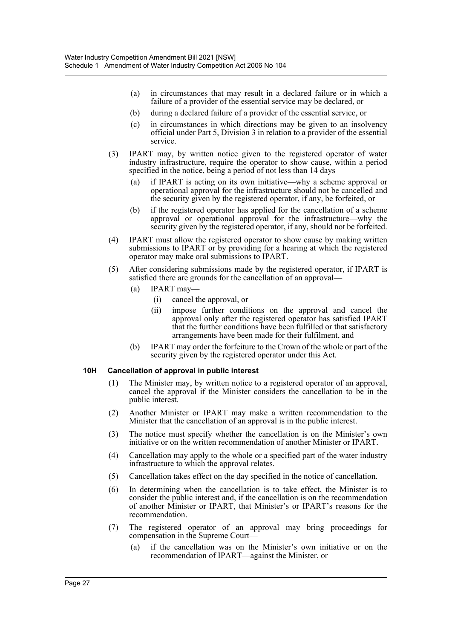- (a) in circumstances that may result in a declared failure or in which a failure of a provider of the essential service may be declared, or
- (b) during a declared failure of a provider of the essential service, or
- (c) in circumstances in which directions may be given to an insolvency official under Part 5, Division 3 in relation to a provider of the essential service.
- (3) IPART may, by written notice given to the registered operator of water industry infrastructure, require the operator to show cause, within a period specified in the notice, being a period of not less than 14 days—
	- (a) if IPART is acting on its own initiative—why a scheme approval or operational approval for the infrastructure should not be cancelled and the security given by the registered operator, if any, be forfeited, or
	- (b) if the registered operator has applied for the cancellation of a scheme approval or operational approval for the infrastructure—why the security given by the registered operator, if any, should not be forfeited.
- (4) IPART must allow the registered operator to show cause by making written submissions to IPART or by providing for a hearing at which the registered operator may make oral submissions to IPART.
- (5) After considering submissions made by the registered operator, if IPART is satisfied there are grounds for the cancellation of an approval—
	- (a) IPART may—
		- (i) cancel the approval, or
		- (ii) impose further conditions on the approval and cancel the approval only after the registered operator has satisfied IPART that the further conditions have been fulfilled or that satisfactory arrangements have been made for their fulfilment, and
	- (b) IPART may order the forfeiture to the Crown of the whole or part of the security given by the registered operator under this Act.

#### **10H Cancellation of approval in public interest**

- (1) The Minister may, by written notice to a registered operator of an approval, cancel the approval if the Minister considers the cancellation to be in the public interest.
- (2) Another Minister or IPART may make a written recommendation to the Minister that the cancellation of an approval is in the public interest.
- (3) The notice must specify whether the cancellation is on the Minister's own initiative or on the written recommendation of another Minister or IPART.
- (4) Cancellation may apply to the whole or a specified part of the water industry infrastructure to which the approval relates.
- (5) Cancellation takes effect on the day specified in the notice of cancellation.
- (6) In determining when the cancellation is to take effect, the Minister is to consider the public interest and, if the cancellation is on the recommendation of another Minister or IPART, that Minister's or IPART's reasons for the recommendation.
- (7) The registered operator of an approval may bring proceedings for compensation in the Supreme Court—
	- (a) if the cancellation was on the Minister's own initiative or on the recommendation of IPART—against the Minister, or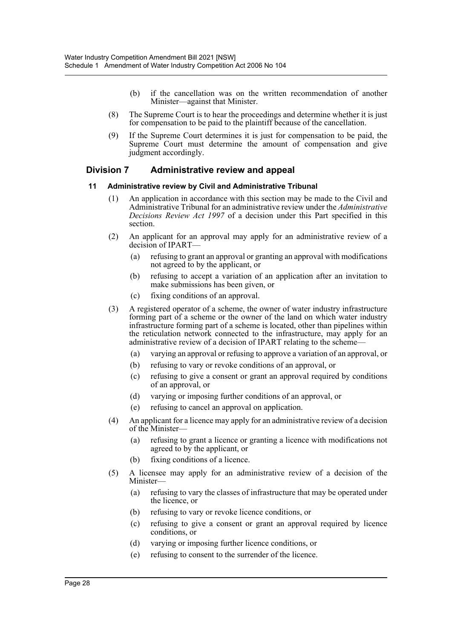- (b) if the cancellation was on the written recommendation of another Minister—against that Minister.
- (8) The Supreme Court is to hear the proceedings and determine whether it is just for compensation to be paid to the plaintiff because of the cancellation.
- (9) If the Supreme Court determines it is just for compensation to be paid, the Supreme Court must determine the amount of compensation and give judgment accordingly.

## **Division 7 Administrative review and appeal**

### **11 Administrative review by Civil and Administrative Tribunal**

- (1) An application in accordance with this section may be made to the Civil and Administrative Tribunal for an administrative review under the *Administrative Decisions Review Act 1997* of a decision under this Part specified in this section.
- (2) An applicant for an approval may apply for an administrative review of a decision of IPART-
	- (a) refusing to grant an approval or granting an approval with modifications not agreed to by the applicant, or
	- (b) refusing to accept a variation of an application after an invitation to make submissions has been given, or
	- (c) fixing conditions of an approval.
- (3) A registered operator of a scheme, the owner of water industry infrastructure forming part of a scheme or the owner of the land on which water industry infrastructure forming part of a scheme is located, other than pipelines within the reticulation network connected to the infrastructure, may apply for an administrative review of a decision of IPART relating to the scheme—
	- (a) varying an approval or refusing to approve a variation of an approval, or
	- (b) refusing to vary or revoke conditions of an approval, or
	- (c) refusing to give a consent or grant an approval required by conditions of an approval, or
	- (d) varying or imposing further conditions of an approval, or
	- (e) refusing to cancel an approval on application.
- (4) An applicant for a licence may apply for an administrative review of a decision of the Minister—
	- (a) refusing to grant a licence or granting a licence with modifications not agreed to by the applicant, or
	- (b) fixing conditions of a licence.
- (5) A licensee may apply for an administrative review of a decision of the Minister—
	- (a) refusing to vary the classes of infrastructure that may be operated under the licence, or
	- (b) refusing to vary or revoke licence conditions, or
	- (c) refusing to give a consent or grant an approval required by licence conditions, or
	- (d) varying or imposing further licence conditions, or
	- (e) refusing to consent to the surrender of the licence.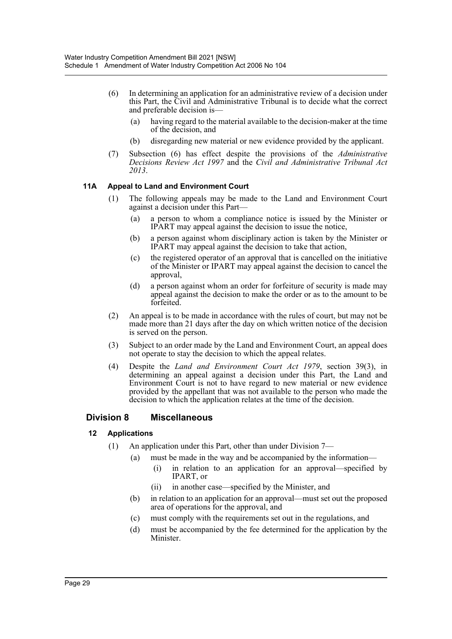- (6) In determining an application for an administrative review of a decision under this Part, the Civil and Administrative Tribunal is to decide what the correct and preferable decision is—
	- (a) having regard to the material available to the decision-maker at the time of the decision, and
	- (b) disregarding new material or new evidence provided by the applicant.
- (7) Subsection (6) has effect despite the provisions of the *Administrative Decisions Review Act 1997* and the *Civil and Administrative Tribunal Act 2013*.

### **11A Appeal to Land and Environment Court**

- (1) The following appeals may be made to the Land and Environment Court against a decision under this Part—
	- (a) a person to whom a compliance notice is issued by the Minister or IPART may appeal against the decision to issue the notice,
	- (b) a person against whom disciplinary action is taken by the Minister or IPART may appeal against the decision to take that action,
	- (c) the registered operator of an approval that is cancelled on the initiative of the Minister or IPART may appeal against the decision to cancel the approval,
	- (d) a person against whom an order for forfeiture of security is made may appeal against the decision to make the order or as to the amount to be forfeited.
- (2) An appeal is to be made in accordance with the rules of court, but may not be made more than 21 days after the day on which written notice of the decision is served on the person.
- (3) Subject to an order made by the Land and Environment Court, an appeal does not operate to stay the decision to which the appeal relates.
- (4) Despite the *Land and Environment Court Act 1979*, section 39(3), in determining an appeal against a decision under this Part, the Land and Environment Court is not to have regard to new material or new evidence provided by the appellant that was not available to the person who made the decision to which the application relates at the time of the decision.

## **Division 8 Miscellaneous**

#### **12 Applications**

- (1) An application under this Part, other than under Division 7—
	- (a) must be made in the way and be accompanied by the information—
		- (i) in relation to an application for an approval—specified by IPART, or
		- (ii) in another case—specified by the Minister, and
	- (b) in relation to an application for an approval—must set out the proposed area of operations for the approval, and
	- (c) must comply with the requirements set out in the regulations, and
	- (d) must be accompanied by the fee determined for the application by the Minister.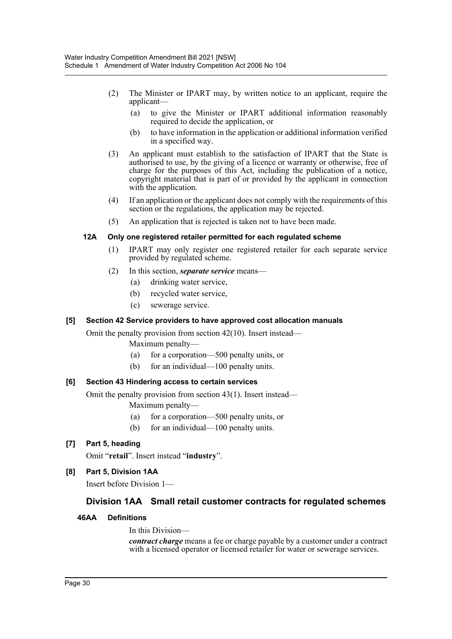- (2) The Minister or IPART may, by written notice to an applicant, require the applicant—
	- (a) to give the Minister or IPART additional information reasonably required to decide the application, or
	- (b) to have information in the application or additional information verified in a specified way.
- (3) An applicant must establish to the satisfaction of IPART that the State is authorised to use, by the giving of a licence or warranty or otherwise, free of charge for the purposes of this Act, including the publication of a notice, copyright material that is part of or provided by the applicant in connection with the application.
- (4) If an application or the applicant does not comply with the requirements of this section or the regulations, the application may be rejected.
- (5) An application that is rejected is taken not to have been made.

### **12A Only one registered retailer permitted for each regulated scheme**

- (1) IPART may only register one registered retailer for each separate service provided by regulated scheme.
- (2) In this section, *separate service* means—
	- (a) drinking water service,
	- (b) recycled water service,
	- (c) sewerage service.

## **[5] Section 42 Service providers to have approved cost allocation manuals**

Omit the penalty provision from section 42(10). Insert instead—

Maximum penalty—

- (a) for a corporation—500 penalty units, or
- (b) for an individual—100 penalty units.

#### **[6] Section 43 Hindering access to certain services**

Omit the penalty provision from section 43(1). Insert instead—

Maximum penalty—

- (a) for a corporation—500 penalty units, or
- (b) for an individual—100 penalty units.

## **[7] Part 5, heading**

Omit "**retail**". Insert instead "**industry**".

## **[8] Part 5, Division 1AA**

Insert before Division 1—

## **Division 1AA Small retail customer contracts for regulated schemes**

## **46AA Definitions**

#### In this Division—

*contract charge* means a fee or charge payable by a customer under a contract with a licensed operator or licensed retailer for water or sewerage services.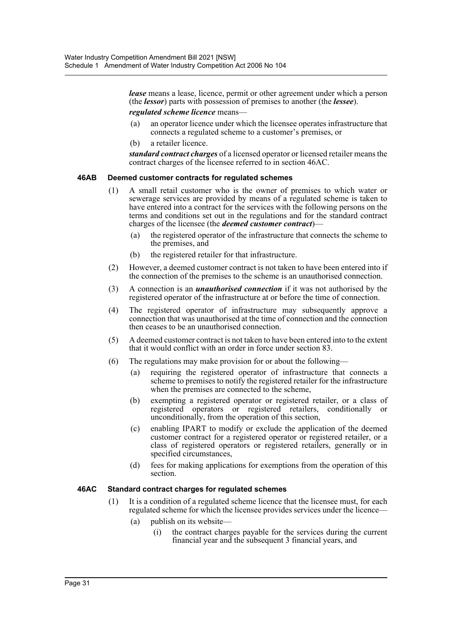*lease* means a lease, licence, permit or other agreement under which a person (the *lessor*) parts with possession of premises to another (the *lessee*).

#### *regulated scheme licence* means—

- (a) an operator licence under which the licensee operates infrastructure that connects a regulated scheme to a customer's premises, or
- (b) a retailer licence.

*standard contract charges* of a licensed operator or licensed retailer means the contract charges of the licensee referred to in section 46AC.

#### **46AB Deemed customer contracts for regulated schemes**

- (1) A small retail customer who is the owner of premises to which water or sewerage services are provided by means of a regulated scheme is taken to have entered into a contract for the services with the following persons on the terms and conditions set out in the regulations and for the standard contract charges of the licensee (the *deemed customer contract*)—
	- (a) the registered operator of the infrastructure that connects the scheme to the premises, and
	- (b) the registered retailer for that infrastructure.
- (2) However, a deemed customer contract is not taken to have been entered into if the connection of the premises to the scheme is an unauthorised connection.
- (3) A connection is an *unauthorised connection* if it was not authorised by the registered operator of the infrastructure at or before the time of connection.
- (4) The registered operator of infrastructure may subsequently approve a connection that was unauthorised at the time of connection and the connection then ceases to be an unauthorised connection.
- (5) A deemed customer contract is not taken to have been entered into to the extent that it would conflict with an order in force under section 83.
- (6) The regulations may make provision for or about the following—
	- (a) requiring the registered operator of infrastructure that connects a scheme to premises to notify the registered retailer for the infrastructure when the premises are connected to the scheme,
	- (b) exempting a registered operator or registered retailer, or a class of registered operators or registered retailers, conditionally unconditionally, from the operation of this section,
	- (c) enabling IPART to modify or exclude the application of the deemed customer contract for a registered operator or registered retailer, or a class of registered operators or registered retailers, generally or in specified circumstances,
	- (d) fees for making applications for exemptions from the operation of this section.

#### **46AC Standard contract charges for regulated schemes**

- (1) It is a condition of a regulated scheme licence that the licensee must, for each regulated scheme for which the licensee provides services under the licence—
	- (a) publish on its website—
		- (i) the contract charges payable for the services during the current financial year and the subsequent 3 financial years, and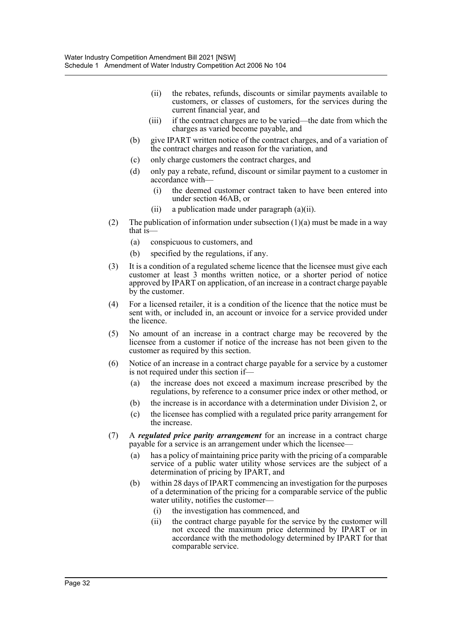- (ii) the rebates, refunds, discounts or similar payments available to customers, or classes of customers, for the services during the current financial year, and
- (iii) if the contract charges are to be varied—the date from which the charges as varied become payable, and
- (b) give IPART written notice of the contract charges, and of a variation of the contract charges and reason for the variation, and
- (c) only charge customers the contract charges, and
- (d) only pay a rebate, refund, discount or similar payment to a customer in accordance with—
	- (i) the deemed customer contract taken to have been entered into under section 46AB, or
	- (ii) a publication made under paragraph (a)(ii).
- (2) The publication of information under subsection  $(1)(a)$  must be made in a way that is—
	- (a) conspicuous to customers, and
	- (b) specified by the regulations, if any.
- (3) It is a condition of a regulated scheme licence that the licensee must give each customer at least 3 months written notice, or a shorter period of notice approved by IPART on application, of an increase in a contract charge payable by the customer.
- (4) For a licensed retailer, it is a condition of the licence that the notice must be sent with, or included in, an account or invoice for a service provided under the licence.
- (5) No amount of an increase in a contract charge may be recovered by the licensee from a customer if notice of the increase has not been given to the customer as required by this section.
- (6) Notice of an increase in a contract charge payable for a service by a customer is not required under this section if—
	- (a) the increase does not exceed a maximum increase prescribed by the regulations, by reference to a consumer price index or other method, or
	- (b) the increase is in accordance with a determination under Division 2, or
	- (c) the licensee has complied with a regulated price parity arrangement for the increase.
- (7) A *regulated price parity arrangement* for an increase in a contract charge payable for a service is an arrangement under which the licensee—
	- (a) has a policy of maintaining price parity with the pricing of a comparable service of a public water utility whose services are the subject of a determination of pricing by IPART, and
	- (b) within 28 days of IPART commencing an investigation for the purposes of a determination of the pricing for a comparable service of the public water utility, notifies the customer—
		- (i) the investigation has commenced, and
		- (ii) the contract charge payable for the service by the customer will not exceed the maximum price determined by IPART or in accordance with the methodology determined by IPART for that comparable service.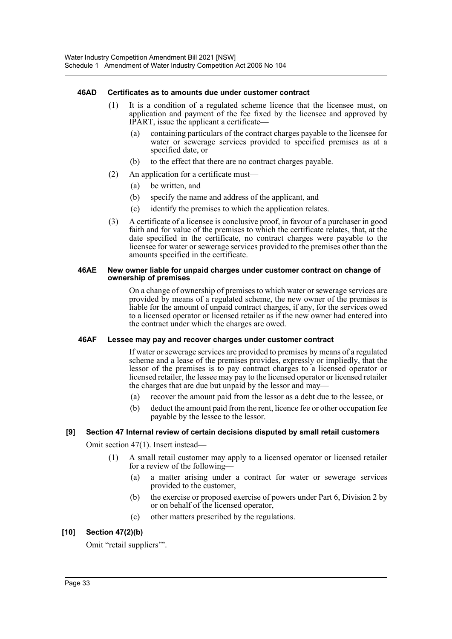#### **46AD Certificates as to amounts due under customer contract**

- (1) It is a condition of a regulated scheme licence that the licensee must, on application and payment of the fee fixed by the licensee and approved by IPART, issue the applicant a certificate—
	- (a) containing particulars of the contract charges payable to the licensee for water or sewerage services provided to specified premises as at a specified date, or
	- (b) to the effect that there are no contract charges payable.
- (2) An application for a certificate must—
	- (a) be written, and
	- (b) specify the name and address of the applicant, and
	- (c) identify the premises to which the application relates.
- (3) A certificate of a licensee is conclusive proof, in favour of a purchaser in good faith and for value of the premises to which the certificate relates, that, at the date specified in the certificate, no contract charges were payable to the licensee for water or sewerage services provided to the premises other than the amounts specified in the certificate.

#### **46AE New owner liable for unpaid charges under customer contract on change of ownership of premises**

On a change of ownership of premises to which water or sewerage services are provided by means of a regulated scheme, the new owner of the premises is liable for the amount of unpaid contract charges, if any, for the services owed to a licensed operator or licensed retailer as if the new owner had entered into the contract under which the charges are owed.

#### **46AF Lessee may pay and recover charges under customer contract**

If water or sewerage services are provided to premises by means of a regulated scheme and a lease of the premises provides, expressly or impliedly, that the lessor of the premises is to pay contract charges to a licensed operator or licensed retailer, the lessee may pay to the licensed operator or licensed retailer the charges that are due but unpaid by the lessor and may—

- (a) recover the amount paid from the lessor as a debt due to the lessee, or
- (b) deduct the amount paid from the rent, licence fee or other occupation fee payable by the lessee to the lessor.

#### **[9] Section 47 Internal review of certain decisions disputed by small retail customers**

Omit section 47(1). Insert instead—

- (1) A small retail customer may apply to a licensed operator or licensed retailer for a review of the following—
	- (a) a matter arising under a contract for water or sewerage services provided to the customer,
	- (b) the exercise or proposed exercise of powers under Part 6, Division 2 by or on behalf of the licensed operator,
	- (c) other matters prescribed by the regulations.

## **[10] Section 47(2)(b)**

Omit "retail suppliers'".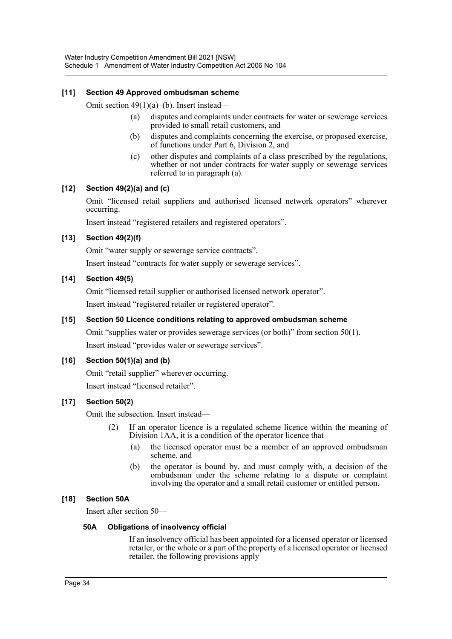## **[11] Section 49 Approved ombudsman scheme**

Omit section 49(1)(a)–(b). Insert instead—

- (a) disputes and complaints under contracts for water or sewerage services provided to small retail customers, and
- (b) disputes and complaints concerning the exercise, or proposed exercise, of functions under Part 6, Division 2, and
- (c) other disputes and complaints of a class prescribed by the regulations, whether or not under contracts for water supply or sewerage services referred to in paragraph (a).

#### **[12] Section 49(2)(a) and (c)**

Omit "licensed retail suppliers and authorised licensed network operators" wherever occurring.

Insert instead "registered retailers and registered operators".

### **[13] Section 49(2)(f)**

Omit "water supply or sewerage service contracts".

Insert instead "contracts for water supply or sewerage services".

#### **[14] Section 49(5)**

Omit "licensed retail supplier or authorised licensed network operator".

Insert instead "registered retailer or registered operator".

#### **[15] Section 50 Licence conditions relating to approved ombudsman scheme**

Omit "supplies water or provides sewerage services (or both)" from section 50(1). Insert instead "provides water or sewerage services".

#### **[16] Section 50(1)(a) and (b)**

Omit "retail supplier" wherever occurring.

Insert instead "licensed retailer".

## **[17] Section 50(2)**

Omit the subsection. Insert instead—

- (2) If an operator licence is a regulated scheme licence within the meaning of Division 1AA, it is a condition of the operator licence that—
	- (a) the licensed operator must be a member of an approved ombudsman scheme, and
	- (b) the operator is bound by, and must comply with, a decision of the ombudsman under the scheme relating to a dispute or complaint involving the operator and a small retail customer or entitled person.

#### **[18] Section 50A**

Insert after section 50—

#### **50A Obligations of insolvency official**

If an insolvency official has been appointed for a licensed operator or licensed retailer, or the whole or a part of the property of a licensed operator or licensed retailer, the following provisions apply—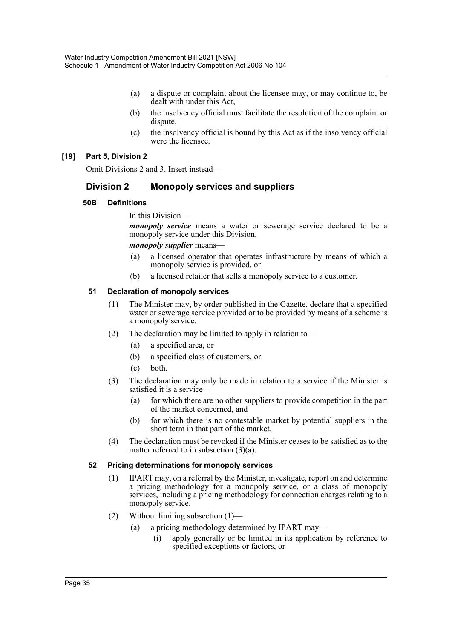- (a) a dispute or complaint about the licensee may, or may continue to, be dealt with under this Act,
- (b) the insolvency official must facilitate the resolution of the complaint or dispute,
- (c) the insolvency official is bound by this Act as if the insolvency official were the licensee.

## **[19] Part 5, Division 2**

Omit Divisions 2 and 3. Insert instead—

## **Division 2 Monopoly services and suppliers**

### **50B Definitions**

In this Division—

*monopoly service* means a water or sewerage service declared to be a monopoly service under this Division.

#### *monopoly supplier* means—

- (a) a licensed operator that operates infrastructure by means of which a monopoly service is provided, or
- (b) a licensed retailer that sells a monopoly service to a customer.

### **51 Declaration of monopoly services**

- (1) The Minister may, by order published in the Gazette, declare that a specified water or sewerage service provided or to be provided by means of a scheme is a monopoly service.
- (2) The declaration may be limited to apply in relation to—
	- (a) a specified area, or
	- (b) a specified class of customers, or
	- (c) both.
- (3) The declaration may only be made in relation to a service if the Minister is satisfied it is a service—
	- (a) for which there are no other suppliers to provide competition in the part of the market concerned, and
	- (b) for which there is no contestable market by potential suppliers in the short term in that part of the market.
- (4) The declaration must be revoked if the Minister ceases to be satisfied as to the matter referred to in subsection (3)(a).

#### **52 Pricing determinations for monopoly services**

- (1) IPART may, on a referral by the Minister, investigate, report on and determine a pricing methodology for a monopoly service, or a class of monopoly services, including a pricing methodology for connection charges relating to a monopoly service.
- (2) Without limiting subsection (1)—
	- (a) a pricing methodology determined by IPART may—
		- (i) apply generally or be limited in its application by reference to specified exceptions or factors, or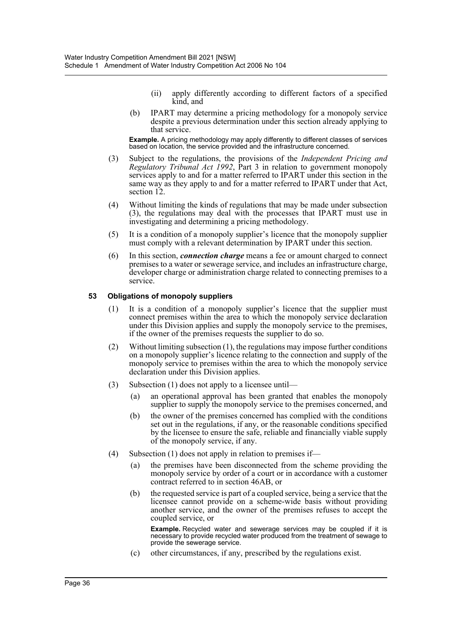- (ii) apply differently according to different factors of a specified kind, and
- (b) IPART may determine a pricing methodology for a monopoly service despite a previous determination under this section already applying to that service.

**Example.** A pricing methodology may apply differently to different classes of services based on location, the service provided and the infrastructure concerned.

- (3) Subject to the regulations, the provisions of the *Independent Pricing and Regulatory Tribunal Act 1992*, Part 3 in relation to government monopoly services apply to and for a matter referred to IPART under this section in the same way as they apply to and for a matter referred to IPART under that Act, section 12.
- (4) Without limiting the kinds of regulations that may be made under subsection (3), the regulations may deal with the processes that IPART must use in investigating and determining a pricing methodology.
- (5) It is a condition of a monopoly supplier's licence that the monopoly supplier must comply with a relevant determination by IPART under this section.
- (6) In this section, *connection charge* means a fee or amount charged to connect premises to a water or sewerage service, and includes an infrastructure charge, developer charge or administration charge related to connecting premises to a service.

## **53 Obligations of monopoly suppliers**

- (1) It is a condition of a monopoly supplier's licence that the supplier must connect premises within the area to which the monopoly service declaration under this Division applies and supply the monopoly service to the premises, if the owner of the premises requests the supplier to do so.
- (2) Without limiting subsection (1), the regulations may impose further conditions on a monopoly supplier's licence relating to the connection and supply of the monopoly service to premises within the area to which the monopoly service declaration under this Division applies.
- (3) Subsection (1) does not apply to a licensee until—
	- (a) an operational approval has been granted that enables the monopoly supplier to supply the monopoly service to the premises concerned, and
	- (b) the owner of the premises concerned has complied with the conditions set out in the regulations, if any, or the reasonable conditions specified by the licensee to ensure the safe, reliable and financially viable supply of the monopoly service, if any.
- (4) Subsection (1) does not apply in relation to premises if—
	- (a) the premises have been disconnected from the scheme providing the monopoly service by order of a court or in accordance with a customer contract referred to in section 46AB, or
	- (b) the requested service is part of a coupled service, being a service that the licensee cannot provide on a scheme-wide basis without providing another service, and the owner of the premises refuses to accept the coupled service, or

**Example.** Recycled water and sewerage services may be coupled if it is necessary to provide recycled water produced from the treatment of sewage to provide the sewerage service.

(c) other circumstances, if any, prescribed by the regulations exist.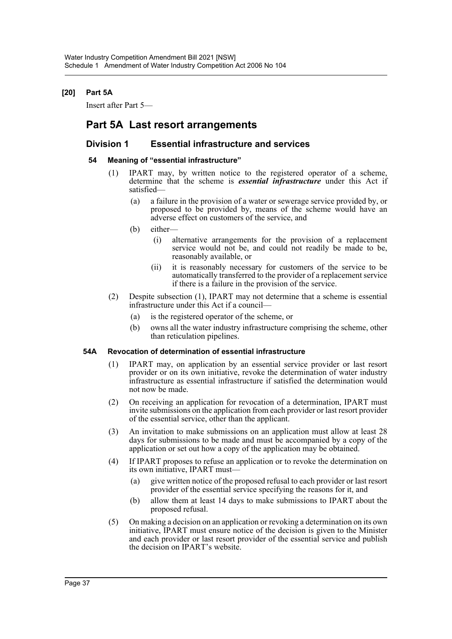# **[20] Part 5A**

Insert after Part 5—

# **Part 5A Last resort arrangements**

# **Division 1 Essential infrastructure and services**

## **54 Meaning of "essential infrastructure"**

- (1) IPART may, by written notice to the registered operator of a scheme, determine that the scheme is *essential infrastructure* under this Act if satisfied—
	- (a) a failure in the provision of a water or sewerage service provided by, or proposed to be provided by, means of the scheme would have an adverse effect on customers of the service, and
	- (b) either—
		- (i) alternative arrangements for the provision of a replacement service would not be, and could not readily be made to be, reasonably available, or
		- (ii) it is reasonably necessary for customers of the service to be automatically transferred to the provider of a replacement service if there is a failure in the provision of the service.
- (2) Despite subsection (1), IPART may not determine that a scheme is essential infrastructure under this Act if a council—
	- (a) is the registered operator of the scheme, or
	- (b) owns all the water industry infrastructure comprising the scheme, other than reticulation pipelines.

## **54A Revocation of determination of essential infrastructure**

- (1) IPART may, on application by an essential service provider or last resort provider or on its own initiative, revoke the determination of water industry infrastructure as essential infrastructure if satisfied the determination would not now be made.
- (2) On receiving an application for revocation of a determination, IPART must invite submissions on the application from each provider or last resort provider of the essential service, other than the applicant.
- (3) An invitation to make submissions on an application must allow at least 28 days for submissions to be made and must be accompanied by a copy of the application or set out how a copy of the application may be obtained.
- (4) If IPART proposes to refuse an application or to revoke the determination on its own initiative, IPART must—
	- (a) give written notice of the proposed refusal to each provider or last resort provider of the essential service specifying the reasons for it, and
	- (b) allow them at least 14 days to make submissions to IPART about the proposed refusal.
- (5) On making a decision on an application or revoking a determination on its own initiative, IPART must ensure notice of the decision is given to the Minister and each provider or last resort provider of the essential service and publish the decision on IPART's website.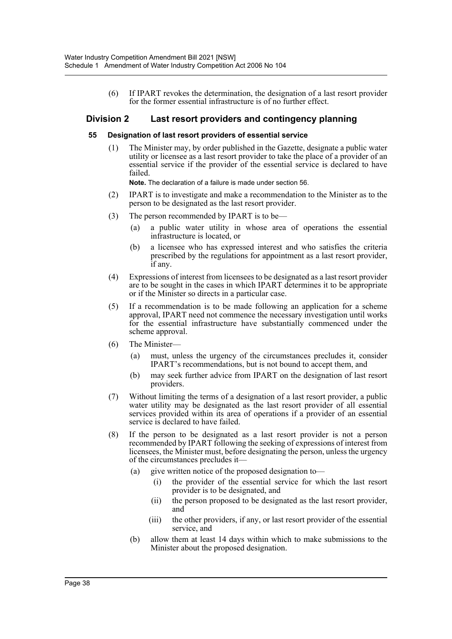(6) If IPART revokes the determination, the designation of a last resort provider for the former essential infrastructure is of no further effect.

# **Division 2 Last resort providers and contingency planning**

#### **55 Designation of last resort providers of essential service**

(1) The Minister may, by order published in the Gazette, designate a public water utility or licensee as a last resort provider to take the place of a provider of an essential service if the provider of the essential service is declared to have failed.

**Note.** The declaration of a failure is made under section 56.

- (2) IPART is to investigate and make a recommendation to the Minister as to the person to be designated as the last resort provider.
- (3) The person recommended by IPART is to be—
	- (a) a public water utility in whose area of operations the essential infrastructure is located, or
	- (b) a licensee who has expressed interest and who satisfies the criteria prescribed by the regulations for appointment as a last resort provider, if any.
- (4) Expressions of interest from licensees to be designated as a last resort provider are to be sought in the cases in which IPART determines it to be appropriate or if the Minister so directs in a particular case.
- (5) If a recommendation is to be made following an application for a scheme approval, IPART need not commence the necessary investigation until works for the essential infrastructure have substantially commenced under the scheme approval.
- (6) The Minister—
	- (a) must, unless the urgency of the circumstances precludes it, consider IPART's recommendations, but is not bound to accept them, and
	- (b) may seek further advice from IPART on the designation of last resort providers.
- (7) Without limiting the terms of a designation of a last resort provider, a public water utility may be designated as the last resort provider of all essential services provided within its area of operations if a provider of an essential service is declared to have failed.
- (8) If the person to be designated as a last resort provider is not a person recommended by IPART following the seeking of expressions of interest from licensees, the Minister must, before designating the person, unless the urgency of the circumstances precludes it—
	- (a) give written notice of the proposed designation to—
		- (i) the provider of the essential service for which the last resort provider is to be designated, and
		- (ii) the person proposed to be designated as the last resort provider, and
		- (iii) the other providers, if any, or last resort provider of the essential service, and
	- (b) allow them at least 14 days within which to make submissions to the Minister about the proposed designation.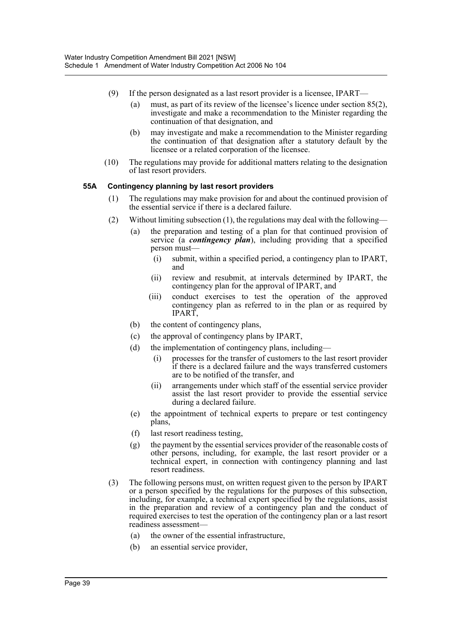- (9) If the person designated as a last resort provider is a licensee, IPART—
	- (a) must, as part of its review of the licensee's licence under section 85(2), investigate and make a recommendation to the Minister regarding the continuation of that designation, and
	- (b) may investigate and make a recommendation to the Minister regarding the continuation of that designation after a statutory default by the licensee or a related corporation of the licensee.
- (10) The regulations may provide for additional matters relating to the designation of last resort providers.

# **55A Contingency planning by last resort providers**

- (1) The regulations may make provision for and about the continued provision of the essential service if there is a declared failure.
- (2) Without limiting subsection (1), the regulations may deal with the following—
	- (a) the preparation and testing of a plan for that continued provision of service (a *contingency plan*), including providing that a specified person must—
		- (i) submit, within a specified period, a contingency plan to IPART, and
		- (ii) review and resubmit, at intervals determined by IPART, the contingency plan for the approval of IPART, and
		- (iii) conduct exercises to test the operation of the approved contingency plan as referred to in the plan or as required by IPART,
	- (b) the content of contingency plans,
	- (c) the approval of contingency plans by IPART,
	- (d) the implementation of contingency plans, including—
		- (i) processes for the transfer of customers to the last resort provider if there is a declared failure and the ways transferred customers are to be notified of the transfer, and
		- (ii) arrangements under which staff of the essential service provider assist the last resort provider to provide the essential service during a declared failure.
	- (e) the appointment of technical experts to prepare or test contingency plans,
	- (f) last resort readiness testing,
	- (g) the payment by the essential services provider of the reasonable costs of other persons, including, for example, the last resort provider or a technical expert, in connection with contingency planning and last resort readiness.
- (3) The following persons must, on written request given to the person by IPART or a person specified by the regulations for the purposes of this subsection, including, for example, a technical expert specified by the regulations, assist in the preparation and review of a contingency plan and the conduct of required exercises to test the operation of the contingency plan or a last resort readiness assessment—
	- (a) the owner of the essential infrastructure,
	- (b) an essential service provider,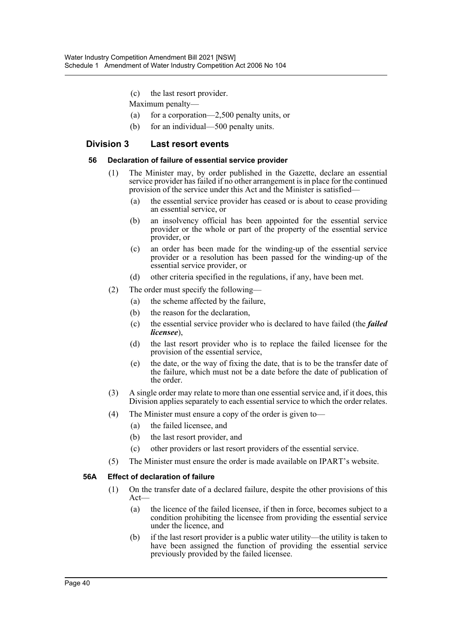- (c) the last resort provider.
- Maximum penalty—
- (a) for a corporation—2,500 penalty units, or
- (b) for an individual—500 penalty units.

# **Division 3 Last resort events**

## **56 Declaration of failure of essential service provider**

- (1) The Minister may, by order published in the Gazette, declare an essential service provider has failed if no other arrangement is in place for the continued provision of the service under this Act and the Minister is satisfied—
	- (a) the essential service provider has ceased or is about to cease providing an essential service, or
	- (b) an insolvency official has been appointed for the essential service provider or the whole or part of the property of the essential service provider, or
	- (c) an order has been made for the winding-up of the essential service provider or a resolution has been passed for the winding-up of the essential service provider, or
	- (d) other criteria specified in the regulations, if any, have been met.
- (2) The order must specify the following—
	- (a) the scheme affected by the failure,
	- (b) the reason for the declaration,
	- (c) the essential service provider who is declared to have failed (the *failed licensee*),
	- (d) the last resort provider who is to replace the failed licensee for the provision of the essential service,
	- (e) the date, or the way of fixing the date, that is to be the transfer date of the failure, which must not be a date before the date of publication of the order.
- (3) A single order may relate to more than one essential service and, if it does, this Division applies separately to each essential service to which the order relates.
- (4) The Minister must ensure a copy of the order is given to—
	- (a) the failed licensee, and
	- (b) the last resort provider, and
	- (c) other providers or last resort providers of the essential service.
- (5) The Minister must ensure the order is made available on IPART's website.

## **56A Effect of declaration of failure**

- (1) On the transfer date of a declared failure, despite the other provisions of this Act—
	- (a) the licence of the failed licensee, if then in force, becomes subject to a condition prohibiting the licensee from providing the essential service under the licence, and
	- (b) if the last resort provider is a public water utility—the utility is taken to have been assigned the function of providing the essential service previously provided by the failed licensee.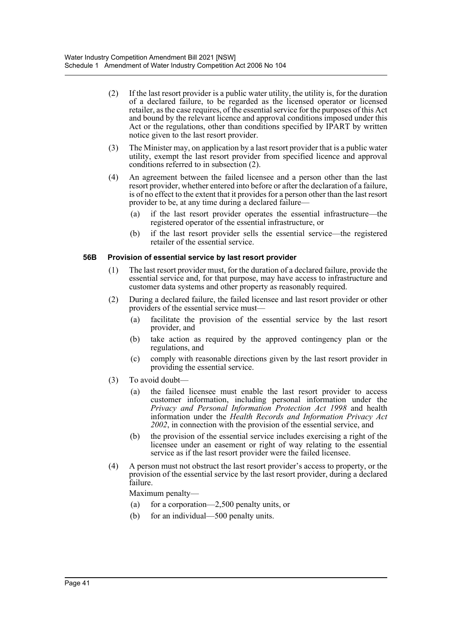- (2) If the last resort provider is a public water utility, the utility is, for the duration of a declared failure, to be regarded as the licensed operator or licensed retailer, as the case requires, of the essential service for the purposes of this Act and bound by the relevant licence and approval conditions imposed under this Act or the regulations, other than conditions specified by IPART by written notice given to the last resort provider.
- (3) The Minister may, on application by a last resort provider that is a public water utility, exempt the last resort provider from specified licence and approval conditions referred to in subsection (2).
- (4) An agreement between the failed licensee and a person other than the last resort provider, whether entered into before or after the declaration of a failure, is of no effect to the extent that it provides for a person other than the last resort provider to be, at any time during a declared failure—
	- (a) if the last resort provider operates the essential infrastructure—the registered operator of the essential infrastructure, or
	- (b) if the last resort provider sells the essential service—the registered retailer of the essential service.

## **56B Provision of essential service by last resort provider**

- (1) The last resort provider must, for the duration of a declared failure, provide the essential service and, for that purpose, may have access to infrastructure and customer data systems and other property as reasonably required.
- (2) During a declared failure, the failed licensee and last resort provider or other providers of the essential service must—
	- (a) facilitate the provision of the essential service by the last resort provider, and
	- (b) take action as required by the approved contingency plan or the regulations, and
	- (c) comply with reasonable directions given by the last resort provider in providing the essential service.
- (3) To avoid doubt—
	- (a) the failed licensee must enable the last resort provider to access customer information, including personal information under the *Privacy and Personal Information Protection Act 1998* and health information under the *Health Records and Information Privacy Act 2002*, in connection with the provision of the essential service, and
	- (b) the provision of the essential service includes exercising a right of the licensee under an easement or right of way relating to the essential service as if the last resort provider were the failed licensee.
- (4) A person must not obstruct the last resort provider's access to property, or the provision of the essential service by the last resort provider, during a declared failure.

Maximum penalty—

- (a) for a corporation—2,500 penalty units, or
- (b) for an individual—500 penalty units.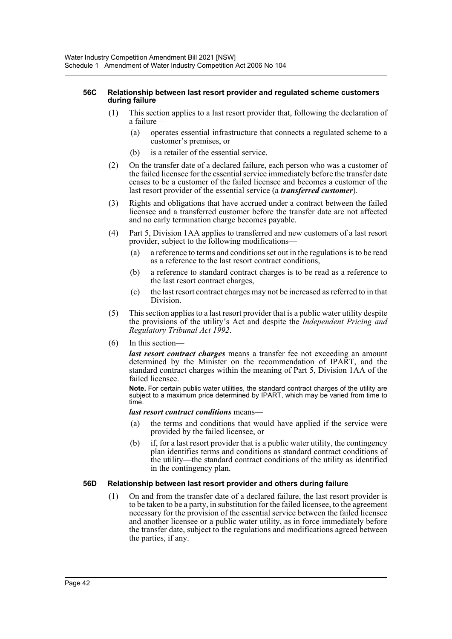#### **56C Relationship between last resort provider and regulated scheme customers during failure**

- (1) This section applies to a last resort provider that, following the declaration of a failure—
	- (a) operates essential infrastructure that connects a regulated scheme to a customer's premises, or
	- (b) is a retailer of the essential service.
- (2) On the transfer date of a declared failure, each person who was a customer of the failed licensee for the essential service immediately before the transfer date ceases to be a customer of the failed licensee and becomes a customer of the last resort provider of the essential service (a *transferred customer*).
- (3) Rights and obligations that have accrued under a contract between the failed licensee and a transferred customer before the transfer date are not affected and no early termination charge becomes payable.
- (4) Part 5, Division 1AA applies to transferred and new customers of a last resort provider, subject to the following modifications—
	- (a) a reference to terms and conditions set out in the regulations is to be read as a reference to the last resort contract conditions,
	- (b) a reference to standard contract charges is to be read as a reference to the last resort contract charges,
	- (c) the last resort contract charges may not be increased as referred to in that Division.
- (5) This section applies to a last resort provider that is a public water utility despite the provisions of the utility's Act and despite the *Independent Pricing and Regulatory Tribunal Act 1992*.
- (6) In this section—

*last resort contract charges* means a transfer fee not exceeding an amount determined by the Minister on the recommendation of IPART, and the standard contract charges within the meaning of Part 5, Division 1AA of the failed licensee.

**Note.** For certain public water utilities, the standard contract charges of the utility are subject to a maximum price determined by IPART, which may be varied from time to time.

*last resort contract conditions* means—

- (a) the terms and conditions that would have applied if the service were provided by the failed licensee, or
- (b) if, for a last resort provider that is a public water utility, the contingency plan identifies terms and conditions as standard contract conditions of the utility—the standard contract conditions of the utility as identified in the contingency plan.

## **56D Relationship between last resort provider and others during failure**

(1) On and from the transfer date of a declared failure, the last resort provider is to be taken to be a party, in substitution for the failed licensee, to the agreement necessary for the provision of the essential service between the failed licensee and another licensee or a public water utility, as in force immediately before the transfer date, subject to the regulations and modifications agreed between the parties, if any.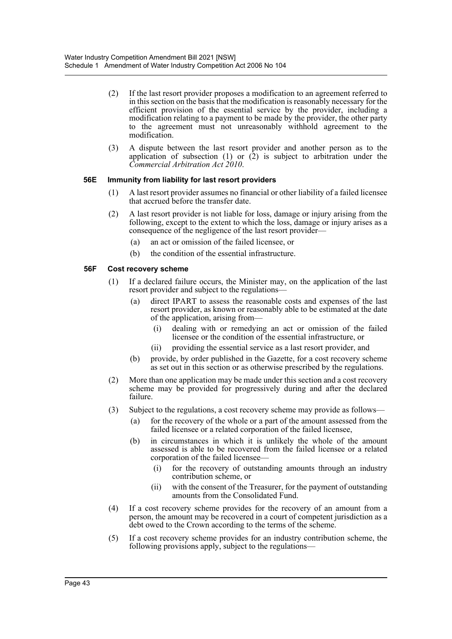- (2) If the last resort provider proposes a modification to an agreement referred to in this section on the basis that the modification is reasonably necessary for the efficient provision of the essential service by the provider, including a modification relating to a payment to be made by the provider, the other party to the agreement must not unreasonably withhold agreement to the modification.
- (3) A dispute between the last resort provider and another person as to the application of subsection  $(1)$  or  $(2)$  is subject to arbitration under the *Commercial Arbitration Act 2010*.

## **56E Immunity from liability for last resort providers**

- (1) A last resort provider assumes no financial or other liability of a failed licensee that accrued before the transfer date.
- (2) A last resort provider is not liable for loss, damage or injury arising from the following, except to the extent to which the loss, damage or injury arises as a consequence of the negligence of the last resort provider—
	- (a) an act or omission of the failed licensee, or
	- (b) the condition of the essential infrastructure.

# **56F Cost recovery scheme**

- (1) If a declared failure occurs, the Minister may, on the application of the last resort provider and subject to the regulations—
	- (a) direct IPART to assess the reasonable costs and expenses of the last resort provider, as known or reasonably able to be estimated at the date of the application, arising from—
		- (i) dealing with or remedying an act or omission of the failed licensee or the condition of the essential infrastructure, or
		- (ii) providing the essential service as a last resort provider, and
	- (b) provide, by order published in the Gazette, for a cost recovery scheme as set out in this section or as otherwise prescribed by the regulations.
- (2) More than one application may be made under this section and a cost recovery scheme may be provided for progressively during and after the declared failure.
- (3) Subject to the regulations, a cost recovery scheme may provide as follows—
	- (a) for the recovery of the whole or a part of the amount assessed from the failed licensee or a related corporation of the failed licensee,
	- (b) in circumstances in which it is unlikely the whole of the amount assessed is able to be recovered from the failed licensee or a related corporation of the failed licensee—
		- (i) for the recovery of outstanding amounts through an industry contribution scheme, or
		- (ii) with the consent of the Treasurer, for the payment of outstanding amounts from the Consolidated Fund.
- (4) If a cost recovery scheme provides for the recovery of an amount from a person, the amount may be recovered in a court of competent jurisdiction as a debt owed to the Crown according to the terms of the scheme.
- (5) If a cost recovery scheme provides for an industry contribution scheme, the following provisions apply, subject to the regulations—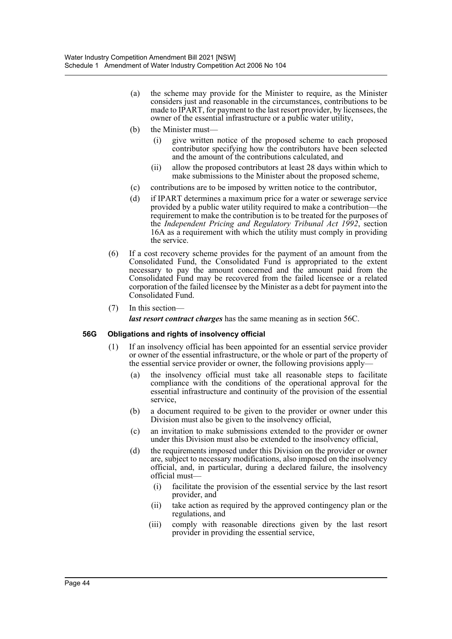- (a) the scheme may provide for the Minister to require, as the Minister considers just and reasonable in the circumstances, contributions to be made to IPART, for payment to the last resort provider, by licensees, the owner of the essential infrastructure or a public water utility,
- (b) the Minister must—
	- (i) give written notice of the proposed scheme to each proposed contributor specifying how the contributors have been selected and the amount of the contributions calculated, and
	- (ii) allow the proposed contributors at least 28 days within which to make submissions to the Minister about the proposed scheme,
- (c) contributions are to be imposed by written notice to the contributor,
- (d) if IPART determines a maximum price for a water or sewerage service provided by a public water utility required to make a contribution—the requirement to make the contribution is to be treated for the purposes of the *Independent Pricing and Regulatory Tribunal Act 1992*, section 16A as a requirement with which the utility must comply in providing the service.
- (6) If a cost recovery scheme provides for the payment of an amount from the Consolidated Fund, the Consolidated Fund is appropriated to the extent necessary to pay the amount concerned and the amount paid from the Consolidated Fund may be recovered from the failed licensee or a related corporation of the failed licensee by the Minister as a debt for payment into the Consolidated Fund.
- (7) In this section—

*last resort contract charges* has the same meaning as in section 56C.

## **56G Obligations and rights of insolvency official**

- (1) If an insolvency official has been appointed for an essential service provider or owner of the essential infrastructure, or the whole or part of the property of the essential service provider or owner, the following provisions apply—
	- (a) the insolvency official must take all reasonable steps to facilitate compliance with the conditions of the operational approval for the essential infrastructure and continuity of the provision of the essential service,
	- (b) a document required to be given to the provider or owner under this Division must also be given to the insolvency official,
	- (c) an invitation to make submissions extended to the provider or owner under this Division must also be extended to the insolvency official,
	- (d) the requirements imposed under this Division on the provider or owner are, subject to necessary modifications, also imposed on the insolvency official, and, in particular, during a declared failure, the insolvency official must—
		- (i) facilitate the provision of the essential service by the last resort provider, and
		- (ii) take action as required by the approved contingency plan or the regulations, and
		- (iii) comply with reasonable directions given by the last resort provider in providing the essential service,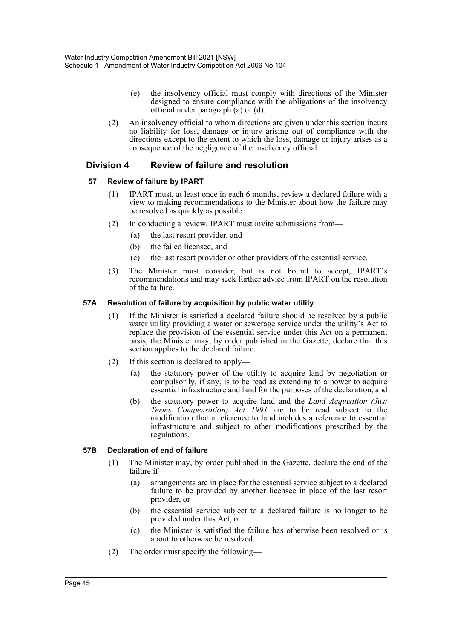- (e) the insolvency official must comply with directions of the Minister designed to ensure compliance with the obligations of the insolvency official under paragraph (a) or (d).
- (2) An insolvency official to whom directions are given under this section incurs no liability for loss, damage or injury arising out of compliance with the directions except to the extent to which the loss, damage or injury arises as a consequence of the negligence of the insolvency official.

# **Division 4 Review of failure and resolution**

# **57 Review of failure by IPART**

- (1) IPART must, at least once in each 6 months, review a declared failure with a view to making recommendations to the Minister about how the failure may be resolved as quickly as possible.
- (2) In conducting a review, IPART must invite submissions from—
	- (a) the last resort provider, and
	- (b) the failed licensee, and
	- (c) the last resort provider or other providers of the essential service.
- (3) The Minister must consider, but is not bound to accept, IPART's recommendations and may seek further advice from IPART on the resolution of the failure.

## **57A Resolution of failure by acquisition by public water utility**

- (1) If the Minister is satisfied a declared failure should be resolved by a public water utility providing a water or sewerage service under the utility's Act to replace the provision of the essential service under this Act on a permanent basis, the Minister may, by order published in the Gazette, declare that this section applies to the declared failure.
- (2) If this section is declared to apply—
	- (a) the statutory power of the utility to acquire land by negotiation or compulsorily, if any, is to be read as extending to a power to acquire essential infrastructure and land for the purposes of the declaration, and
	- (b) the statutory power to acquire land and the *Land Acquisition (Just Terms Compensation) Act 1991* are to be read subject to the modification that a reference to land includes a reference to essential infrastructure and subject to other modifications prescribed by the regulations.

# **57B Declaration of end of failure**

- (1) The Minister may, by order published in the Gazette, declare the end of the failure if—
	- (a) arrangements are in place for the essential service subject to a declared failure to be provided by another licensee in place of the last resort provider, or
	- (b) the essential service subject to a declared failure is no longer to be provided under this Act, or
	- (c) the Minister is satisfied the failure has otherwise been resolved or is about to otherwise be resolved.
- (2) The order must specify the following—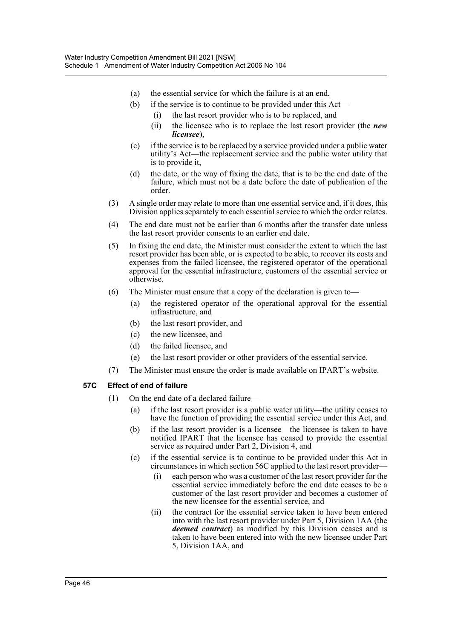- (a) the essential service for which the failure is at an end,
- (b) if the service is to continue to be provided under this Act—
	- (i) the last resort provider who is to be replaced, and
	- (ii) the licensee who is to replace the last resort provider (the *new licensee*),
- (c) if the service is to be replaced by a service provided under a public water utility's Act—the replacement service and the public water utility that is to provide it,
- (d) the date, or the way of fixing the date, that is to be the end date of the failure, which must not be a date before the date of publication of the order.
- (3) A single order may relate to more than one essential service and, if it does, this Division applies separately to each essential service to which the order relates.
- (4) The end date must not be earlier than 6 months after the transfer date unless the last resort provider consents to an earlier end date.
- (5) In fixing the end date, the Minister must consider the extent to which the last resort provider has been able, or is expected to be able, to recover its costs and expenses from the failed licensee, the registered operator of the operational approval for the essential infrastructure, customers of the essential service or otherwise.
- (6) The Minister must ensure that a copy of the declaration is given to—
	- (a) the registered operator of the operational approval for the essential infrastructure, and
	- (b) the last resort provider, and
	- (c) the new licensee, and
	- (d) the failed licensee, and
	- (e) the last resort provider or other providers of the essential service.
- (7) The Minister must ensure the order is made available on IPART's website.

# **57C Effect of end of failure**

- (1) On the end date of a declared failure—
	- (a) if the last resort provider is a public water utility—the utility ceases to have the function of providing the essential service under this Act, and
	- (b) if the last resort provider is a licensee—the licensee is taken to have notified IPART that the licensee has ceased to provide the essential service as required under Part 2, Division 4, and
	- (c) if the essential service is to continue to be provided under this Act in circumstances in which section 56C applied to the last resort provider—
		- (i) each person who was a customer of the last resort provider for the essential service immediately before the end date ceases to be a customer of the last resort provider and becomes a customer of the new licensee for the essential service, and
		- (ii) the contract for the essential service taken to have been entered into with the last resort provider under Part 5, Division 1AA (the *deemed contract*) as modified by this Division ceases and is taken to have been entered into with the new licensee under Part 5, Division 1AA, and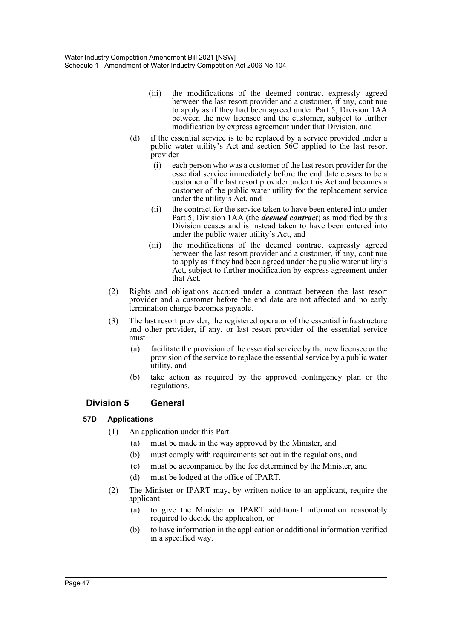- (iii) the modifications of the deemed contract expressly agreed between the last resort provider and a customer, if any, continue to apply as if they had been agreed under Part 5, Division 1AA between the new licensee and the customer, subject to further modification by express agreement under that Division, and
- (d) if the essential service is to be replaced by a service provided under a public water utility's Act and section 56C applied to the last resort provider—
	- (i) each person who was a customer of the last resort provider for the essential service immediately before the end date ceases to be a customer of the last resort provider under this Act and becomes a customer of the public water utility for the replacement service under the utility's Act, and
	- (ii) the contract for the service taken to have been entered into under Part 5, Division 1AA (the *deemed contract*) as modified by this Division ceases and is instead taken to have been entered into under the public water utility's Act, and
	- (iii) the modifications of the deemed contract expressly agreed between the last resort provider and a customer, if any, continue to apply as if they had been agreed under the public water utility's Act, subject to further modification by express agreement under that Act.
- (2) Rights and obligations accrued under a contract between the last resort provider and a customer before the end date are not affected and no early termination charge becomes payable.
- (3) The last resort provider, the registered operator of the essential infrastructure and other provider, if any, or last resort provider of the essential service must—
	- (a) facilitate the provision of the essential service by the new licensee or the provision of the service to replace the essential service by a public water utility, and
	- (b) take action as required by the approved contingency plan or the regulations.

# **Division 5 General**

# **57D Applications**

- (1) An application under this Part—
	- (a) must be made in the way approved by the Minister, and
	- (b) must comply with requirements set out in the regulations, and
	- (c) must be accompanied by the fee determined by the Minister, and
	- (d) must be lodged at the office of IPART.
- (2) The Minister or IPART may, by written notice to an applicant, require the applicant—
	- (a) to give the Minister or IPART additional information reasonably required to decide the application, or
	- (b) to have information in the application or additional information verified in a specified way.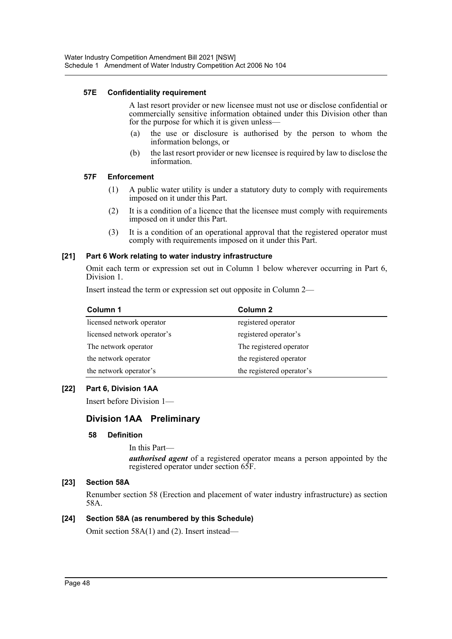# **57E Confidentiality requirement**

A last resort provider or new licensee must not use or disclose confidential or commercially sensitive information obtained under this Division other than for the purpose for which it is given unless—

- (a) the use or disclosure is authorised by the person to whom the information belongs, or
- (b) the last resort provider or new licensee is required by law to disclose the information.

## **57F Enforcement**

- (1) A public water utility is under a statutory duty to comply with requirements imposed on it under this Part.
- (2) It is a condition of a licence that the licensee must comply with requirements imposed on it under this Part.
- (3) It is a condition of an operational approval that the registered operator must comply with requirements imposed on it under this Part.

# **[21] Part 6 Work relating to water industry infrastructure**

Omit each term or expression set out in Column 1 below wherever occurring in Part 6, Division 1.

Insert instead the term or expression set out opposite in Column 2—

| Column 1                    | Column 2                  |
|-----------------------------|---------------------------|
| licensed network operator   | registered operator       |
| licensed network operator's | registered operator's     |
| The network operator        | The registered operator   |
| the network operator        | the registered operator   |
| the network operator's      | the registered operator's |

# **[22] Part 6, Division 1AA**

Insert before Division 1—

# **Division 1AA Preliminary**

## **58 Definition**

In this Part *authorised agent* of a registered operator means a person appointed by the registered operator under section 65F.

# **[23] Section 58A**

Renumber section 58 (Erection and placement of water industry infrastructure) as section 58A.

## **[24] Section 58A (as renumbered by this Schedule)**

Omit section 58A(1) and (2). Insert instead—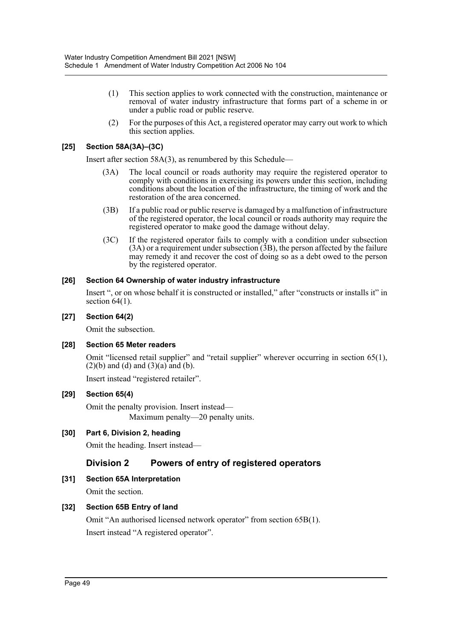- (1) This section applies to work connected with the construction, maintenance or removal of water industry infrastructure that forms part of a scheme in or under a public road or public reserve.
- (2) For the purposes of this Act, a registered operator may carry out work to which this section applies.

# **[25] Section 58A(3A)–(3C)**

Insert after section 58A(3), as renumbered by this Schedule—

- (3A) The local council or roads authority may require the registered operator to comply with conditions in exercising its powers under this section, including conditions about the location of the infrastructure, the timing of work and the restoration of the area concerned.
- (3B) If a public road or public reserve is damaged by a malfunction of infrastructure of the registered operator, the local council or roads authority may require the registered operator to make good the damage without delay.
- (3C) If the registered operator fails to comply with a condition under subsection  $(3A)$  or a requirement under subsection  $(3B)$ , the person affected by the failure may remedy it and recover the cost of doing so as a debt owed to the person by the registered operator.

# **[26] Section 64 Ownership of water industry infrastructure**

Insert ", or on whose behalf it is constructed or installed," after "constructs or installs it" in section  $64(1)$ .

# **[27] Section 64(2)**

Omit the subsection.

# **[28] Section 65 Meter readers**

Omit "licensed retail supplier" and "retail supplier" wherever occurring in section 65(1),  $(2)(b)$  and  $(d)$  and  $(3)(a)$  and  $(b)$ .

Insert instead "registered retailer".

# **[29] Section 65(4)**

Omit the penalty provision. Insert instead— Maximum penalty—20 penalty units.

# **[30] Part 6, Division 2, heading**

Omit the heading. Insert instead—

# **Division 2 Powers of entry of registered operators**

# **[31] Section 65A Interpretation**

Omit the section.

# **[32] Section 65B Entry of land**

Omit "An authorised licensed network operator" from section 65B(1). Insert instead "A registered operator".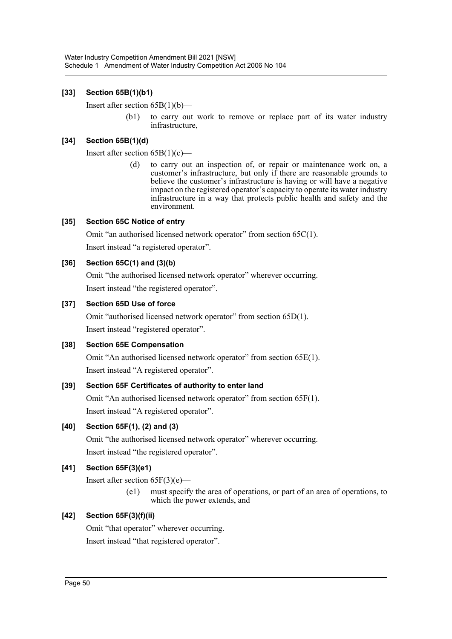# **[33] Section 65B(1)(b1)**

Insert after section 65B(1)(b)—

(b1) to carry out work to remove or replace part of its water industry infrastructure,

# **[34] Section 65B(1)(d)**

Insert after section  $65B(1)(c)$ —

(d) to carry out an inspection of, or repair or maintenance work on, a customer's infrastructure, but only if there are reasonable grounds to believe the customer's infrastructure is having or will have a negative impact on the registered operator's capacity to operate its water industry infrastructure in a way that protects public health and safety and the environment.

# **[35] Section 65C Notice of entry**

Omit "an authorised licensed network operator" from section 65C(1). Insert instead "a registered operator".

# **[36] Section 65C(1) and (3)(b)**

Omit "the authorised licensed network operator" wherever occurring. Insert instead "the registered operator".

# **[37] Section 65D Use of force**

Omit "authorised licensed network operator" from section 65D(1). Insert instead "registered operator".

# **[38] Section 65E Compensation**

Omit "An authorised licensed network operator" from section 65E(1). Insert instead "A registered operator".

# **[39] Section 65F Certificates of authority to enter land**

Omit "An authorised licensed network operator" from section 65F(1). Insert instead "A registered operator".

# **[40] Section 65F(1), (2) and (3)**

Omit "the authorised licensed network operator" wherever occurring. Insert instead "the registered operator".

# **[41] Section 65F(3)(e1)**

Insert after section  $65F(3)(e)$ —

(e1) must specify the area of operations, or part of an area of operations, to which the power extends, and

# **[42] Section 65F(3)(f)(ii)**

Omit "that operator" wherever occurring.

Insert instead "that registered operator".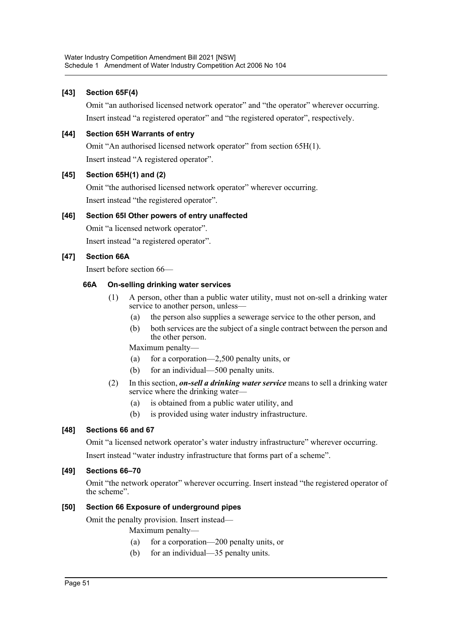# **[43] Section 65F(4)**

Omit "an authorised licensed network operator" and "the operator" wherever occurring. Insert instead "a registered operator" and "the registered operator", respectively.

# **[44] Section 65H Warrants of entry**

Omit "An authorised licensed network operator" from section 65H(1). Insert instead "A registered operator".

# **[45] Section 65H(1) and (2)**

Omit "the authorised licensed network operator" wherever occurring. Insert instead "the registered operator".

# **[46] Section 65I Other powers of entry unaffected**

Omit "a licensed network operator".

Insert instead "a registered operator".

# **[47] Section 66A**

Insert before section 66—

# **66A On-selling drinking water services**

- (1) A person, other than a public water utility, must not on-sell a drinking water service to another person, unless—
	- (a) the person also supplies a sewerage service to the other person, and
	- (b) both services are the subject of a single contract between the person and the other person.

Maximum penalty—

- (a) for a corporation—2,500 penalty units, or
- (b) for an individual—500 penalty units.
- (2) In this section, *on-sell a drinking water service* means to sell a drinking water service where the drinking water—
	- (a) is obtained from a public water utility, and
	- (b) is provided using water industry infrastructure.

# **[48] Sections 66 and 67**

Omit "a licensed network operator's water industry infrastructure" wherever occurring.

Insert instead "water industry infrastructure that forms part of a scheme".

# **[49] Sections 66–70**

Omit "the network operator" wherever occurring. Insert instead "the registered operator of the scheme".

# **[50] Section 66 Exposure of underground pipes**

Omit the penalty provision. Insert instead—

Maximum penalty—

- (a) for a corporation—200 penalty units, or
- (b) for an individual—35 penalty units.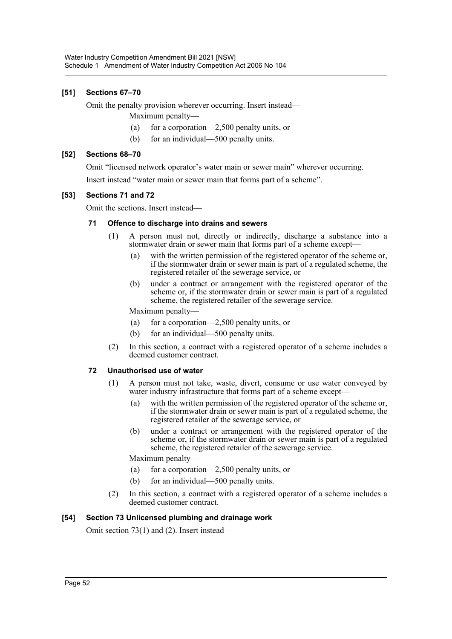# **[51] Sections 67–70**

Omit the penalty provision wherever occurring. Insert instead—

- Maximum penalty—
- (a) for a corporation—2,500 penalty units, or
- (b) for an individual—500 penalty units.

# **[52] Sections 68–70**

Omit "licensed network operator's water main or sewer main" wherever occurring.

Insert instead "water main or sewer main that forms part of a scheme".

# **[53] Sections 71 and 72**

Omit the sections. Insert instead—

# **71 Offence to discharge into drains and sewers**

- (1) A person must not, directly or indirectly, discharge a substance into a stormwater drain or sewer main that forms part of a scheme except—
	- (a) with the written permission of the registered operator of the scheme or, if the stormwater drain or sewer main is part of a regulated scheme, the registered retailer of the sewerage service, or
	- (b) under a contract or arrangement with the registered operator of the scheme or, if the stormwater drain or sewer main is part of a regulated scheme, the registered retailer of the sewerage service.

Maximum penalty—

- (a) for a corporation—2,500 penalty units, or
- (b) for an individual—500 penalty units.
- (2) In this section, a contract with a registered operator of a scheme includes a deemed customer contract.

# **72 Unauthorised use of water**

- (1) A person must not take, waste, divert, consume or use water conveyed by water industry infrastructure that forms part of a scheme except—
	- (a) with the written permission of the registered operator of the scheme or, if the stormwater drain or sewer main is part of a regulated scheme, the registered retailer of the sewerage service, or
	- (b) under a contract or arrangement with the registered operator of the scheme or, if the stormwater drain or sewer main is part of a regulated scheme, the registered retailer of the sewerage service.

Maximum penalty—

- (a) for a corporation—2,500 penalty units, or
- (b) for an individual—500 penalty units.
- (2) In this section, a contract with a registered operator of a scheme includes a deemed customer contract.

# **[54] Section 73 Unlicensed plumbing and drainage work**

Omit section 73(1) and (2). Insert instead—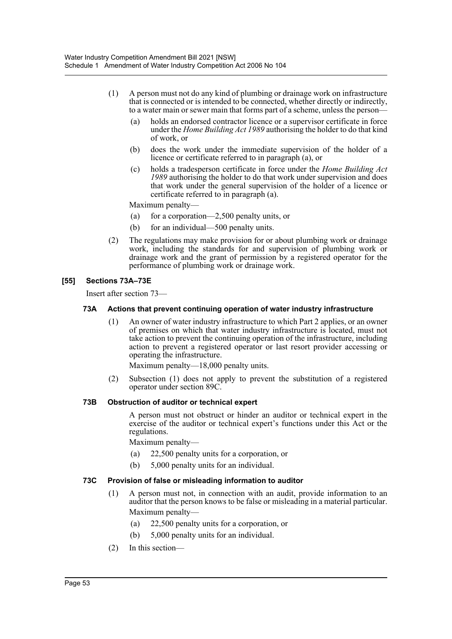- (1) A person must not do any kind of plumbing or drainage work on infrastructure that is connected or is intended to be connected, whether directly or indirectly, to a water main or sewer main that forms part of a scheme, unless the person—
	- (a) holds an endorsed contractor licence or a supervisor certificate in force under the *Home Building Act 1989* authorising the holder to do that kind of work, or
	- (b) does the work under the immediate supervision of the holder of a licence or certificate referred to in paragraph (a), or
	- (c) holds a tradesperson certificate in force under the *Home Building Act 1989* authorising the holder to do that work under supervision and does that work under the general supervision of the holder of a licence or certificate referred to in paragraph (a).

Maximum penalty—

- (a) for a corporation—2,500 penalty units, or
- (b) for an individual—500 penalty units.
- (2) The regulations may make provision for or about plumbing work or drainage work, including the standards for and supervision of plumbing work or drainage work and the grant of permission by a registered operator for the performance of plumbing work or drainage work.

# **[55] Sections 73A–73E**

Insert after section 73—

## **73A Actions that prevent continuing operation of water industry infrastructure**

(1) An owner of water industry infrastructure to which Part 2 applies, or an owner of premises on which that water industry infrastructure is located, must not take action to prevent the continuing operation of the infrastructure, including action to prevent a registered operator or last resort provider accessing or operating the infrastructure.

Maximum penalty—18,000 penalty units.

(2) Subsection (1) does not apply to prevent the substitution of a registered operator under section 89C.

## **73B Obstruction of auditor or technical expert**

A person must not obstruct or hinder an auditor or technical expert in the exercise of the auditor or technical expert's functions under this Act or the regulations.

Maximum penalty—

- (a) 22,500 penalty units for a corporation, or
- (b) 5,000 penalty units for an individual.

## **73C Provision of false or misleading information to auditor**

- (1) A person must not, in connection with an audit, provide information to an auditor that the person knows to be false or misleading in a material particular. Maximum penalty—
	- (a) 22,500 penalty units for a corporation, or
	- (b) 5,000 penalty units for an individual.
- (2) In this section—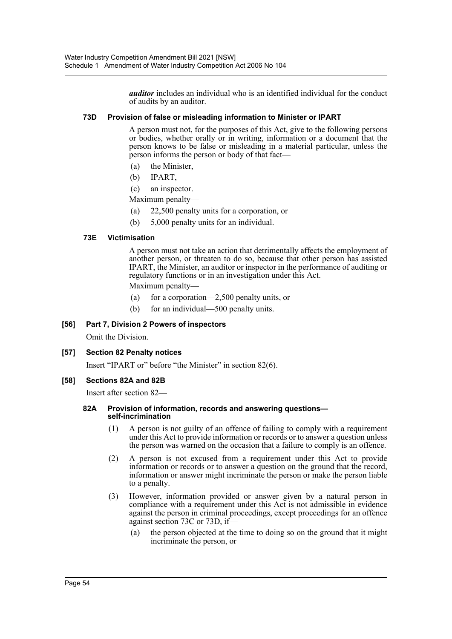*auditor* includes an individual who is an identified individual for the conduct of audits by an auditor.

# **73D Provision of false or misleading information to Minister or IPART**

A person must not, for the purposes of this Act, give to the following persons or bodies, whether orally or in writing, information or a document that the person knows to be false or misleading in a material particular, unless the person informs the person or body of that fact—

- (a) the Minister,
- (b) IPART,
- (c) an inspector.

Maximum penalty—

- (a) 22,500 penalty units for a corporation, or
- (b) 5,000 penalty units for an individual.

# **73E Victimisation**

A person must not take an action that detrimentally affects the employment of another person, or threaten to do so, because that other person has assisted IPART, the Minister, an auditor or inspector in the performance of auditing or regulatory functions or in an investigation under this Act.

Maximum penalty—

- (a) for a corporation—2,500 penalty units, or
- (b) for an individual—500 penalty units.

## **[56] Part 7, Division 2 Powers of inspectors**

Omit the Division.

## **[57] Section 82 Penalty notices**

Insert "IPART or" before "the Minister" in section 82(6).

## **[58] Sections 82A and 82B**

Insert after section 82—

#### **82A Provision of information, records and answering questions self-incrimination**

- (1) A person is not guilty of an offence of failing to comply with a requirement under this Act to provide information or records or to answer a question unless the person was warned on the occasion that a failure to comply is an offence.
- (2) A person is not excused from a requirement under this Act to provide information or records or to answer a question on the ground that the record, information or answer might incriminate the person or make the person liable to a penalty.
- (3) However, information provided or answer given by a natural person in compliance with a requirement under this Act is not admissible in evidence against the person in criminal proceedings, except proceedings for an offence against section 73C or 73D, if—
	- (a) the person objected at the time to doing so on the ground that it might incriminate the person, or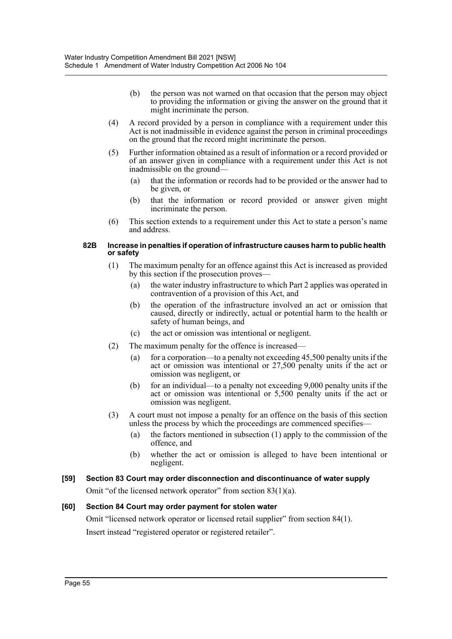- (b) the person was not warned on that occasion that the person may object to providing the information or giving the answer on the ground that it might incriminate the person.
- (4) A record provided by a person in compliance with a requirement under this Act is not inadmissible in evidence against the person in criminal proceedings on the ground that the record might incriminate the person.
- (5) Further information obtained as a result of information or a record provided or of an answer given in compliance with a requirement under this Act is not inadmissible on the ground—
	- (a) that the information or records had to be provided or the answer had to be given, or
	- (b) that the information or record provided or answer given might incriminate the person.
- (6) This section extends to a requirement under this Act to state a person's name and address.

#### **82B Increase in penalties if operation of infrastructure causes harm to public health or safety**

- (1) The maximum penalty for an offence against this Act is increased as provided by this section if the prosecution proves—
	- (a) the water industry infrastructure to which Part 2 applies was operated in contravention of a provision of this Act, and
	- (b) the operation of the infrastructure involved an act or omission that caused, directly or indirectly, actual or potential harm to the health or safety of human beings, and
	- (c) the act or omission was intentional or negligent.
- (2) The maximum penalty for the offence is increased—
	- (a) for a corporation—to a penalty not exceeding 45,500 penalty units if the act or omission was intentional or 27,500 penalty units if the act or omission was negligent, or
	- (b) for an individual—to a penalty not exceeding 9,000 penalty units if the act or omission was intentional or 5,500 penalty units if the act or omission was negligent.
- (3) A court must not impose a penalty for an offence on the basis of this section unless the process by which the proceedings are commenced specifies—
	- (a) the factors mentioned in subsection (1) apply to the commission of the offence, and
	- (b) whether the act or omission is alleged to have been intentional or negligent.

## **[59] Section 83 Court may order disconnection and discontinuance of water supply**

Omit "of the licensed network operator" from section  $83(1)(a)$ .

## **[60] Section 84 Court may order payment for stolen water**

Omit "licensed network operator or licensed retail supplier" from section 84(1). Insert instead "registered operator or registered retailer".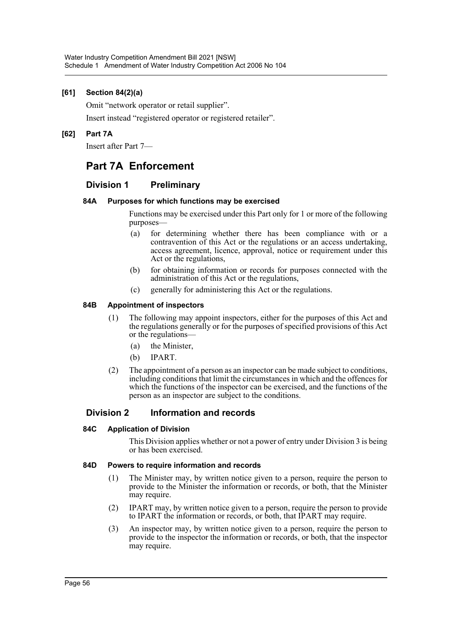# **[61] Section 84(2)(a)**

Omit "network operator or retail supplier".

Insert instead "registered operator or registered retailer".

## **[62] Part 7A**

Insert after Part 7—

# **Part 7A Enforcement**

# **Division 1 Preliminary**

## **84A Purposes for which functions may be exercised**

Functions may be exercised under this Part only for 1 or more of the following purposes—

- (a) for determining whether there has been compliance with or a contravention of this Act or the regulations or an access undertaking, access agreement, licence, approval, notice or requirement under this Act or the regulations,
- (b) for obtaining information or records for purposes connected with the administration of this Act or the regulations,
- (c) generally for administering this Act or the regulations.

## **84B Appointment of inspectors**

- (1) The following may appoint inspectors, either for the purposes of this Act and the regulations generally or for the purposes of specified provisions of this Act or the regulations—
	- (a) the Minister,
	- (b) IPART.
- (2) The appointment of a person as an inspector can be made subject to conditions, including conditions that limit the circumstances in which and the offences for which the functions of the inspector can be exercised, and the functions of the person as an inspector are subject to the conditions.

# **Division 2 Information and records**

## **84C Application of Division**

This Division applies whether or not a power of entry under Division 3 is being or has been exercised.

## **84D Powers to require information and records**

- (1) The Minister may, by written notice given to a person, require the person to provide to the Minister the information or records, or both, that the Minister may require.
- (2) IPART may, by written notice given to a person, require the person to provide to IPART the information or records, or both, that IPART may require.
- (3) An inspector may, by written notice given to a person, require the person to provide to the inspector the information or records, or both, that the inspector may require.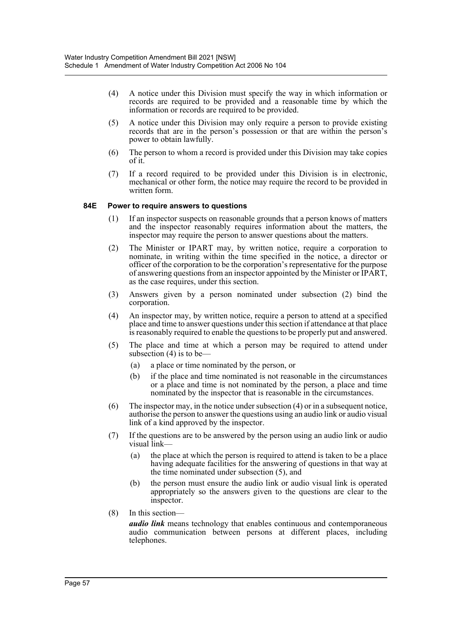- (4) A notice under this Division must specify the way in which information or records are required to be provided and a reasonable time by which the information or records are required to be provided.
- (5) A notice under this Division may only require a person to provide existing records that are in the person's possession or that are within the person's power to obtain lawfully.
- (6) The person to whom a record is provided under this Division may take copies of it.
- (7) If a record required to be provided under this Division is in electronic, mechanical or other form, the notice may require the record to be provided in written form.

## **84E Power to require answers to questions**

- (1) If an inspector suspects on reasonable grounds that a person knows of matters and the inspector reasonably requires information about the matters, the inspector may require the person to answer questions about the matters.
- (2) The Minister or IPART may, by written notice, require a corporation to nominate, in writing within the time specified in the notice, a director or officer of the corporation to be the corporation's representative for the purpose of answering questions from an inspector appointed by the Minister or IPART, as the case requires, under this section.
- (3) Answers given by a person nominated under subsection (2) bind the corporation.
- (4) An inspector may, by written notice, require a person to attend at a specified place and time to answer questions under this section if attendance at that place is reasonably required to enable the questions to be properly put and answered.
- (5) The place and time at which a person may be required to attend under subsection  $(4)$  is to be—
	- (a) a place or time nominated by the person, or
	- (b) if the place and time nominated is not reasonable in the circumstances or a place and time is not nominated by the person, a place and time nominated by the inspector that is reasonable in the circumstances.
- (6) The inspector may, in the notice under subsection (4) or in a subsequent notice, authorise the person to answer the questions using an audio link or audio visual link of a kind approved by the inspector.
- (7) If the questions are to be answered by the person using an audio link or audio visual link—
	- (a) the place at which the person is required to attend is taken to be a place having adequate facilities for the answering of questions in that way at the time nominated under subsection (5), and
	- (b) the person must ensure the audio link or audio visual link is operated appropriately so the answers given to the questions are clear to the inspector.
- (8) In this section—

*audio link* means technology that enables continuous and contemporaneous audio communication between persons at different places, including telephones.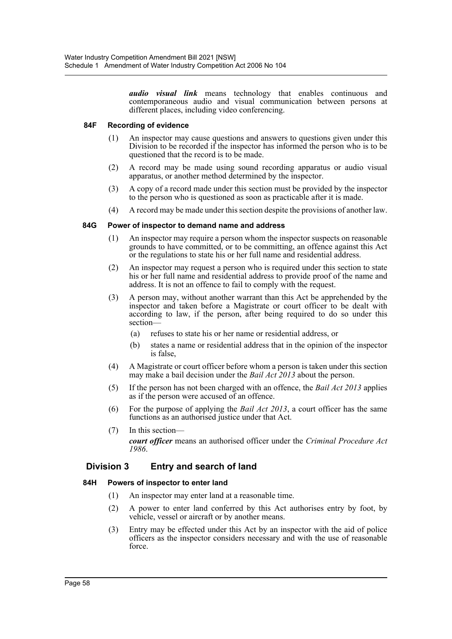*audio visual link* means technology that enables continuous and contemporaneous audio and visual communication between persons at different places, including video conferencing.

## **84F Recording of evidence**

- (1) An inspector may cause questions and answers to questions given under this Division to be recorded if the inspector has informed the person who is to be questioned that the record is to be made.
- (2) A record may be made using sound recording apparatus or audio visual apparatus, or another method determined by the inspector.
- (3) A copy of a record made under this section must be provided by the inspector to the person who is questioned as soon as practicable after it is made.
- (4) A record may be made under this section despite the provisions of another law.

# **84G Power of inspector to demand name and address**

- (1) An inspector may require a person whom the inspector suspects on reasonable grounds to have committed, or to be committing, an offence against this Act or the regulations to state his or her full name and residential address.
- (2) An inspector may request a person who is required under this section to state his or her full name and residential address to provide proof of the name and address. It is not an offence to fail to comply with the request.
- (3) A person may, without another warrant than this Act be apprehended by the inspector and taken before a Magistrate or court officer to be dealt with according to law, if the person, after being required to do so under this section—
	- (a) refuses to state his or her name or residential address, or
	- (b) states a name or residential address that in the opinion of the inspector is false,
- (4) A Magistrate or court officer before whom a person is taken under this section may make a bail decision under the *Bail Act 2013* about the person.
- (5) If the person has not been charged with an offence, the *Bail Act 2013* applies as if the person were accused of an offence.
- (6) For the purpose of applying the *Bail Act 2013*, a court officer has the same functions as an authorised justice under that Act.
- (7) In this section *court officer* means an authorised officer under the *Criminal Procedure Act 1986*.

# **Division 3 Entry and search of land**

## **84H Powers of inspector to enter land**

- (1) An inspector may enter land at a reasonable time.
- (2) A power to enter land conferred by this Act authorises entry by foot, by vehicle, vessel or aircraft or by another means.
- (3) Entry may be effected under this Act by an inspector with the aid of police officers as the inspector considers necessary and with the use of reasonable force.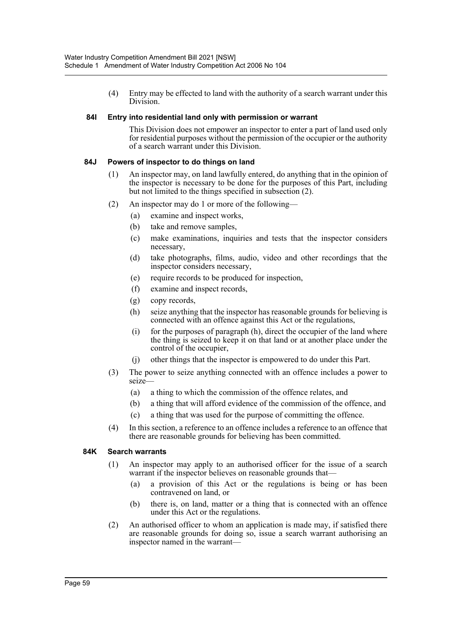(4) Entry may be effected to land with the authority of a search warrant under this Division.

## **84I Entry into residential land only with permission or warrant**

This Division does not empower an inspector to enter a part of land used only for residential purposes without the permission of the occupier or the authority of a search warrant under this Division.

# **84J Powers of inspector to do things on land**

- (1) An inspector may, on land lawfully entered, do anything that in the opinion of the inspector is necessary to be done for the purposes of this Part, including but not limited to the things specified in subsection (2).
- (2) An inspector may do 1 or more of the following—
	- (a) examine and inspect works,
	- (b) take and remove samples,
	- (c) make examinations, inquiries and tests that the inspector considers necessary,
	- (d) take photographs, films, audio, video and other recordings that the inspector considers necessary,
	- (e) require records to be produced for inspection,
	- (f) examine and inspect records,
	- (g) copy records,
	- (h) seize anything that the inspector has reasonable grounds for believing is connected with an offence against this Act or the regulations,
	- $(i)$  for the purposes of paragraph  $(h)$ , direct the occupier of the land where the thing is seized to keep it on that land or at another place under the control of the occupier,
	- (j) other things that the inspector is empowered to do under this Part.
- (3) The power to seize anything connected with an offence includes a power to seize—
	- (a) a thing to which the commission of the offence relates, and
	- (b) a thing that will afford evidence of the commission of the offence, and
	- (c) a thing that was used for the purpose of committing the offence.
- (4) In this section, a reference to an offence includes a reference to an offence that there are reasonable grounds for believing has been committed.

## **84K Search warrants**

- (1) An inspector may apply to an authorised officer for the issue of a search warrant if the inspector believes on reasonable grounds that—
	- (a) a provision of this Act or the regulations is being or has been contravened on land, or
	- (b) there is, on land, matter or a thing that is connected with an offence under this Act or the regulations.
- (2) An authorised officer to whom an application is made may, if satisfied there are reasonable grounds for doing so, issue a search warrant authorising an inspector named in the warrant—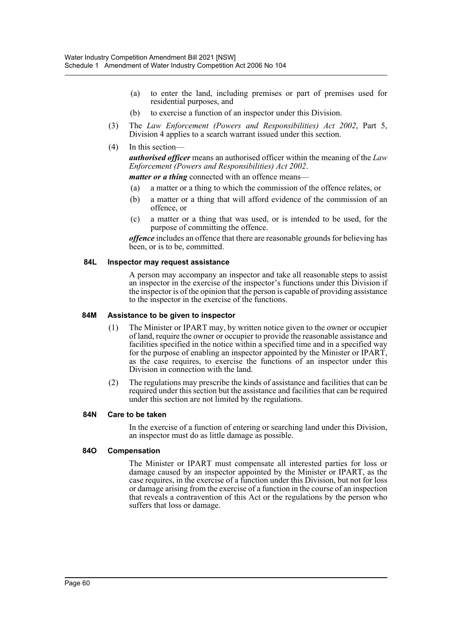- (a) to enter the land, including premises or part of premises used for residential purposes, and
- (b) to exercise a function of an inspector under this Division.
- (3) The *Law Enforcement (Powers and Responsibilities) Act 2002*, Part 5, Division 4 applies to a search warrant issued under this section.
- (4) In this section—

*authorised officer* means an authorised officer within the meaning of the *Law Enforcement (Powers and Responsibilities) Act 2002*.

*matter or a thing* connected with an offence means—

- (a) a matter or a thing to which the commission of the offence relates, or
- (b) a matter or a thing that will afford evidence of the commission of an offence, or
- (c) a matter or a thing that was used, or is intended to be used, for the purpose of committing the offence.

*offence* includes an offence that there are reasonable grounds for believing has been, or is to be, committed.

#### **84L Inspector may request assistance**

A person may accompany an inspector and take all reasonable steps to assist an inspector in the exercise of the inspector's functions under this Division if the inspector is of the opinion that the person is capable of providing assistance to the inspector in the exercise of the functions.

#### **84M Assistance to be given to inspector**

- (1) The Minister or IPART may, by written notice given to the owner or occupier of land, require the owner or occupier to provide the reasonable assistance and facilities specified in the notice within a specified time and in a specified way for the purpose of enabling an inspector appointed by the Minister or IPART, as the case requires, to exercise the functions of an inspector under this Division in connection with the land.
- (2) The regulations may prescribe the kinds of assistance and facilities that can be required under this section but the assistance and facilities that can be required under this section are not limited by the regulations.

#### **84N Care to be taken**

In the exercise of a function of entering or searching land under this Division, an inspector must do as little damage as possible.

#### **84O Compensation**

The Minister or IPART must compensate all interested parties for loss or damage caused by an inspector appointed by the Minister or IPART, as the case requires, in the exercise of a function under this Division, but not for loss or damage arising from the exercise of a function in the course of an inspection that reveals a contravention of this Act or the regulations by the person who suffers that loss or damage.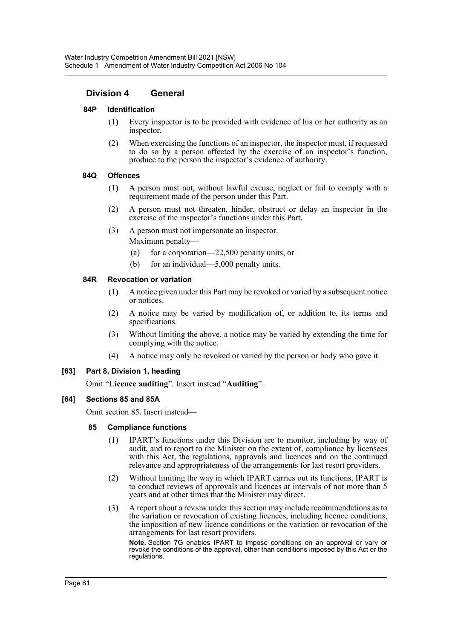# **Division 4 General**

## **84P Identification**

- (1) Every inspector is to be provided with evidence of his or her authority as an inspector.
- (2) When exercising the functions of an inspector, the inspector must, if requested to do so by a person affected by the exercise of an inspector's function, produce to the person the inspector's evidence of authority.

#### **84Q Offences**

- (1) A person must not, without lawful excuse, neglect or fail to comply with a requirement made of the person under this Part.
- (2) A person must not threaten, hinder, obstruct or delay an inspector in the exercise of the inspector's functions under this Part.
- (3) A person must not impersonate an inspector. Maximum penalty—
	- (a) for a corporation—22,500 penalty units, or
	- (b) for an individual—5,000 penalty units.

#### **84R Revocation or variation**

- (1) A notice given under this Part may be revoked or varied by a subsequent notice or notices.
- (2) A notice may be varied by modification of, or addition to, its terms and specifications.
- (3) Without limiting the above, a notice may be varied by extending the time for complying with the notice.
- (4) A notice may only be revoked or varied by the person or body who gave it.

## **[63] Part 8, Division 1, heading**

Omit "**Licence auditing**". Insert instead "**Auditing**".

## **[64] Sections 85 and 85A**

Omit section 85. Insert instead—

#### **85 Compliance functions**

- (1) IPART's functions under this Division are to monitor, including by way of audit, and to report to the Minister on the extent of, compliance by licensees with this Act, the regulations, approvals and licences and on the continued relevance and appropriateness of the arrangements for last resort providers.
- (2) Without limiting the way in which IPART carries out its functions, IPART is to conduct reviews of approvals and licences at intervals of not more than 5 years and at other times that the Minister may direct.
- (3) A report about a review under this section may include recommendations as to the variation or revocation of existing licences, including licence conditions, the imposition of new licence conditions or the variation or revocation of the arrangements for last resort providers.

**Note.** Section 7G enables IPART to impose conditions on an approval or vary or revoke the conditions of the approval, other than conditions imposed by this Act or the regulations.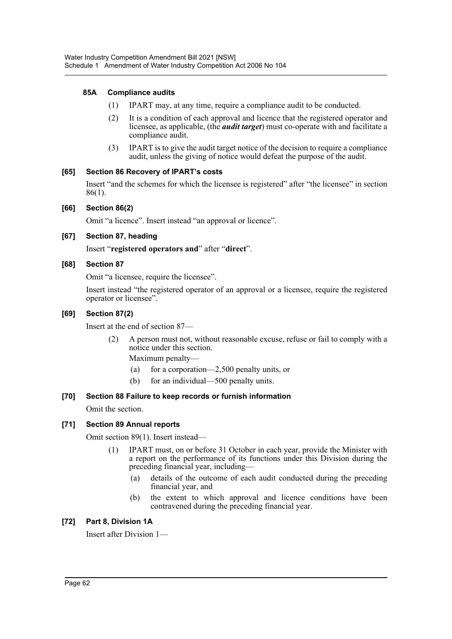# **85A Compliance audits**

- (1) IPART may, at any time, require a compliance audit to be conducted.
- (2) It is a condition of each approval and licence that the registered operator and licensee, as applicable, (the *audit target*) must co-operate with and facilitate a compliance audit.
- (3) IPART is to give the audit target notice of the decision to require a compliance audit, unless the giving of notice would defeat the purpose of the audit.

# **[65] Section 86 Recovery of IPART's costs**

Insert "and the schemes for which the licensee is registered" after "the licensee" in section 86(1).

# **[66] Section 86(2)**

Omit "a licence". Insert instead "an approval or licence".

# **[67] Section 87, heading**

Insert "**registered operators and**" after "**direct**".

# **[68] Section 87**

Omit "a licensee, require the licensee".

Insert instead "the registered operator of an approval or a licensee, require the registered operator or licensee".

# **[69] Section 87(2)**

Insert at the end of section 87—

- (2) A person must not, without reasonable excuse, refuse or fail to comply with a notice under this section.
	- Maximum penalty—
	- (a) for a corporation—2,500 penalty units, or
	- (b) for an individual—500 penalty units.

# **[70] Section 88 Failure to keep records or furnish information**

Omit the section.

# **[71] Section 89 Annual reports**

Omit section 89(1). Insert instead—

- (1) IPART must, on or before 31 October in each year, provide the Minister with a report on the performance of its functions under this Division during the preceding financial year, including—
	- (a) details of the outcome of each audit conducted during the preceding financial year, and
	- (b) the extent to which approval and licence conditions have been contravened during the preceding financial year.

## **[72] Part 8, Division 1A**

Insert after Division 1—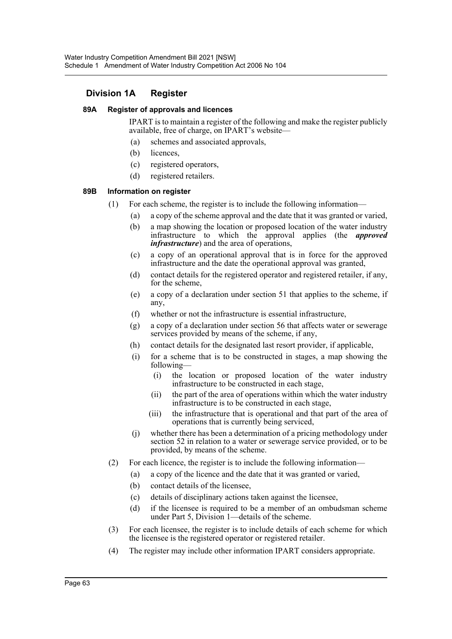# **Division 1A Register**

## **89A Register of approvals and licences**

IPART is to maintain a register of the following and make the register publicly available, free of charge, on IPART's website—

- (a) schemes and associated approvals,
- (b) licences,
- (c) registered operators,
- (d) registered retailers.

# **89B Information on register**

- (1) For each scheme, the register is to include the following information—
	- (a) a copy of the scheme approval and the date that it was granted or varied,
	- (b) a map showing the location or proposed location of the water industry infrastructure to which the approval applies (the *approved infrastructure*) and the area of operations,
	- (c) a copy of an operational approval that is in force for the approved infrastructure and the date the operational approval was granted,
	- (d) contact details for the registered operator and registered retailer, if any, for the scheme,
	- (e) a copy of a declaration under section 51 that applies to the scheme, if any,
	- (f) whether or not the infrastructure is essential infrastructure,
	- (g) a copy of a declaration under section 56 that affects water or sewerage services provided by means of the scheme, if any,
	- (h) contact details for the designated last resort provider, if applicable,
	- (i) for a scheme that is to be constructed in stages, a map showing the following—
		- (i) the location or proposed location of the water industry infrastructure to be constructed in each stage,
		- (ii) the part of the area of operations within which the water industry infrastructure is to be constructed in each stage,
		- (iii) the infrastructure that is operational and that part of the area of operations that is currently being serviced,
	- (j) whether there has been a determination of a pricing methodology under section 52 in relation to a water or sewerage service provided, or to be provided, by means of the scheme.
- (2) For each licence, the register is to include the following information—
	- (a) a copy of the licence and the date that it was granted or varied,
	- (b) contact details of the licensee,
	- (c) details of disciplinary actions taken against the licensee,
	- (d) if the licensee is required to be a member of an ombudsman scheme under Part 5, Division 1—details of the scheme.
- (3) For each licensee, the register is to include details of each scheme for which the licensee is the registered operator or registered retailer.
- (4) The register may include other information IPART considers appropriate.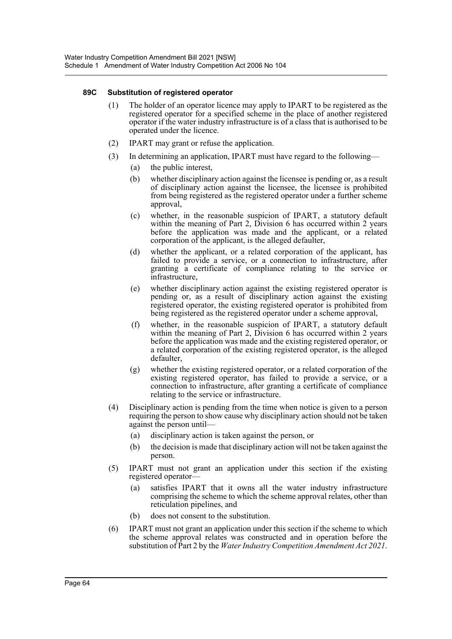## **89C Substitution of registered operator**

- (1) The holder of an operator licence may apply to IPART to be registered as the registered operator for a specified scheme in the place of another registered operator if the water industry infrastructure is of a class that is authorised to be operated under the licence.
- (2) IPART may grant or refuse the application.
- (3) In determining an application, IPART must have regard to the following—
	- (a) the public interest,
	- (b) whether disciplinary action against the licensee is pending or, as a result of disciplinary action against the licensee, the licensee is prohibited from being registered as the registered operator under a further scheme approval,
	- (c) whether, in the reasonable suspicion of IPART, a statutory default within the meaning of Part 2, Division 6 has occurred within 2 years before the application was made and the applicant, or a related corporation of the applicant, is the alleged defaulter,
	- (d) whether the applicant, or a related corporation of the applicant, has failed to provide a service, or a connection to infrastructure, after granting a certificate of compliance relating to the service or infrastructure,
	- (e) whether disciplinary action against the existing registered operator is pending or, as a result of disciplinary action against the existing registered operator, the existing registered operator is prohibited from being registered as the registered operator under a scheme approval,
	- (f) whether, in the reasonable suspicion of IPART, a statutory default within the meaning of Part 2, Division 6 has occurred within 2 years before the application was made and the existing registered operator, or a related corporation of the existing registered operator, is the alleged defaulter,
	- (g) whether the existing registered operator, or a related corporation of the existing registered operator, has failed to provide a service, or a connection to infrastructure, after granting a certificate of compliance relating to the service or infrastructure.
- (4) Disciplinary action is pending from the time when notice is given to a person requiring the person to show cause why disciplinary action should not be taken against the person until—
	- (a) disciplinary action is taken against the person, or
	- (b) the decision is made that disciplinary action will not be taken against the person.
- (5) IPART must not grant an application under this section if the existing registered operator—
	- (a) satisfies IPART that it owns all the water industry infrastructure comprising the scheme to which the scheme approval relates, other than reticulation pipelines, and
	- (b) does not consent to the substitution.
- (6) IPART must not grant an application under this section if the scheme to which the scheme approval relates was constructed and in operation before the substitution of Part 2 by the *Water Industry Competition Amendment Act 2021*.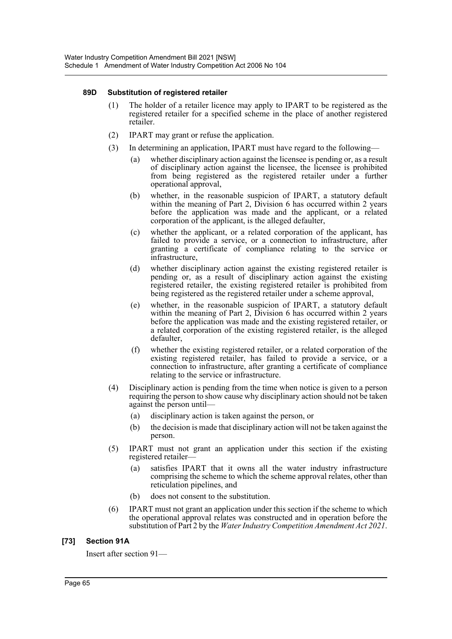## **89D Substitution of registered retailer**

- (1) The holder of a retailer licence may apply to IPART to be registered as the registered retailer for a specified scheme in the place of another registered retailer.
- (2) IPART may grant or refuse the application.
- (3) In determining an application, IPART must have regard to the following—
	- (a) whether disciplinary action against the licensee is pending or, as a result of disciplinary action against the licensee, the licensee is prohibited from being registered as the registered retailer under a further operational approval,
	- (b) whether, in the reasonable suspicion of IPART, a statutory default within the meaning of Part 2, Division 6 has occurred within 2 years before the application was made and the applicant, or a related corporation of the applicant, is the alleged defaulter,
	- (c) whether the applicant, or a related corporation of the applicant, has failed to provide a service, or a connection to infrastructure, after granting a certificate of compliance relating to the service or infrastructure,
	- (d) whether disciplinary action against the existing registered retailer is pending or, as a result of disciplinary action against the existing registered retailer, the existing registered retailer is prohibited from being registered as the registered retailer under a scheme approval,
	- (e) whether, in the reasonable suspicion of IPART, a statutory default within the meaning of Part 2, Division 6 has occurred within 2 years before the application was made and the existing registered retailer, or a related corporation of the existing registered retailer, is the alleged defaulter,
	- (f) whether the existing registered retailer, or a related corporation of the existing registered retailer, has failed to provide a service, or a connection to infrastructure, after granting a certificate of compliance relating to the service or infrastructure.
- (4) Disciplinary action is pending from the time when notice is given to a person requiring the person to show cause why disciplinary action should not be taken against the person until—
	- (a) disciplinary action is taken against the person, or
	- (b) the decision is made that disciplinary action will not be taken against the person.
- (5) IPART must not grant an application under this section if the existing registered retailer—
	- (a) satisfies IPART that it owns all the water industry infrastructure comprising the scheme to which the scheme approval relates, other than reticulation pipelines, and
	- (b) does not consent to the substitution.
- (6) IPART must not grant an application under this section if the scheme to which the operational approval relates was constructed and in operation before the substitution of Part 2 by the *Water Industry Competition Amendment Act 2021*.

# **[73] Section 91A**

Insert after section 91—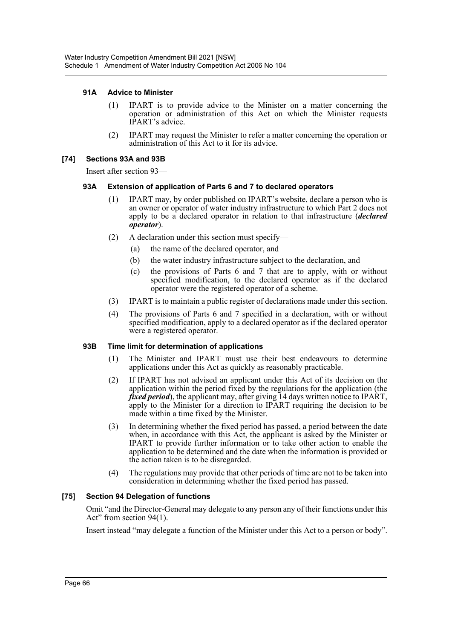## **91A Advice to Minister**

- (1) IPART is to provide advice to the Minister on a matter concerning the operation or administration of this Act on which the Minister requests IPART's advice.
- (2) IPART may request the Minister to refer a matter concerning the operation or administration of this Act to it for its advice.

#### **[74] Sections 93A and 93B**

Insert after section 93—

#### **93A Extension of application of Parts 6 and 7 to declared operators**

- (1) IPART may, by order published on IPART's website, declare a person who is an owner or operator of water industry infrastructure to which Part 2 does not apply to be a declared operator in relation to that infrastructure (*declared operator*).
- (2) A declaration under this section must specify—
	- (a) the name of the declared operator, and
	- (b) the water industry infrastructure subject to the declaration, and
	- (c) the provisions of Parts 6 and 7 that are to apply, with or without specified modification, to the declared operator as if the declared operator were the registered operator of a scheme.
- (3) IPART is to maintain a public register of declarations made under this section.
- (4) The provisions of Parts 6 and 7 specified in a declaration, with or without specified modification, apply to a declared operator as if the declared operator were a registered operator.

#### **93B Time limit for determination of applications**

- (1) The Minister and IPART must use their best endeavours to determine applications under this Act as quickly as reasonably practicable.
- (2) If IPART has not advised an applicant under this Act of its decision on the application within the period fixed by the regulations for the application (the *fixed period*), the applicant may, after giving 14 days written notice to IPART, apply to the Minister for a direction to IPART requiring the decision to be made within a time fixed by the Minister.
- (3) In determining whether the fixed period has passed, a period between the date when, in accordance with this Act, the applicant is asked by the Minister or IPART to provide further information or to take other action to enable the application to be determined and the date when the information is provided or the action taken is to be disregarded.
- (4) The regulations may provide that other periods of time are not to be taken into consideration in determining whether the fixed period has passed.

## **[75] Section 94 Delegation of functions**

Omit "and the Director-General may delegate to any person any of their functions under this Act" from section 94(1).

Insert instead "may delegate a function of the Minister under this Act to a person or body".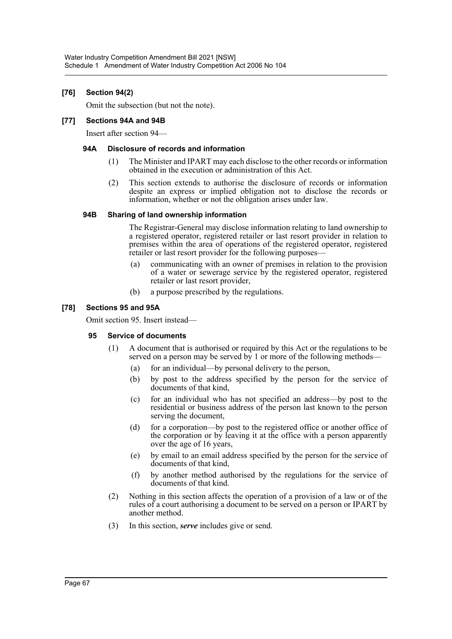# **[76] Section 94(2)**

Omit the subsection (but not the note).

## **[77] Sections 94A and 94B**

Insert after section 94—

## **94A Disclosure of records and information**

- (1) The Minister and IPART may each disclose to the other records or information obtained in the execution or administration of this Act.
- (2) This section extends to authorise the disclosure of records or information despite an express or implied obligation not to disclose the records or information, whether or not the obligation arises under law.

## **94B Sharing of land ownership information**

The Registrar-General may disclose information relating to land ownership to a registered operator, registered retailer or last resort provider in relation to premises within the area of operations of the registered operator, registered retailer or last resort provider for the following purposes—

- (a) communicating with an owner of premises in relation to the provision of a water or sewerage service by the registered operator, registered retailer or last resort provider,
- (b) a purpose prescribed by the regulations.

# **[78] Sections 95 and 95A**

Omit section 95. Insert instead—

## **95 Service of documents**

- (1) A document that is authorised or required by this Act or the regulations to be served on a person may be served by 1 or more of the following methods–
	- (a) for an individual—by personal delivery to the person,
	- (b) by post to the address specified by the person for the service of documents of that kind,
	- (c) for an individual who has not specified an address—by post to the residential or business address of the person last known to the person serving the document,
	- (d) for a corporation—by post to the registered office or another office of the corporation or by leaving it at the office with a person apparently over the age of 16 years,
	- (e) by email to an email address specified by the person for the service of documents of that kind,
	- (f) by another method authorised by the regulations for the service of documents of that kind.
- (2) Nothing in this section affects the operation of a provision of a law or of the rules of a court authorising a document to be served on a person or IPART by another method.
- (3) In this section, *serve* includes give or send.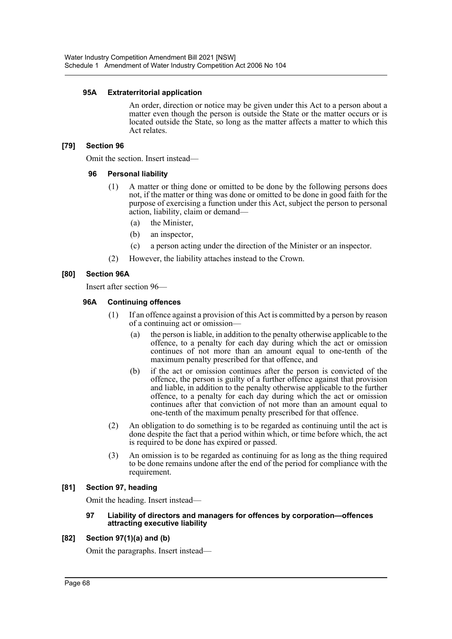## **95A Extraterritorial application**

An order, direction or notice may be given under this Act to a person about a matter even though the person is outside the State or the matter occurs or is located outside the State, so long as the matter affects a matter to which this Act relates.

# **[79] Section 96**

Omit the section. Insert instead—

## **96 Personal liability**

- (1) A matter or thing done or omitted to be done by the following persons does not, if the matter or thing was done or omitted to be done in good faith for the purpose of exercising a function under this Act, subject the person to personal action, liability, claim or demand—
	- (a) the Minister,
	- (b) an inspector,
	- (c) a person acting under the direction of the Minister or an inspector.
- (2) However, the liability attaches instead to the Crown.

# **[80] Section 96A**

Insert after section 96—

## **96A Continuing offences**

- (1) If an offence against a provision of this Act is committed by a person by reason of a continuing act or omission—
	- (a) the person is liable, in addition to the penalty otherwise applicable to the offence, to a penalty for each day during which the act or omission continues of not more than an amount equal to one-tenth of the maximum penalty prescribed for that offence, and
	- (b) if the act or omission continues after the person is convicted of the offence, the person is guilty of a further offence against that provision and liable, in addition to the penalty otherwise applicable to the further offence, to a penalty for each day during which the act or omission continues after that conviction of not more than an amount equal to one-tenth of the maximum penalty prescribed for that offence.
- (2) An obligation to do something is to be regarded as continuing until the act is done despite the fact that a period within which, or time before which, the act is required to be done has expired or passed.
- (3) An omission is to be regarded as continuing for as long as the thing required to be done remains undone after the end of the period for compliance with the requirement.

# **[81] Section 97, heading**

Omit the heading. Insert instead—

#### **97 Liability of directors and managers for offences by corporation—offences attracting executive liability**

## **[82] Section 97(1)(a) and (b)**

Omit the paragraphs. Insert instead—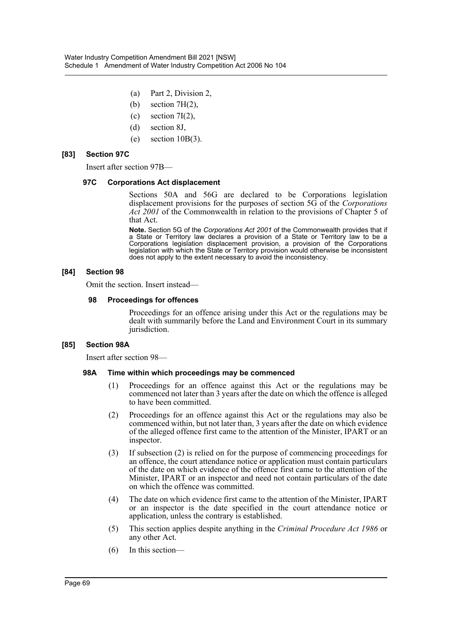- (a) Part 2, Division 2,
- (b) section  $7H(2)$ ,
- (c) section  $7I(2)$ ,
- (d) section 8J,
- (e) section  $10B(3)$ .

## **[83] Section 97C**

Insert after section 97B—

#### **97C Corporations Act displacement**

Sections 50A and 56G are declared to be Corporations legislation displacement provisions for the purposes of section 5G of the *Corporations Act 2001* of the Commonwealth in relation to the provisions of Chapter 5 of that Act.

**Note.** Section 5G of the *Corporations Act 2001* of the Commonwealth provides that if a State or Territory law declares a provision of a State or Territory law to be a Corporations legislation displacement provision, a provision of the Corporations legislation with which the State or Territory provision would otherwise be inconsistent does not apply to the extent necessary to avoid the inconsistency.

## **[84] Section 98**

Omit the section. Insert instead—

## **98 Proceedings for offences**

Proceedings for an offence arising under this Act or the regulations may be dealt with summarily before the Land and Environment Court in its summary jurisdiction.

## **[85] Section 98A**

Insert after section 98—

## **98A Time within which proceedings may be commenced**

- (1) Proceedings for an offence against this Act or the regulations may be commenced not later than 3 years after the date on which the offence is alleged to have been committed.
- (2) Proceedings for an offence against this Act or the regulations may also be commenced within, but not later than, 3 years after the date on which evidence of the alleged offence first came to the attention of the Minister, IPART or an inspector.
- (3) If subsection (2) is relied on for the purpose of commencing proceedings for an offence, the court attendance notice or application must contain particulars of the date on which evidence of the offence first came to the attention of the Minister, IPART or an inspector and need not contain particulars of the date on which the offence was committed.
- (4) The date on which evidence first came to the attention of the Minister, IPART or an inspector is the date specified in the court attendance notice or application, unless the contrary is established.
- (5) This section applies despite anything in the *Criminal Procedure Act 1986* or any other Act.
- (6) In this section—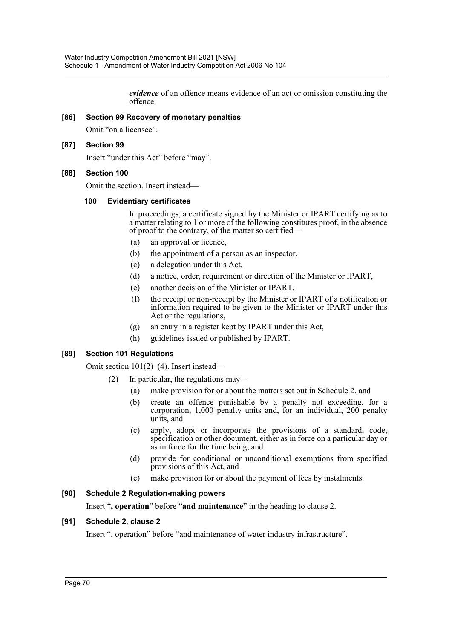*evidence* of an offence means evidence of an act or omission constituting the offence.

## **[86] Section 99 Recovery of monetary penalties**

Omit "on a licensee".

# **[87] Section 99**

Insert "under this Act" before "may".

## **[88] Section 100**

Omit the section. Insert instead—

## **100 Evidentiary certificates**

In proceedings, a certificate signed by the Minister or IPART certifying as to a matter relating to 1 or more of the following constitutes proof, in the absence of proof to the contrary, of the matter so certified—

- (a) an approval or licence,
- (b) the appointment of a person as an inspector,
- (c) a delegation under this Act,
- (d) a notice, order, requirement or direction of the Minister or IPART,
- (e) another decision of the Minister or IPART,
- (f) the receipt or non-receipt by the Minister or IPART of a notification or information required to be given to the Minister or IPART under this Act or the regulations,
- (g) an entry in a register kept by IPART under this Act,
- (h) guidelines issued or published by IPART.

# **[89] Section 101 Regulations**

Omit section 101(2)–(4). Insert instead—

- (2) In particular, the regulations may—
	- (a) make provision for or about the matters set out in Schedule 2, and
	- (b) create an offence punishable by a penalty not exceeding, for a corporation, 1,000 penalty units and, for an individual, 200 penalty units, and
	- (c) apply, adopt or incorporate the provisions of a standard, code, specification or other document, either as in force on a particular day or as in force for the time being, and
	- (d) provide for conditional or unconditional exemptions from specified provisions of this Act, and
	- (e) make provision for or about the payment of fees by instalments.

# **[90] Schedule 2 Regulation-making powers**

Insert "**, operation**" before "**and maintenance**" in the heading to clause 2.

# **[91] Schedule 2, clause 2**

Insert ", operation" before "and maintenance of water industry infrastructure".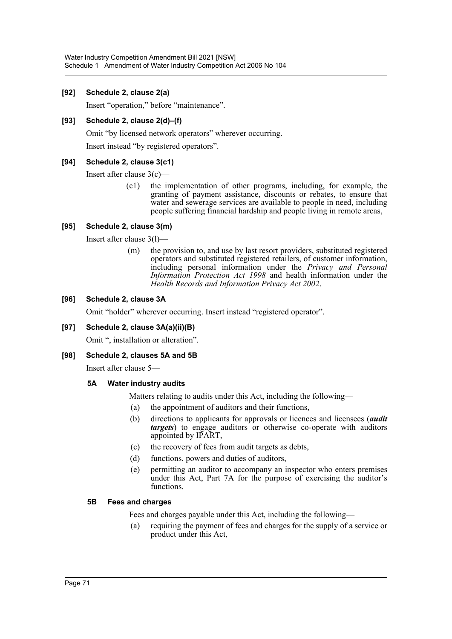# **[92] Schedule 2, clause 2(a)**

Insert "operation," before "maintenance".

# **[93] Schedule 2, clause 2(d)–(f)**

Omit "by licensed network operators" wherever occurring.

Insert instead "by registered operators".

# **[94] Schedule 2, clause 3(c1)**

Insert after clause 3(c)—

(c1) the implementation of other programs, including, for example, the granting of payment assistance, discounts or rebates, to ensure that water and sewerage services are available to people in need, including people suffering financial hardship and people living in remote areas,

# **[95] Schedule 2, clause 3(m)**

Insert after clause 3(l)—

(m) the provision to, and use by last resort providers, substituted registered operators and substituted registered retailers, of customer information, including personal information under the *Privacy and Personal Information Protection Act 1998* and health information under the *Health Records and Information Privacy Act 2002*.

# **[96] Schedule 2, clause 3A**

Omit "holder" wherever occurring. Insert instead "registered operator".

## **[97] Schedule 2, clause 3A(a)(ii)(B)**

Omit ", installation or alteration".

## **[98] Schedule 2, clauses 5A and 5B**

Insert after clause 5—

## **5A Water industry audits**

Matters relating to audits under this Act, including the following—

- (a) the appointment of auditors and their functions,
- (b) directions to applicants for approvals or licences and licensees (*audit targets*) to engage auditors or otherwise co-operate with auditors appointed by IPART,
- (c) the recovery of fees from audit targets as debts,
- (d) functions, powers and duties of auditors,
- (e) permitting an auditor to accompany an inspector who enters premises under this Act, Part 7A for the purpose of exercising the auditor's functions.

## **5B Fees and charges**

Fees and charges payable under this Act, including the following—

(a) requiring the payment of fees and charges for the supply of a service or product under this Act,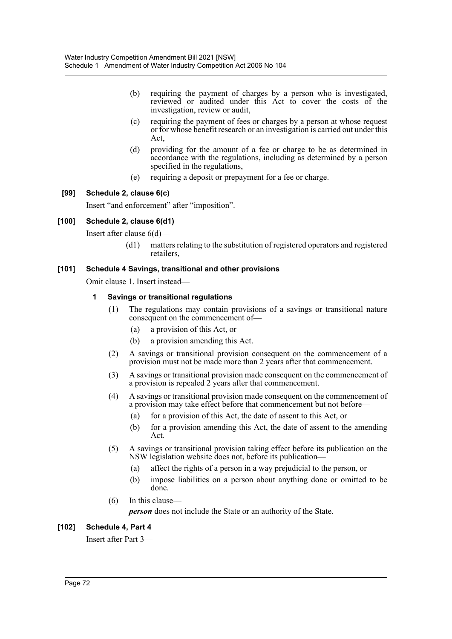- (b) requiring the payment of charges by a person who is investigated, reviewed or audited under this Act to cover the costs of the investigation, review or audit,
- (c) requiring the payment of fees or charges by a person at whose request or for whose benefit research or an investigation is carried out under this Act,
- (d) providing for the amount of a fee or charge to be as determined in accordance with the regulations, including as determined by a person specified in the regulations,
- (e) requiring a deposit or prepayment for a fee or charge.

### **[99] Schedule 2, clause 6(c)**

Insert "and enforcement" after "imposition".

#### **[100] Schedule 2, clause 6(d1)**

Insert after clause 6(d)—

(d1) matters relating to the substitution of registered operators and registered retailers,

### **[101] Schedule 4 Savings, transitional and other provisions**

Omit clause 1. Insert instead—

### **1 Savings or transitional regulations**

- (1) The regulations may contain provisions of a savings or transitional nature consequent on the commencement of—
	- (a) a provision of this Act, or
	- (b) a provision amending this Act.
- (2) A savings or transitional provision consequent on the commencement of a provision must not be made more than 2 years after that commencement.
- (3) A savings or transitional provision made consequent on the commencement of a provision is repealed 2 years after that commencement.
- (4) A savings or transitional provision made consequent on the commencement of a provision may take effect before that commencement but not before—
	- (a) for a provision of this Act, the date of assent to this Act, or
	- (b) for a provision amending this Act, the date of assent to the amending Act.
- (5) A savings or transitional provision taking effect before its publication on the NSW legislation website does not, before its publication—
	- (a) affect the rights of a person in a way prejudicial to the person, or
	- (b) impose liabilities on a person about anything done or omitted to be done.
- (6) In this clause—

*person* does not include the State or an authority of the State.

#### **[102] Schedule 4, Part 4**

Insert after Part 3—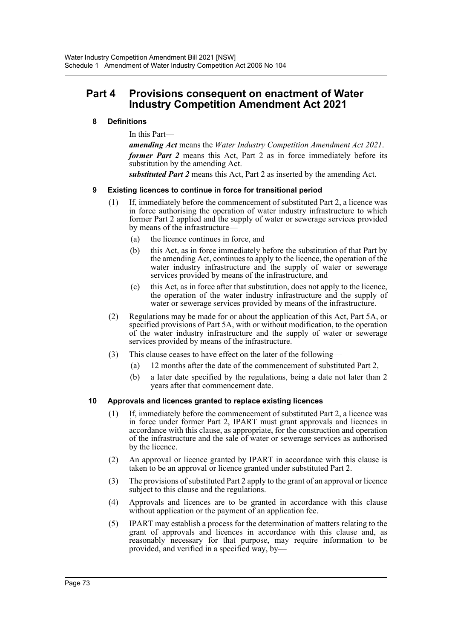# **Part 4 Provisions consequent on enactment of Water Industry Competition Amendment Act 2021**

### **8 Definitions**

In this Part—

*amending Act* means the *Water Industry Competition Amendment Act 2021*. *former Part 2* means this Act, Part 2 as in force immediately before its substitution by the amending Act.

*substituted Part 2* means this Act, Part 2 as inserted by the amending Act.

### **9 Existing licences to continue in force for transitional period**

- (1) If, immediately before the commencement of substituted Part 2, a licence was in force authorising the operation of water industry infrastructure to which former Part 2 applied and the supply of water or sewerage services provided by means of the infrastructure-
	- (a) the licence continues in force, and
	- (b) this Act, as in force immediately before the substitution of that Part by the amending Act, continues to apply to the licence, the operation of the water industry infrastructure and the supply of water or sewerage services provided by means of the infrastructure, and
	- (c) this Act, as in force after that substitution, does not apply to the licence, the operation of the water industry infrastructure and the supply of water or sewerage services provided by means of the infrastructure.
- (2) Regulations may be made for or about the application of this Act, Part 5A, or specified provisions of Part 5A, with or without modification, to the operation of the water industry infrastructure and the supply of water or sewerage services provided by means of the infrastructure.
- (3) This clause ceases to have effect on the later of the following—
	- (a) 12 months after the date of the commencement of substituted Part 2,
	- (b) a later date specified by the regulations, being a date not later than 2 years after that commencement date.

#### **10 Approvals and licences granted to replace existing licences**

- (1) If, immediately before the commencement of substituted Part 2, a licence was in force under former Part 2, IPART must grant approvals and licences in accordance with this clause, as appropriate, for the construction and operation of the infrastructure and the sale of water or sewerage services as authorised by the licence.
- (2) An approval or licence granted by IPART in accordance with this clause is taken to be an approval or licence granted under substituted Part 2.
- (3) The provisions of substituted Part 2 apply to the grant of an approval or licence subject to this clause and the regulations.
- (4) Approvals and licences are to be granted in accordance with this clause without application or the payment of an application fee.
- (5) IPART may establish a process for the determination of matters relating to the grant of approvals and licences in accordance with this clause and, as reasonably necessary for that purpose, may require information to be provided, and verified in a specified way, by—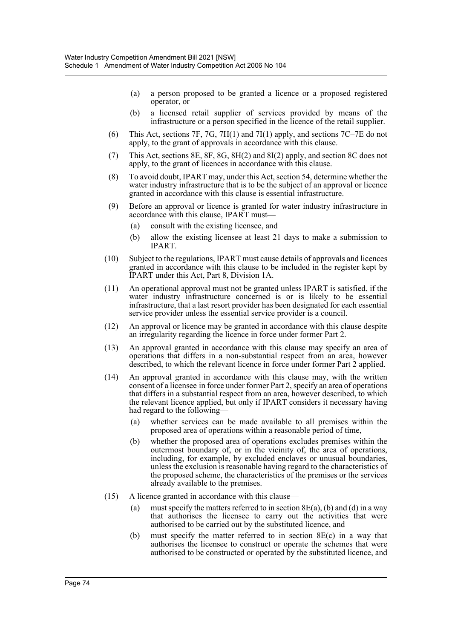- (a) a person proposed to be granted a licence or a proposed registered operator, or
- (b) a licensed retail supplier of services provided by means of the infrastructure or a person specified in the licence of the retail supplier.
- (6) This Act, sections 7F, 7G, 7H(1) and 7I(1) apply, and sections 7C–7E do not apply, to the grant of approvals in accordance with this clause.
- (7) This Act, sections 8E, 8F, 8G, 8H(2) and 8I(2) apply, and section 8C does not apply, to the grant of licences in accordance with this clause.
- (8) To avoid doubt, IPART may, under this Act, section 54, determine whether the water industry infrastructure that is to be the subject of an approval or licence granted in accordance with this clause is essential infrastructure.
- (9) Before an approval or licence is granted for water industry infrastructure in accordance with this clause, IPART must—
	- (a) consult with the existing licensee, and
	- (b) allow the existing licensee at least 21 days to make a submission to IPART.
- (10) Subject to the regulations, IPART must cause details of approvals and licences granted in accordance with this clause to be included in the register kept by IPART under this Act, Part 8, Division 1A.
- (11) An operational approval must not be granted unless IPART is satisfied, if the water industry infrastructure concerned is or is likely to be essential infrastructure, that a last resort provider has been designated for each essential service provider unless the essential service provider is a council.
- (12) An approval or licence may be granted in accordance with this clause despite an irregularity regarding the licence in force under former Part 2.
- (13) An approval granted in accordance with this clause may specify an area of operations that differs in a non-substantial respect from an area, however described, to which the relevant licence in force under former Part 2 applied.
- (14) An approval granted in accordance with this clause may, with the written consent of a licensee in force under former Part 2, specify an area of operations that differs in a substantial respect from an area, however described, to which the relevant licence applied, but only if IPART considers it necessary having had regard to the following-
	- (a) whether services can be made available to all premises within the proposed area of operations within a reasonable period of time,
	- (b) whether the proposed area of operations excludes premises within the outermost boundary of, or in the vicinity of, the area of operations, including, for example, by excluded enclaves or unusual boundaries, unless the exclusion is reasonable having regard to the characteristics of the proposed scheme, the characteristics of the premises or the services already available to the premises.
- (15) A licence granted in accordance with this clause—
	- (a) must specify the matters referred to in section  $8E(a)$ , (b) and (d) in a way that authorises the licensee to carry out the activities that were authorised to be carried out by the substituted licence, and
	- (b) must specify the matter referred to in section 8E(c) in a way that authorises the licensee to construct or operate the schemes that were authorised to be constructed or operated by the substituted licence, and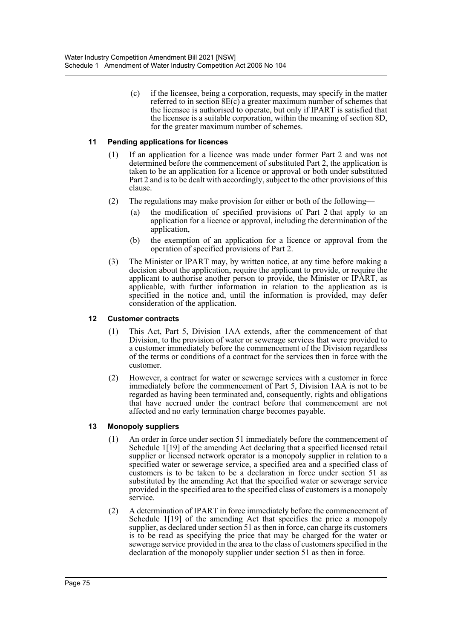(c) if the licensee, being a corporation, requests, may specify in the matter referred to in section 8E(c) a greater maximum number of schemes that the licensee is authorised to operate, but only if IPART is satisfied that the licensee is a suitable corporation, within the meaning of section 8D, for the greater maximum number of schemes.

### **11 Pending applications for licences**

- (1) If an application for a licence was made under former Part 2 and was not determined before the commencement of substituted Part 2, the application is taken to be an application for a licence or approval or both under substituted Part 2 and is to be dealt with accordingly, subject to the other provisions of this clause.
- (2) The regulations may make provision for either or both of the following—
	- (a) the modification of specified provisions of Part 2 that apply to an application for a licence or approval, including the determination of the application,
	- (b) the exemption of an application for a licence or approval from the operation of specified provisions of Part 2.
- (3) The Minister or IPART may, by written notice, at any time before making a decision about the application, require the applicant to provide, or require the applicant to authorise another person to provide, the Minister or IPART, as applicable, with further information in relation to the application as is specified in the notice and, until the information is provided, may defer consideration of the application.

#### **12 Customer contracts**

- (1) This Act, Part 5, Division 1AA extends, after the commencement of that Division, to the provision of water or sewerage services that were provided to a customer immediately before the commencement of the Division regardless of the terms or conditions of a contract for the services then in force with the customer.
- (2) However, a contract for water or sewerage services with a customer in force immediately before the commencement of Part 5, Division 1AA is not to be regarded as having been terminated and, consequently, rights and obligations that have accrued under the contract before that commencement are not affected and no early termination charge becomes payable.

#### **13 Monopoly suppliers**

- (1) An order in force under section 51 immediately before the commencement of Schedule 1[19] of the amending Act declaring that a specified licensed retail supplier or licensed network operator is a monopoly supplier in relation to a specified water or sewerage service, a specified area and a specified class of customers is to be taken to be a declaration in force under section 51 as substituted by the amending Act that the specified water or sewerage service provided in the specified area to the specified class of customers is a monopoly service.
- (2) A determination of IPART in force immediately before the commencement of Schedule 1[19] of the amending Act that specifies the price a monopoly supplier, as declared under section 51 as then in force, can charge its customers is to be read as specifying the price that may be charged for the water or sewerage service provided in the area to the class of customers specified in the declaration of the monopoly supplier under section 51 as then in force.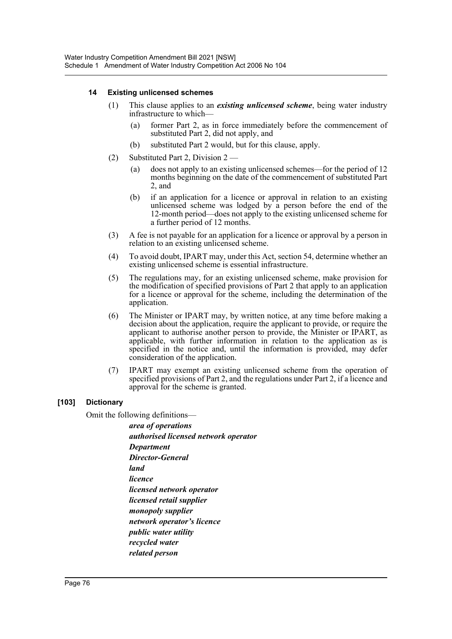### **14 Existing unlicensed schemes**

- (1) This clause applies to an *existing unlicensed scheme*, being water industry infrastructure to which—
	- (a) former Part 2, as in force immediately before the commencement of substituted Part 2, did not apply, and
	- (b) substituted Part 2 would, but for this clause, apply.
- (2) Substituted Part 2, Division 2
	- (a) does not apply to an existing unlicensed schemes—for the period of 12 months beginning on the date of the commencement of substituted Part 2, and
	- (b) if an application for a licence or approval in relation to an existing unlicensed scheme was lodged by a person before the end of the 12-month period—does not apply to the existing unlicensed scheme for a further period of 12 months.
- (3) A fee is not payable for an application for a licence or approval by a person in relation to an existing unlicensed scheme.
- (4) To avoid doubt, IPART may, under this Act, section 54, determine whether an existing unlicensed scheme is essential infrastructure.
- (5) The regulations may, for an existing unlicensed scheme, make provision for the modification of specified provisions of Part 2 that apply to an application for a licence or approval for the scheme, including the determination of the application.
- (6) The Minister or IPART may, by written notice, at any time before making a decision about the application, require the applicant to provide, or require the applicant to authorise another person to provide, the Minister or IPART, as applicable, with further information in relation to the application as is specified in the notice and, until the information is provided, may defer consideration of the application.
- (7) IPART may exempt an existing unlicensed scheme from the operation of specified provisions of Part 2, and the regulations under Part 2, if a licence and approval for the scheme is granted.

### **[103] Dictionary**

Omit the following definitions—

*area of operations authorised licensed network operator Department Director-General land licence licensed network operator licensed retail supplier monopoly supplier network operator's licence public water utility recycled water related person*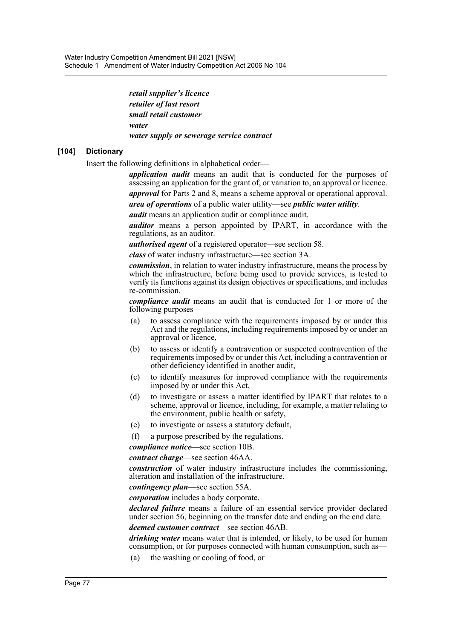*retail supplier's licence retailer of last resort small retail customer water water supply or sewerage service contract*

### **[104] Dictionary**

Insert the following definitions in alphabetical order—

*application audit* means an audit that is conducted for the purposes of assessing an application for the grant of, or variation to, an approval or licence. *approval* for Parts 2 and 8, means a scheme approval or operational approval.

*area of operations* of a public water utility—see *public water utility*.

*audit* means an application audit or compliance audit.

*auditor* means a person appointed by IPART, in accordance with the regulations, as an auditor.

*authorised agent* of a registered operator—see section 58.

*class* of water industry infrastructure—see section 3A.

*commission*, in relation to water industry infrastructure, means the process by which the infrastructure, before being used to provide services, is tested to verify its functions against its design objectives or specifications, and includes re-commission.

*compliance audit* means an audit that is conducted for 1 or more of the following purposes—

- (a) to assess compliance with the requirements imposed by or under this Act and the regulations, including requirements imposed by or under an approval or licence,
- (b) to assess or identify a contravention or suspected contravention of the requirements imposed by or under this Act, including a contravention or other deficiency identified in another audit,
- (c) to identify measures for improved compliance with the requirements imposed by or under this Act,
- (d) to investigate or assess a matter identified by IPART that relates to a scheme, approval or licence, including, for example, a matter relating to the environment, public health or safety,
- (e) to investigate or assess a statutory default,

(f) a purpose prescribed by the regulations.

*compliance notice*—see section 10B.

*contract charge*—see section 46AA.

*construction* of water industry infrastructure includes the commissioning, alteration and installation of the infrastructure.

*contingency plan*—see section 55A.

*corporation* includes a body corporate.

*declared failure* means a failure of an essential service provider declared under section 56, beginning on the transfer date and ending on the end date.

*deemed customer contract*—see section 46AB.

*drinking water* means water that is intended, or likely, to be used for human consumption, or for purposes connected with human consumption, such as—

(a) the washing or cooling of food, or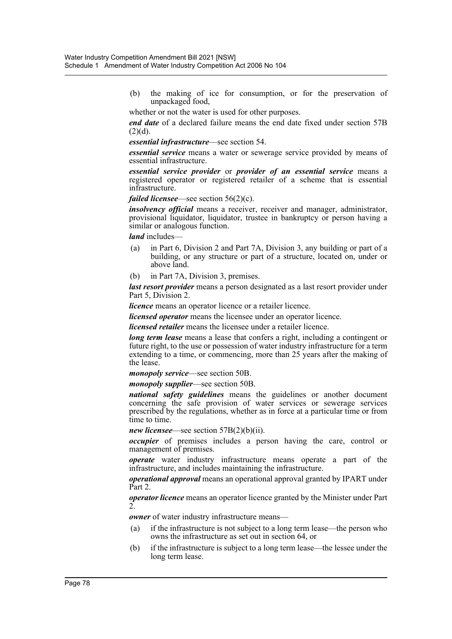(b) the making of ice for consumption, or for the preservation of unpackaged food,

whether or not the water is used for other purposes.

*end date* of a declared failure means the end date fixed under section 57B  $(2)(d)$ .

#### *essential infrastructure*—see section 54.

*essential service* means a water or sewerage service provided by means of essential infrastructure.

*essential service provider* or *provider of an essential service* means a registered operator or registered retailer of a scheme that is essential infrastructure.

### *failed licensee*—see section 56(2)(c).

*insolvency official* means a receiver, receiver and manager, administrator, provisional liquidator, liquidator, trustee in bankruptcy or person having a similar or analogous function.

*land* includes—

- (a) in Part 6, Division 2 and Part 7A, Division 3, any building or part of a building, or any structure or part of a structure, located on, under or above land.
- (b) in Part 7A, Division 3, premises.

*last resort provider* means a person designated as a last resort provider under Part 5, Division 2.

*licence* means an operator licence or a retailer licence.

*licensed operator* means the licensee under an operator licence.

*licensed retailer* means the licensee under a retailer licence.

*long term lease* means a lease that confers a right, including a contingent or future right, to the use or possession of water industry infrastructure for a term extending to a time, or commencing, more than 25 years after the making of the lease.

*monopoly service*—see section 50B.

*monopoly supplier*—see section 50B.

*national safety guidelines* means the guidelines or another document concerning the safe provision of water services or sewerage services prescribed by the regulations, whether as in force at a particular time or from time to time.

*new licensee*—see section 57B(2)(b)(ii).

*occupier* of premises includes a person having the care, control or management of premises.

*operate* water industry infrastructure means operate a part of the infrastructure, and includes maintaining the infrastructure.

*operational approval* means an operational approval granted by IPART under Part 2.

*operator licence* means an operator licence granted by the Minister under Part  $\overline{2}$ 

*owner* of water industry infrastructure means—

- (a) if the infrastructure is not subject to a long term lease—the person who owns the infrastructure as set out in section 64, or
- (b) if the infrastructure is subject to a long term lease—the lessee under the long term lease.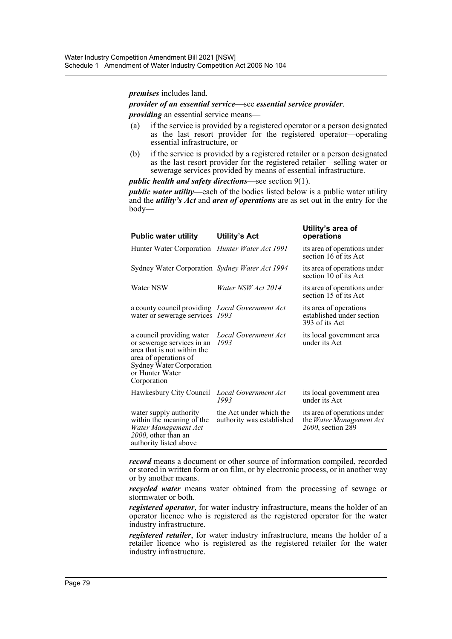*premises* includes land.

*provider of an essential service*—see *essential service provider*.

*providing* an essential service means—

- (a) if the service is provided by a registered operator or a person designated as the last resort provider for the registered operator—operating essential infrastructure, or
- (b) if the service is provided by a registered retailer or a person designated as the last resort provider for the registered retailer—selling water or sewerage services provided by means of essential infrastructure.

*public health and safety directions*—see section 9(1).

*public water utility*—each of the bodies listed below is a public water utility and the *utility's Act* and *area of operations* are as set out in the entry for the body—

| <b>Public water utility</b>                                                                                                                                                   | <b>Utility's Act</b>                                 | Utility's area of<br>operations                                               |
|-------------------------------------------------------------------------------------------------------------------------------------------------------------------------------|------------------------------------------------------|-------------------------------------------------------------------------------|
| Hunter Water Corporation <i>Hunter Water Act 1991</i>                                                                                                                         |                                                      | its area of operations under<br>section 16 of its Act                         |
| Sydney Water Corporation Sydney Water Act 1994                                                                                                                                |                                                      | its area of operations under<br>section 10 of its Act                         |
| Water NSW                                                                                                                                                                     | Water NSW Act 2014                                   | its area of operations under<br>section 15 of its Act                         |
| a county council providing <i>Local Government Act</i><br>water or sewerage services 1993                                                                                     |                                                      | its area of operations<br>established under section<br>393 of its Act         |
| a council providing water<br>or sewerage services in an<br>area that is not within the<br>area of operations of<br>Sydney Water Corporation<br>or Hunter Water<br>Corporation | Local Government Act<br>1993                         | its local government area<br>under its Act                                    |
| Hawkesbury City Council                                                                                                                                                       | Local Government Act<br>1993                         | its local government area<br>under its Act                                    |
| water supply authority<br>within the meaning of the<br>Water Management Act<br>2000, other than an<br>authority listed above                                                  | the Act under which the<br>authority was established | its area of operations under<br>the Water Management Act<br>2000, section 289 |

*record* means a document or other source of information compiled, recorded or stored in written form or on film, or by electronic process, or in another way or by another means.

*recycled water* means water obtained from the processing of sewage or stormwater or both.

*registered operator*, for water industry infrastructure, means the holder of an operator licence who is registered as the registered operator for the water industry infrastructure.

*registered retailer*, for water industry infrastructure, means the holder of a retailer licence who is registered as the registered retailer for the water industry infrastructure.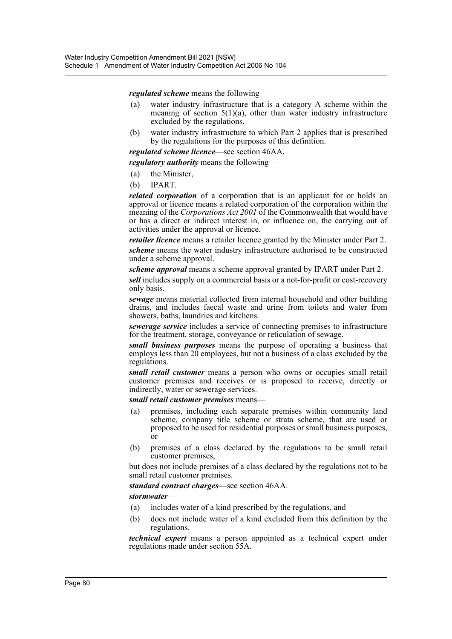*regulated scheme* means the following—

- (a) water industry infrastructure that is a category A scheme within the meaning of section  $5(1)(a)$ , other than water industry infrastructure excluded by the regulations,
- (b) water industry infrastructure to which Part 2 applies that is prescribed by the regulations for the purposes of this definition.

*regulated scheme licence*—see section 46AA.

*regulatory authority* means the following—

- (a) the Minister,
- (b) IPART.

*related corporation* of a corporation that is an applicant for or holds an approval or licence means a related corporation of the corporation within the meaning of the *Corporations Act 2001* of the Commonwealth that would have or has a direct or indirect interest in, or influence on, the carrying out of activities under the approval or licence.

*retailer licence* means a retailer licence granted by the Minister under Part 2.

*scheme* means the water industry infrastructure authorised to be constructed under a scheme approval.

*scheme approval* means a scheme approval granted by IPART under Part 2.

*sell* includes supply on a commercial basis or a not-for-profit or cost-recovery only basis.

*sewage* means material collected from internal household and other building drains, and includes faecal waste and urine from toilets and water from showers, baths, laundries and kitchens.

*sewerage service* includes a service of connecting premises to infrastructure for the treatment, storage, conveyance or reticulation of sewage.

*small business purposes* means the purpose of operating a business that employs less than  $20$  employees, but not a business of a class excluded by the regulations.

*small retail customer* means a person who owns or occupies small retail customer premises and receives or is proposed to receive, directly or indirectly, water or sewerage services.

*small retail customer premises* means—

- (a) premises, including each separate premises within community land scheme, company title scheme or strata scheme, that are used or proposed to be used for residential purposes or small business purposes, or
- (b) premises of a class declared by the regulations to be small retail customer premises,

but does not include premises of a class declared by the regulations not to be small retail customer premises.

#### *standard contract charges*—see section 46AA.

#### *stormwater*—

- (a) includes water of a kind prescribed by the regulations, and
- (b) does not include water of a kind excluded from this definition by the regulations.

*technical expert* means a person appointed as a technical expert under regulations made under section 55A.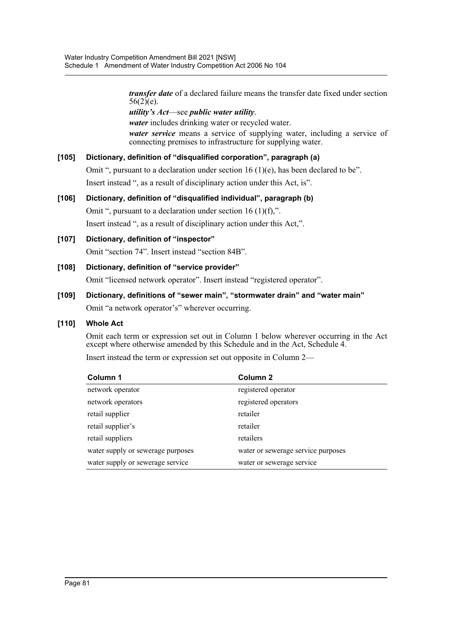*transfer date* of a declared failure means the transfer date fixed under section  $56(2)(e)$ .

*utility's Act*—see *public water utility*.

*water* includes drinking water or recycled water. *water service* means a service of supplying water, including a service of connecting premises to infrastructure for supplying water.

### **[105] Dictionary, definition of "disqualified corporation", paragraph (a)**

Omit ", pursuant to a declaration under section 16 (1)(e), has been declared to be". Insert instead ", as a result of disciplinary action under this Act, is".

**[106] Dictionary, definition of "disqualified individual", paragraph (b)** Omit ", pursuant to a declaration under section 16 (1)(f),". Insert instead ", as a result of disciplinary action under this Act,".

**[107] Dictionary, definition of "inspector"** Omit "section 74". Insert instead "section 84B".

**[108] Dictionary, definition of "service provider"**

Omit "licensed network operator". Insert instead "registered operator".

**[109] Dictionary, definitions of "sewer main", "stormwater drain" and "water main"** Omit "a network operator's" wherever occurring.

### **[110] Whole Act**

Omit each term or expression set out in Column 1 below wherever occurring in the Act except where otherwise amended by this Schedule and in the Act, Schedule 4.

Insert instead the term or expression set out opposite in Column 2—

| Column 1                          | Column <sub>2</sub>                |
|-----------------------------------|------------------------------------|
| network operator                  | registered operator                |
| network operators                 | registered operators               |
| retail supplier                   | retailer                           |
| retail supplier's                 | retailer                           |
| retail suppliers                  | retailers                          |
| water supply or sewerage purposes | water or sewerage service purposes |
| water supply or sewerage service  | water or sewerage service          |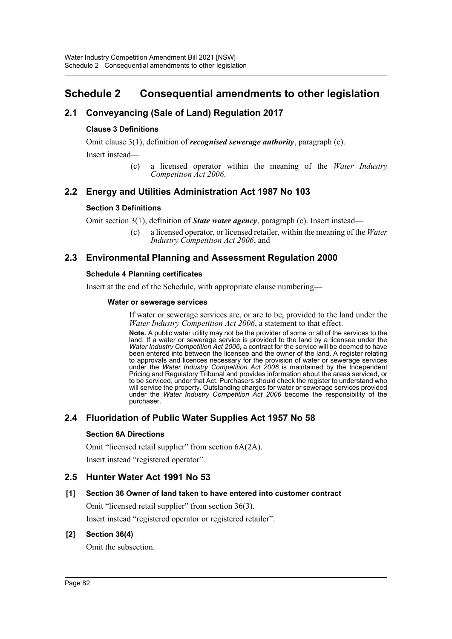# **Schedule 2 Consequential amendments to other legislation**

# **2.1 Conveyancing (Sale of Land) Regulation 2017**

### **Clause 3 Definitions**

Omit clause 3(1), definition of *recognised sewerage authority*, paragraph (c).

Insert instead—

(c) a licensed operator within the meaning of the *Water Industry Competition Act 2006*.

# **2.2 Energy and Utilities Administration Act 1987 No 103**

### **Section 3 Definitions**

Omit section 3(1), definition of *State water agency*, paragraph (c). Insert instead—

(c) a licensed operator, or licensed retailer, within the meaning of the *Water Industry Competition Act 2006*, and

# **2.3 Environmental Planning and Assessment Regulation 2000**

### **Schedule 4 Planning certificates**

Insert at the end of the Schedule, with appropriate clause numbering—

#### **Water or sewerage services**

If water or sewerage services are, or are to be, provided to the land under the *Water Industry Competition Act 2006*, a statement to that effect.

**Note.** A public water utility may not be the provider of some or all of the services to the land. If a water or sewerage service is provided to the land by a licensee under the *Water Industry Competition Act 2006*, a contract for the service will be deemed to have been entered into between the licensee and the owner of the land. A register relating to approvals and licences necessary for the provision of water or sewerage services under the *Water Industry Competition Act 2006* is maintained by the Independent Pricing and Regulatory Tribunal and provides information about the areas serviced, or to be serviced, under that Act. Purchasers should check the register to understand who will service the property. Outstanding charges for water or sewerage services provided under the *Water Industry Competition Act 2006* become the responsibility of the purchaser.

### **2.4 Fluoridation of Public Water Supplies Act 1957 No 58**

### **Section 6A Directions**

Omit "licensed retail supplier" from section 6A(2A).

Insert instead "registered operator".

### **2.5 Hunter Water Act 1991 No 53**

### **[1] Section 36 Owner of land taken to have entered into customer contract**

Omit "licensed retail supplier" from section 36(3).

Insert instead "registered operator or registered retailer".

### **[2] Section 36(4)**

Omit the subsection.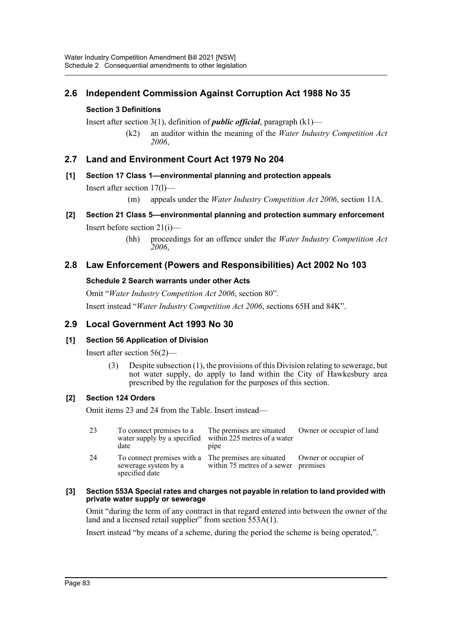# **2.6 Independent Commission Against Corruption Act 1988 No 35**

### **Section 3 Definitions**

Insert after section 3(1), definition of *public official*, paragraph (k1)—

(k2) an auditor within the meaning of the *Water Industry Competition Act 2006*,

### **2.7 Land and Environment Court Act 1979 No 204**

### **[1] Section 17 Class 1—environmental planning and protection appeals**

Insert after section 17(l)—

(m) appeals under the *Water Industry Competition Act 2006*, section 11A.

# **[2] Section 21 Class 5—environmental planning and protection summary enforcement**

Insert before section 21(i)—

(hh) proceedings for an offence under the *Water Industry Competition Act 2006*,

### **2.8 Law Enforcement (Powers and Responsibilities) Act 2002 No 103**

#### **Schedule 2 Search warrants under other Acts**

Omit "*Water Industry Competition Act 2006*, section 80". Insert instead "*Water Industry Competition Act 2006*, sections 65H and 84K".

### **2.9 Local Government Act 1993 No 30**

### **[1] Section 56 Application of Division**

Insert after section 56(2)—

(3) Despite subsection (1), the provisions of this Division relating to sewerage, but not water supply, do apply to land within the City of Hawkesbury area prescribed by the regulation for the purposes of this section.

### **[2] Section 124 Orders**

Omit items 23 and 24 from the Table. Insert instead—

| 23 | To connect premises to a<br>water supply by a specified within 225 metres of a water<br>date | The premises are situated Owner or occupier of land<br>pipe                                                       |  |
|----|----------------------------------------------------------------------------------------------|-------------------------------------------------------------------------------------------------------------------|--|
| 24 | sewerage system by a<br>specified date                                                       | To connect premises with a The premises are situated Owner or occupier of<br>within 75 metres of a sewer premises |  |

#### **[3] Section 553A Special rates and charges not payable in relation to land provided with private water supply or sewerage**

Omit "during the term of any contract in that regard entered into between the owner of the land and a licensed retail supplier" from section 553A(1).

Insert instead "by means of a scheme, during the period the scheme is being operated,".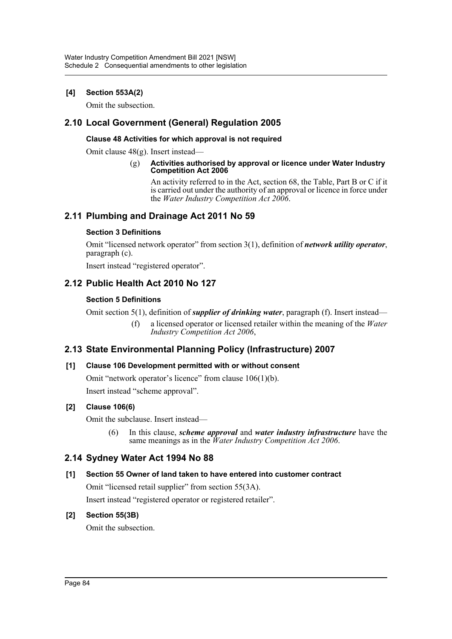### **[4] Section 553A(2)**

Omit the subsection.

### **2.10 Local Government (General) Regulation 2005**

### **Clause 48 Activities for which approval is not required**

Omit clause 48(g). Insert instead—

#### (g) **Activities authorised by approval or licence under Water Industry Competition Act 2006**

An activity referred to in the Act, section 68, the Table, Part B or C if it is carried out under the authority of an approval or licence in force under the *Water Industry Competition Act 2006*.

### **2.11 Plumbing and Drainage Act 2011 No 59**

### **Section 3 Definitions**

Omit "licensed network operator" from section 3(1), definition of *network utility operator*, paragraph (c).

Insert instead "registered operator".

# **2.12 Public Health Act 2010 No 127**

### **Section 5 Definitions**

Omit section 5(1), definition of *supplier of drinking water*, paragraph (f). Insert instead—

(f) a licensed operator or licensed retailer within the meaning of the *Water Industry Competition Act 2006*,

### **2.13 State Environmental Planning Policy (Infrastructure) 2007**

### **[1] Clause 106 Development permitted with or without consent**

Omit "network operator's licence" from clause 106(1)(b). Insert instead "scheme approval".

### **[2] Clause 106(6)**

Omit the subclause. Insert instead—

(6) In this clause, *scheme approval* and *water industry infrastructure* have the same meanings as in the *Water Industry Competition Act 2006*.

### **2.14 Sydney Water Act 1994 No 88**

### **[1] Section 55 Owner of land taken to have entered into customer contract**

Omit "licensed retail supplier" from section 55(3A).

Insert instead "registered operator or registered retailer".

### **[2] Section 55(3B)**

Omit the subsection.